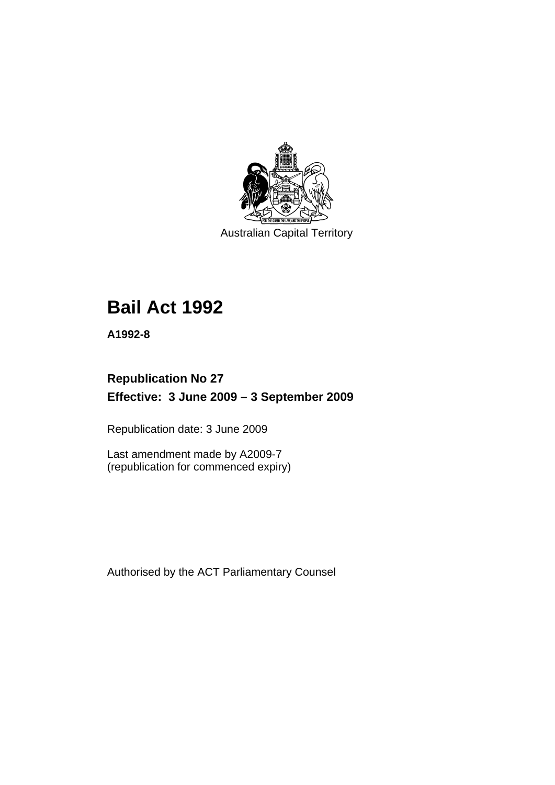

Australian Capital Territory

# **[Bail Act 1992](#page-6-0)**

**A1992-8** 

## **Republication No 27 Effective: 3 June 2009 – 3 September 2009**

Republication date: 3 June 2009

Last amendment made by A2009-7 (republication for commenced expiry)

Authorised by the ACT Parliamentary Counsel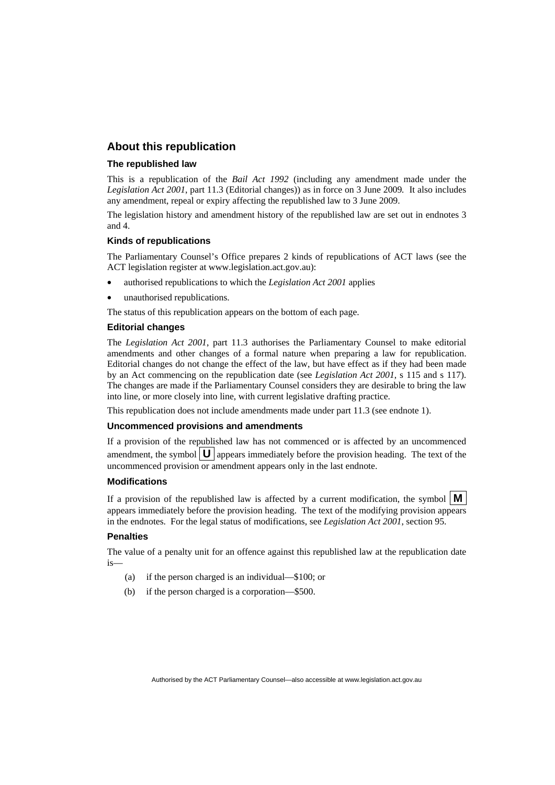## **About this republication**

#### **The republished law**

This is a republication of the *Bail Act 1992* (including any amendment made under the *Legislation Act 2001*, part 11.3 (Editorial changes)) as in force on 3 June 2009*.* It also includes any amendment, repeal or expiry affecting the republished law to 3 June 2009.

The legislation history and amendment history of the republished law are set out in endnotes 3 and 4.

#### **Kinds of republications**

The Parliamentary Counsel's Office prepares 2 kinds of republications of ACT laws (see the ACT legislation register at www.legislation.act.gov.au):

- authorised republications to which the *Legislation Act 2001* applies
- unauthorised republications.

The status of this republication appears on the bottom of each page.

#### **Editorial changes**

The *Legislation Act 2001*, part 11.3 authorises the Parliamentary Counsel to make editorial amendments and other changes of a formal nature when preparing a law for republication. Editorial changes do not change the effect of the law, but have effect as if they had been made by an Act commencing on the republication date (see *Legislation Act 2001*, s 115 and s 117). The changes are made if the Parliamentary Counsel considers they are desirable to bring the law into line, or more closely into line, with current legislative drafting practice.

This republication does not include amendments made under part 11.3 (see endnote 1).

#### **Uncommenced provisions and amendments**

If a provision of the republished law has not commenced or is affected by an uncommenced amendment, the symbol  $\mathbf{U}$  appears immediately before the provision heading. The text of the uncommenced provision or amendment appears only in the last endnote.

#### **Modifications**

If a provision of the republished law is affected by a current modification, the symbol  $\mathbf{M}$ appears immediately before the provision heading. The text of the modifying provision appears in the endnotes. For the legal status of modifications, see *Legislation Act 2001*, section 95.

#### **Penalties**

The value of a penalty unit for an offence against this republished law at the republication date is—

- (a) if the person charged is an individual—\$100; or
- (b) if the person charged is a corporation—\$500.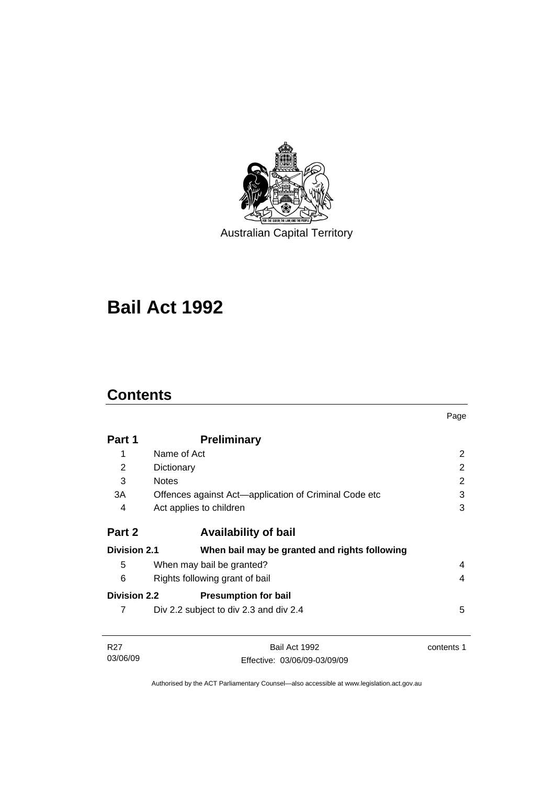

Australian Capital Territory

# **[Bail Act 1992](#page-6-0)**

## **Contents**

03/06/09

|                     |                                                       | Page           |
|---------------------|-------------------------------------------------------|----------------|
| Part 1              | <b>Preliminary</b>                                    |                |
| 1                   | Name of Act                                           | 2              |
| 2                   | Dictionary                                            | $\overline{2}$ |
| 3                   | <b>Notes</b>                                          | 2              |
| 3A                  | Offences against Act-application of Criminal Code etc | 3              |
| 4                   | Act applies to children                               | 3              |
| Part 2              | <b>Availability of bail</b>                           |                |
| <b>Division 2.1</b> | When bail may be granted and rights following         |                |
| 5                   | When may bail be granted?                             | 4              |
| 6                   | Rights following grant of bail                        | 4              |
| <b>Division 2.2</b> | <b>Presumption for bail</b>                           |                |
| 7                   | Div 2.2 subject to div 2.3 and div 2.4                | 5              |
| R <sub>27</sub>     | Bail Act 1992                                         | contents 1     |

Authorised by the ACT Parliamentary Counsel—also accessible at www.legislation.act.gov.au

Effective: 03/06/09-03/09/09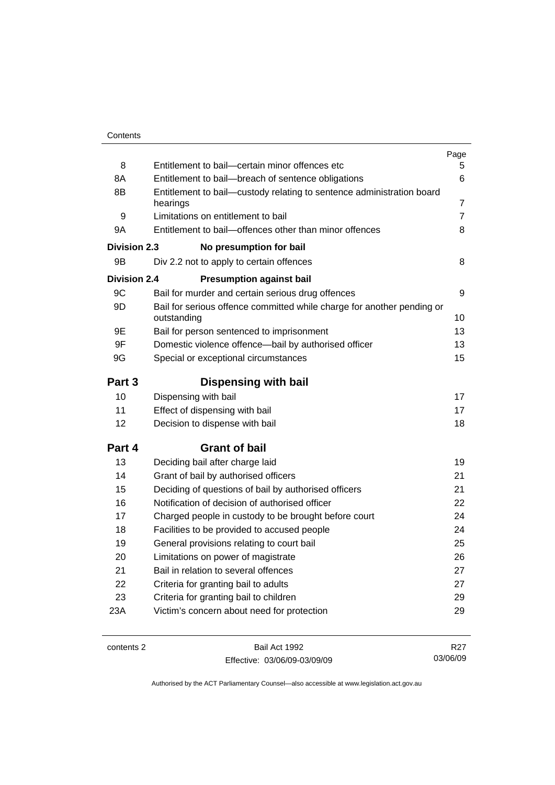|              |                                                                                       | Page            |
|--------------|---------------------------------------------------------------------------------------|-----------------|
| 8            | Entitlement to bail-certain minor offences etc                                        | 5.              |
| 8A           | Entitlement to bail-breach of sentence obligations                                    | 6               |
| 8B           | Entitlement to bail-custody relating to sentence administration board                 |                 |
|              | hearings                                                                              | 7               |
| 9            | Limitations on entitlement to bail                                                    | 7               |
| 9A           | Entitlement to bail-offences other than minor offences                                | 8               |
| Division 2.3 | No presumption for bail                                                               |                 |
| 9B           | Div 2.2 not to apply to certain offences                                              | 8               |
| Division 2.4 | <b>Presumption against bail</b>                                                       |                 |
| 9C           | Bail for murder and certain serious drug offences                                     | 9               |
| 9D           | Bail for serious offence committed while charge for another pending or<br>outstanding | 10              |
| 9E           | Bail for person sentenced to imprisonment                                             | 13              |
| 9F           | Domestic violence offence-bail by authorised officer                                  | 13              |
| 9G           | Special or exceptional circumstances                                                  | 15              |
| Part 3       | <b>Dispensing with bail</b>                                                           |                 |
| 10           | Dispensing with bail                                                                  | 17              |
| 11           | Effect of dispensing with bail                                                        | 17              |
| 12           | Decision to dispense with bail                                                        | 18              |
| Part 4       | <b>Grant of bail</b>                                                                  |                 |
| 13           | Deciding bail after charge laid                                                       | 19              |
| 14           | Grant of bail by authorised officers                                                  | 21              |
| 15           | Deciding of questions of bail by authorised officers                                  | 21              |
| 16           | Notification of decision of authorised officer                                        | 22              |
| 17           | Charged people in custody to be brought before court                                  | 24              |
| 18           | Facilities to be provided to accused people                                           | 24              |
| 19           | General provisions relating to court bail                                             | 25              |
| 20           | Limitations on power of magistrate                                                    | 26              |
| 21           | Bail in relation to several offences                                                  | 27              |
| 22           | Criteria for granting bail to adults                                                  | 27              |
| 23           | Criteria for granting bail to children                                                | 29              |
| 23A          | Victim's concern about need for protection                                            | 29              |
|              |                                                                                       |                 |
| contents 2   | Bail Act 1992                                                                         | R <sub>27</sub> |

Effective: 03/06/09-03/09/09

R27 03/06/09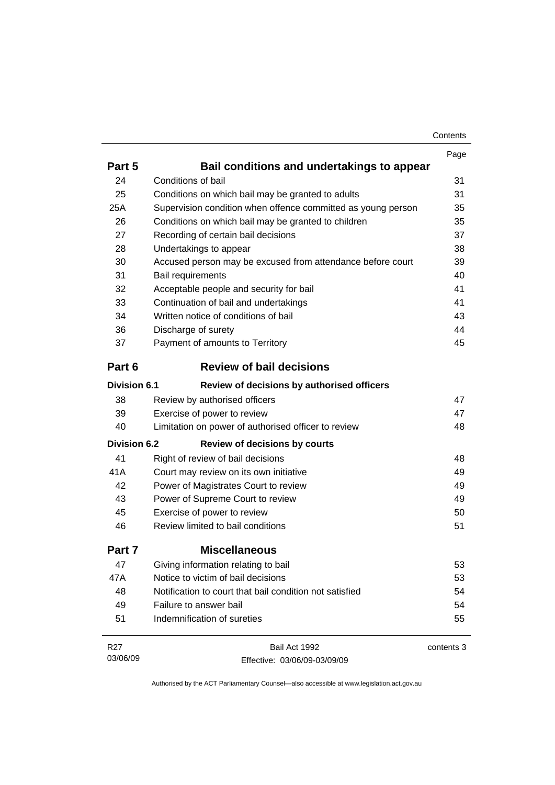| Contents |
|----------|
|----------|

|                     |                                                              | Page       |
|---------------------|--------------------------------------------------------------|------------|
| Part 5              | Bail conditions and undertakings to appear                   |            |
| 24                  | Conditions of bail                                           | 31         |
| 25                  | Conditions on which bail may be granted to adults            | 31         |
| 25A                 | Supervision condition when offence committed as young person | 35         |
| 26                  | Conditions on which bail may be granted to children          | 35         |
| 27                  | Recording of certain bail decisions                          | 37         |
| 28                  | Undertakings to appear                                       | 38         |
| 30                  | Accused person may be excused from attendance before court   | 39         |
| 31                  | Bail requirements                                            | 40         |
| 32                  | Acceptable people and security for bail                      | 41         |
| 33                  | Continuation of bail and undertakings                        | 41         |
| 34                  | Written notice of conditions of bail                         | 43         |
| 36                  | Discharge of surety                                          | 44         |
| 37                  | Payment of amounts to Territory                              | 45         |
| Part 6              | <b>Review of bail decisions</b>                              |            |
| <b>Division 6.1</b> | Review of decisions by authorised officers                   |            |
| 38                  | Review by authorised officers                                | 47         |
| 39                  | Exercise of power to review                                  | 47         |
| 40                  | Limitation on power of authorised officer to review          | 48         |
| <b>Division 6.2</b> | <b>Review of decisions by courts</b>                         |            |
| 41                  | Right of review of bail decisions                            | 48         |
| 41A                 | Court may review on its own initiative                       | 49         |
| 42                  | Power of Magistrates Court to review                         | 49         |
| 43                  | Power of Supreme Court to review                             | 49         |
| 45                  | Exercise of power to review                                  | 50         |
| 46                  | Review limited to bail conditions                            | 51         |
| Part 7              | <b>Miscellaneous</b>                                         |            |
| 47                  | Giving information relating to bail                          | 53         |
| 47A                 | Notice to victim of bail decisions                           | 53         |
| 48                  | Notification to court that bail condition not satisfied      | 54         |
| 49                  | Failure to answer bail                                       | 54         |
| 51                  | Indemnification of sureties                                  | 55         |
| R <sub>27</sub>     | Bail Act 1992                                                | contents 3 |
| 03/06/09            | Effective: 03/06/09-03/09/09                                 |            |

Effective: 03/06/09-03/09/09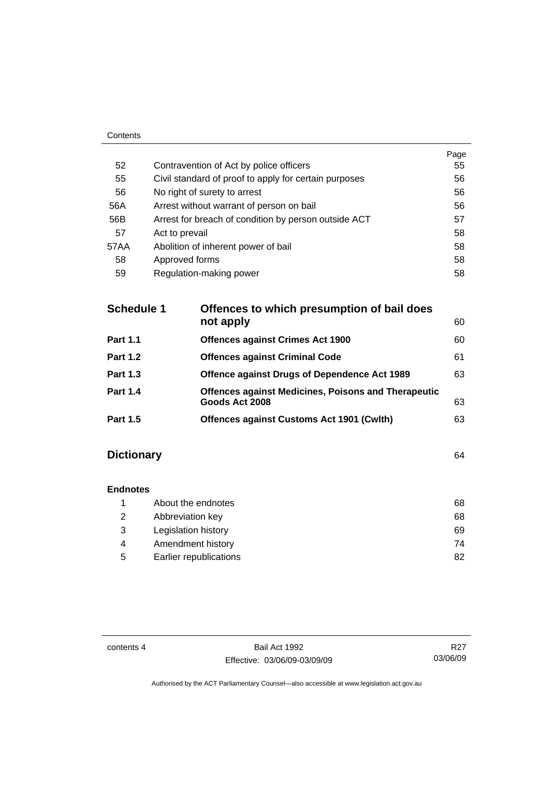|      |                                                       | Page |
|------|-------------------------------------------------------|------|
| 52   | Contravention of Act by police officers               | 55   |
| 55   | Civil standard of proof to apply for certain purposes | 56   |
| 56   | No right of surety to arrest                          | 56   |
| 56A  | Arrest without warrant of person on bail              | 56   |
| 56B  | Arrest for breach of condition by person outside ACT  | 57   |
| 57   | Act to prevail                                        | 58   |
| 57AA | Abolition of inherent power of bail                   | 58   |
| 58   | Approved forms                                        | 58   |
| 59   | Regulation-making power                               | 58   |
|      |                                                       |      |

| <b>Schedule 1</b> | Offences to which presumption of bail does<br>not apply                      | 60 |
|-------------------|------------------------------------------------------------------------------|----|
| <b>Part 1.1</b>   | <b>Offences against Crimes Act 1900</b>                                      | 60 |
| <b>Part 1.2</b>   | <b>Offences against Criminal Code</b>                                        | 61 |
| <b>Part 1.3</b>   | <b>Offence against Drugs of Dependence Act 1989</b>                          | 63 |
| <b>Part 1.4</b>   | <b>Offences against Medicines, Poisons and Therapeutic</b><br>Goods Act 2008 | 63 |
| <b>Part 1.5</b>   | <b>Offences against Customs Act 1901 (Cwith)</b>                             | 63 |
|                   |                                                                              |    |

## **Dictionary** [64](#page-69-0)

Contents

| <b>Endnotes</b> |                        |    |
|-----------------|------------------------|----|
|                 | About the endnotes     | 68 |
| 2               | Abbreviation key       | 68 |
| 3               | Legislation history    | 69 |
| 4               | Amendment history      | 74 |
| 5               | Earlier republications | 82 |

contents 4 Bail Act 1992 Effective: 03/06/09-03/09/09

R27 03/06/09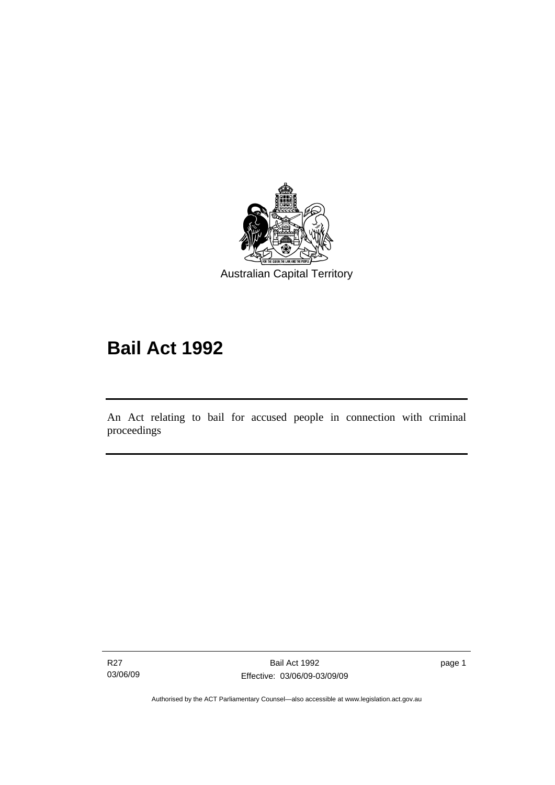<span id="page-6-0"></span>

# **Bail Act 1992**

An Act relating to bail for accused people in connection with criminal proceedings

R27 03/06/09

Ī

page 1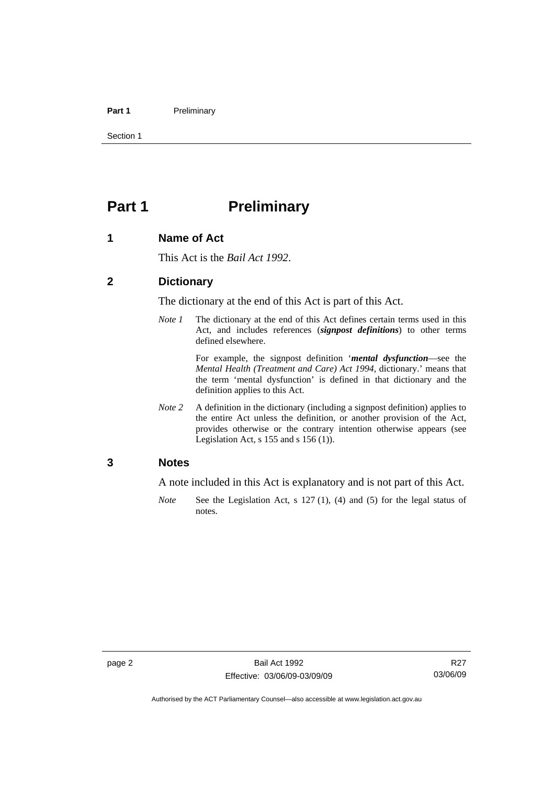#### <span id="page-7-0"></span>Part 1 **Preliminary**

Section 1

## **Part 1** Preliminary

#### **1 Name of Act**

This Act is the *Bail Act 1992*.

#### **2 Dictionary**

The dictionary at the end of this Act is part of this Act.

*Note 1* The dictionary at the end of this Act defines certain terms used in this Act, and includes references (*signpost definitions*) to other terms defined elsewhere.

> For example, the signpost definition '*mental dysfunction*—see the *Mental Health (Treatment and Care) Act 1994*, dictionary.' means that the term 'mental dysfunction' is defined in that dictionary and the definition applies to this Act.

*Note* 2 A definition in the dictionary (including a signpost definition) applies to the entire Act unless the definition, or another provision of the Act, provides otherwise or the contrary intention otherwise appears (see Legislation Act, s  $155$  and s  $156$  (1)).

#### **3 Notes**

A note included in this Act is explanatory and is not part of this Act.

*Note* See the Legislation Act, s 127 (1), (4) and (5) for the legal status of notes.

R<sub>27</sub> 03/06/09

Authorised by the ACT Parliamentary Counsel—also accessible at www.legislation.act.gov.au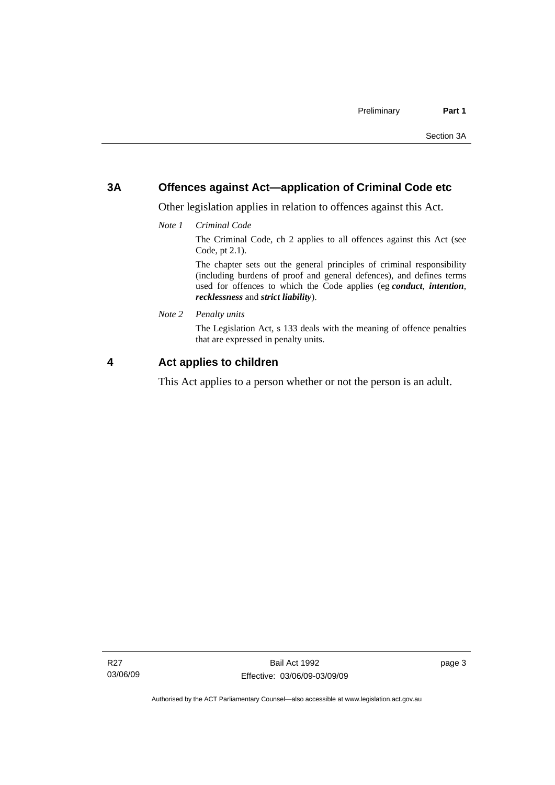## <span id="page-8-0"></span>**3A Offences against Act—application of Criminal Code etc**

Other legislation applies in relation to offences against this Act.

*Note 1 Criminal Code*

The Criminal Code, ch 2 applies to all offences against this Act (see Code, pt 2.1).

The chapter sets out the general principles of criminal responsibility (including burdens of proof and general defences), and defines terms used for offences to which the Code applies (eg *conduct*, *intention*, *recklessness* and *strict liability*).

*Note 2 Penalty units* 

The Legislation Act, s 133 deals with the meaning of offence penalties that are expressed in penalty units.

## **4 Act applies to children**

This Act applies to a person whether or not the person is an adult.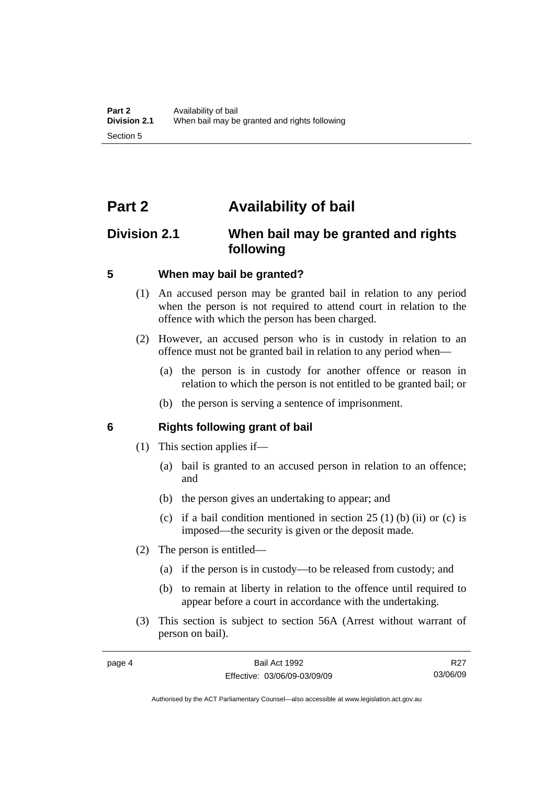## <span id="page-9-0"></span>**Part 2 Availability of bail**

## **Division 2.1 When bail may be granted and rights following**

## **5 When may bail be granted?**

- (1) An accused person may be granted bail in relation to any period when the person is not required to attend court in relation to the offence with which the person has been charged.
- (2) However, an accused person who is in custody in relation to an offence must not be granted bail in relation to any period when—
	- (a) the person is in custody for another offence or reason in relation to which the person is not entitled to be granted bail; or
	- (b) the person is serving a sentence of imprisonment.

## **6 Rights following grant of bail**

- (1) This section applies if—
	- (a) bail is granted to an accused person in relation to an offence; and
	- (b) the person gives an undertaking to appear; and
	- (c) if a bail condition mentioned in section  $25(1)$  (b) (ii) or (c) is imposed—the security is given or the deposit made.
- (2) The person is entitled—
	- (a) if the person is in custody—to be released from custody; and
	- (b) to remain at liberty in relation to the offence until required to appear before a court in accordance with the undertaking.
- (3) This section is subject to section 56A (Arrest without warrant of person on bail).

R<sub>27</sub> 03/06/09

Authorised by the ACT Parliamentary Counsel—also accessible at www.legislation.act.gov.au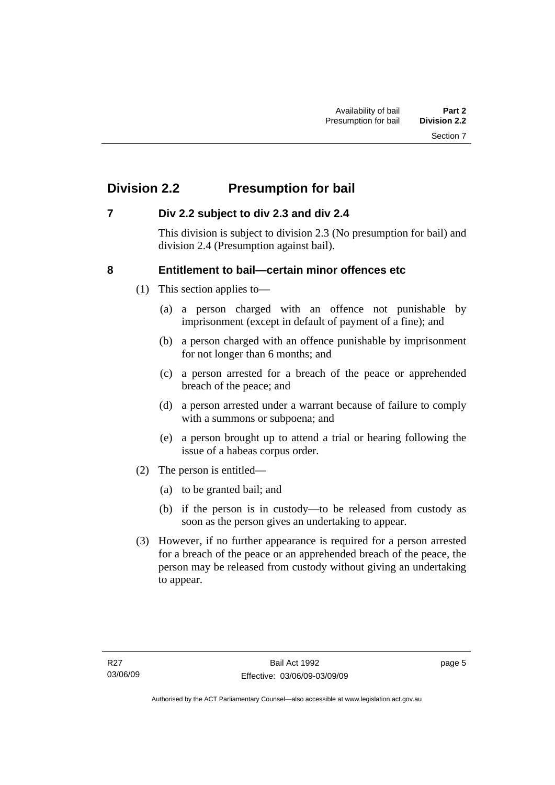## <span id="page-10-0"></span>**Division 2.2 Presumption for bail**

## **7 Div 2.2 subject to div 2.3 and div 2.4**

This division is subject to division 2.3 (No presumption for bail) and division 2.4 (Presumption against bail).

## **8 Entitlement to bail—certain minor offences etc**

- (1) This section applies to—
	- (a) a person charged with an offence not punishable by imprisonment (except in default of payment of a fine); and
	- (b) a person charged with an offence punishable by imprisonment for not longer than 6 months; and
	- (c) a person arrested for a breach of the peace or apprehended breach of the peace; and
	- (d) a person arrested under a warrant because of failure to comply with a summons or subpoena; and
	- (e) a person brought up to attend a trial or hearing following the issue of a habeas corpus order.
- (2) The person is entitled—
	- (a) to be granted bail; and
	- (b) if the person is in custody—to be released from custody as soon as the person gives an undertaking to appear.
- (3) However, if no further appearance is required for a person arrested for a breach of the peace or an apprehended breach of the peace, the person may be released from custody without giving an undertaking to appear.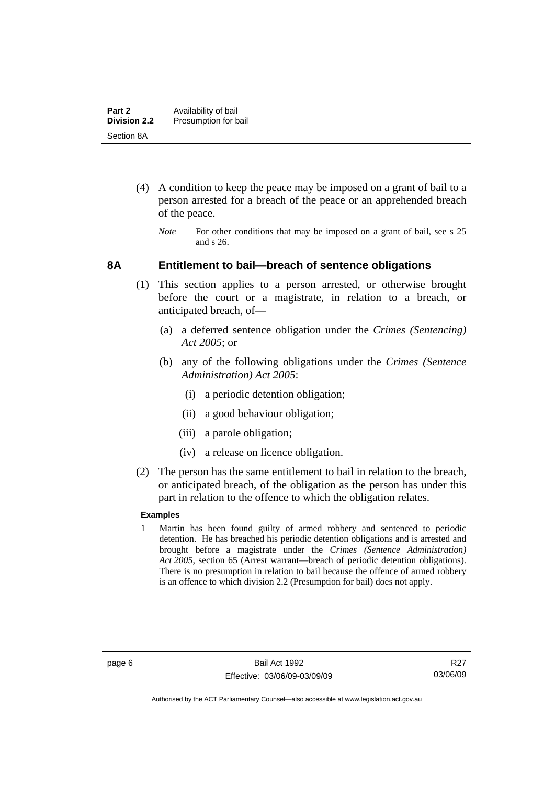- <span id="page-11-0"></span> (4) A condition to keep the peace may be imposed on a grant of bail to a person arrested for a breach of the peace or an apprehended breach of the peace.
	- *Note* For other conditions that may be imposed on a grant of bail, see s 25 and s 26.

#### **8A Entitlement to bail—breach of sentence obligations**

- (1) This section applies to a person arrested, or otherwise brought before the court or a magistrate, in relation to a breach, or anticipated breach, of—
	- (a) a deferred sentence obligation under the *Crimes (Sentencing) Act 2005*; or
	- (b) any of the following obligations under the *Crimes (Sentence Administration) Act 2005*:
		- (i) a periodic detention obligation;
		- (ii) a good behaviour obligation;
		- (iii) a parole obligation;
		- (iv) a release on licence obligation.
- (2) The person has the same entitlement to bail in relation to the breach, or anticipated breach, of the obligation as the person has under this part in relation to the offence to which the obligation relates.

#### **Examples**

1 Martin has been found guilty of armed robbery and sentenced to periodic detention. He has breached his periodic detention obligations and is arrested and brought before a magistrate under the *Crimes (Sentence Administration) Act 2005*, section 65 (Arrest warrant—breach of periodic detention obligations). There is no presumption in relation to bail because the offence of armed robbery is an offence to which division 2.2 (Presumption for bail) does not apply.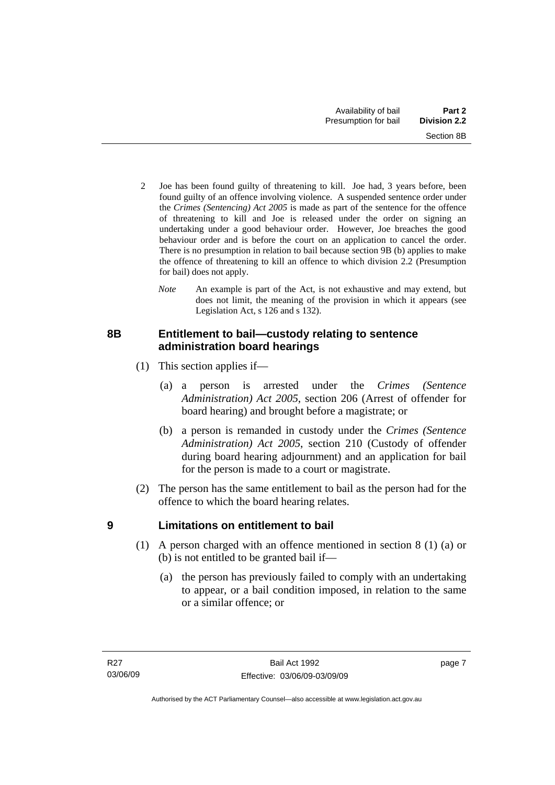- <span id="page-12-0"></span>2 Joe has been found guilty of threatening to kill. Joe had, 3 years before, been found guilty of an offence involving violence. A suspended sentence order under the *Crimes (Sentencing) Act 2005* is made as part of the sentence for the offence of threatening to kill and Joe is released under the order on signing an undertaking under a good behaviour order. However, Joe breaches the good behaviour order and is before the court on an application to cancel the order. There is no presumption in relation to bail because section 9B (b) applies to make the offence of threatening to kill an offence to which division 2.2 (Presumption for bail) does not apply.
	- *Note* An example is part of the Act, is not exhaustive and may extend, but does not limit, the meaning of the provision in which it appears (see Legislation Act, s 126 and s 132).

## **8B Entitlement to bail—custody relating to sentence administration board hearings**

- (1) This section applies if—
	- (a) a person is arrested under the *Crimes (Sentence Administration) Act 2005*, section 206 (Arrest of offender for board hearing) and brought before a magistrate; or
	- (b) a person is remanded in custody under the *Crimes (Sentence Administration) Act 2005*, section 210 (Custody of offender during board hearing adjournment) and an application for bail for the person is made to a court or magistrate.
- (2) The person has the same entitlement to bail as the person had for the offence to which the board hearing relates.

## **9 Limitations on entitlement to bail**

- (1) A person charged with an offence mentioned in section 8 (1) (a) or (b) is not entitled to be granted bail if—
	- (a) the person has previously failed to comply with an undertaking to appear, or a bail condition imposed, in relation to the same or a similar offence; or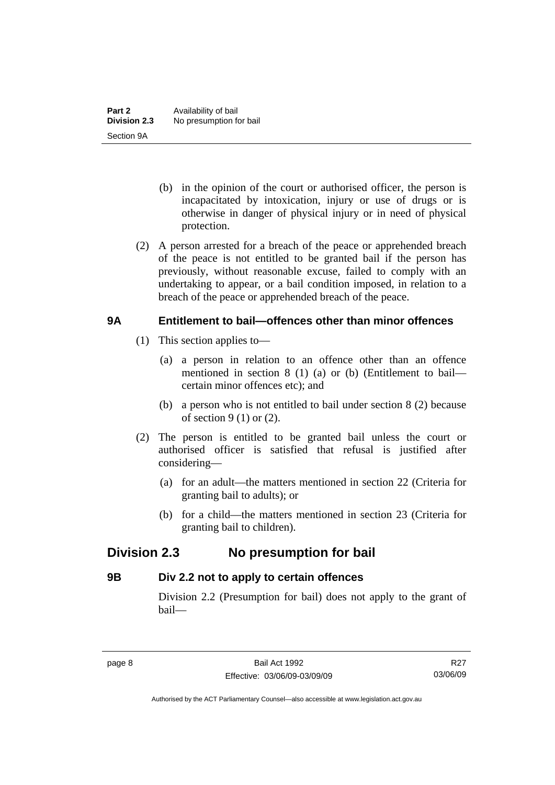- <span id="page-13-0"></span> (b) in the opinion of the court or authorised officer, the person is incapacitated by intoxication, injury or use of drugs or is otherwise in danger of physical injury or in need of physical protection.
- (2) A person arrested for a breach of the peace or apprehended breach of the peace is not entitled to be granted bail if the person has previously, without reasonable excuse, failed to comply with an undertaking to appear, or a bail condition imposed, in relation to a breach of the peace or apprehended breach of the peace.

## **9A Entitlement to bail—offences other than minor offences**

- (1) This section applies to—
	- (a) a person in relation to an offence other than an offence mentioned in section 8 (1) (a) or (b) (Entitlement to bail certain minor offences etc); and
	- (b) a person who is not entitled to bail under section 8 (2) because of section  $9(1)$  or  $(2)$ .
- (2) The person is entitled to be granted bail unless the court or authorised officer is satisfied that refusal is justified after considering—
	- (a) for an adult—the matters mentioned in section 22 (Criteria for granting bail to adults); or
	- (b) for a child—the matters mentioned in section 23 (Criteria for granting bail to children).

## **Division 2.3 No presumption for bail**

## **9B Div 2.2 not to apply to certain offences**

Division 2.2 (Presumption for bail) does not apply to the grant of bail—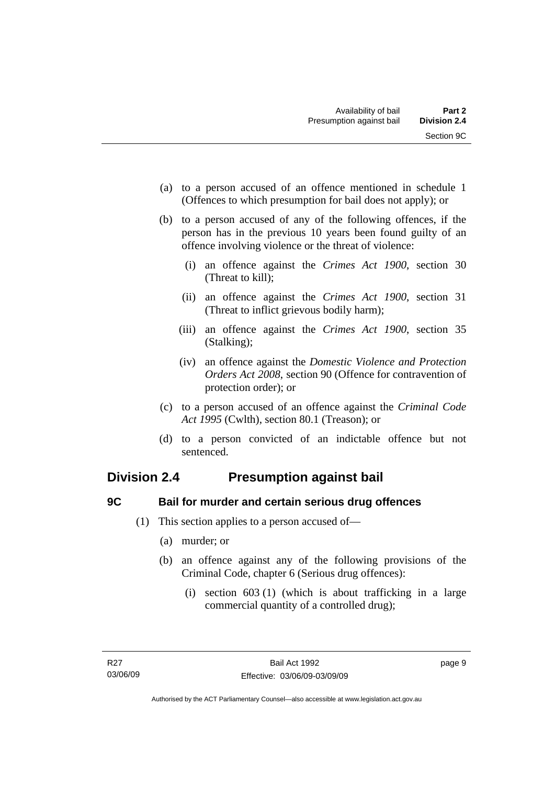- <span id="page-14-0"></span> (a) to a person accused of an offence mentioned in schedule 1 (Offences to which presumption for bail does not apply); or
- (b) to a person accused of any of the following offences, if the person has in the previous 10 years been found guilty of an offence involving violence or the threat of violence:
	- (i) an offence against the *Crimes Act 1900*, section 30 (Threat to kill);
	- (ii) an offence against the *Crimes Act 1900*, section 31 (Threat to inflict grievous bodily harm);
	- (iii) an offence against the *Crimes Act 1900*, section 35 (Stalking);
	- (iv) an offence against the *Domestic Violence and Protection Orders Act 2008*, section 90 (Offence for contravention of protection order); or
- (c) to a person accused of an offence against the *Criminal Code Act 1995* (Cwlth), section 80.1 (Treason); or
- (d) to a person convicted of an indictable offence but not sentenced.

## **Division 2.4 Presumption against bail**

## **9C Bail for murder and certain serious drug offences**

- (1) This section applies to a person accused of—
	- (a) murder; or
	- (b) an offence against any of the following provisions of the Criminal Code, chapter 6 (Serious drug offences):
		- (i) section 603 (1) (which is about trafficking in a large commercial quantity of a controlled drug);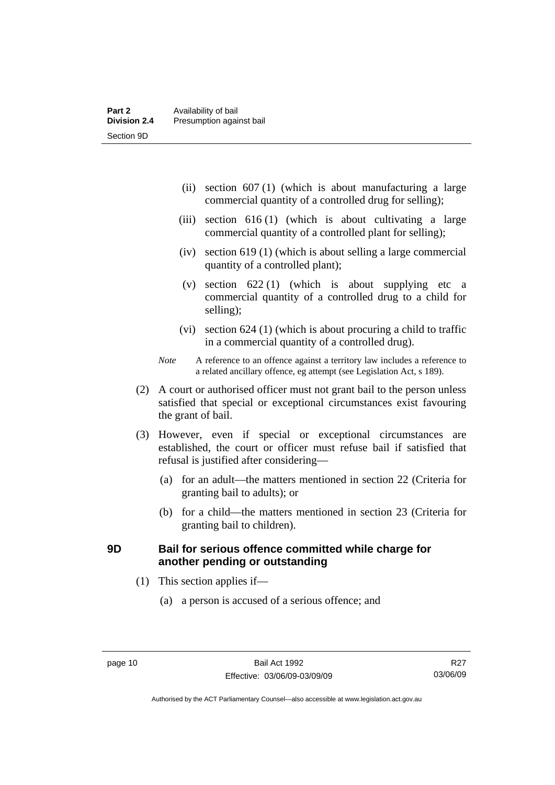- <span id="page-15-0"></span> (ii) section 607 (1) (which is about manufacturing a large commercial quantity of a controlled drug for selling);
- (iii) section 616 (1) (which is about cultivating a large commercial quantity of a controlled plant for selling);
- (iv) section 619 (1) (which is about selling a large commercial quantity of a controlled plant);
- (v) section  $622(1)$  (which is about supplying etc a commercial quantity of a controlled drug to a child for selling);
- (vi) section 624 (1) (which is about procuring a child to traffic in a commercial quantity of a controlled drug).
- *Note* A reference to an offence against a territory law includes a reference to a related ancillary offence, eg attempt (see Legislation Act, s 189).
- (2) A court or authorised officer must not grant bail to the person unless satisfied that special or exceptional circumstances exist favouring the grant of bail.
- (3) However, even if special or exceptional circumstances are established, the court or officer must refuse bail if satisfied that refusal is justified after considering—
	- (a) for an adult—the matters mentioned in section 22 (Criteria for granting bail to adults); or
	- (b) for a child—the matters mentioned in section 23 (Criteria for granting bail to children).

## **9D Bail for serious offence committed while charge for another pending or outstanding**

- (1) This section applies if—
	- (a) a person is accused of a serious offence; and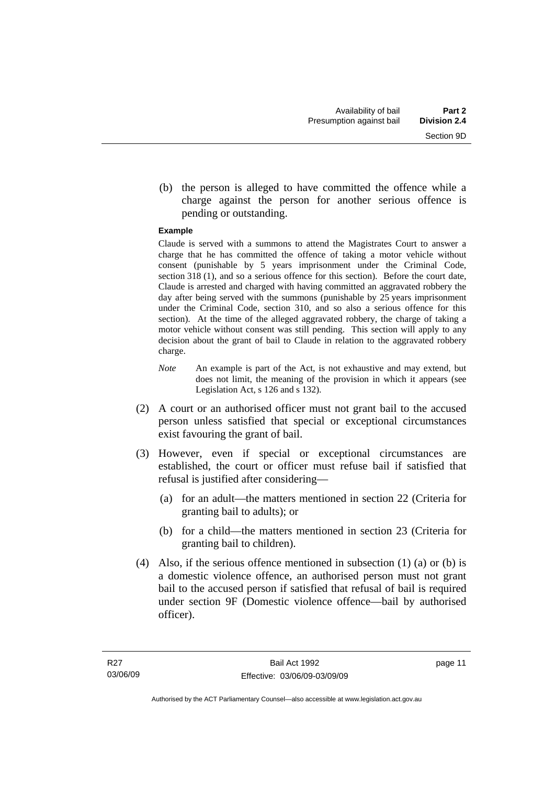(b) the person is alleged to have committed the offence while a charge against the person for another serious offence is pending or outstanding.

#### **Example**

Claude is served with a summons to attend the Magistrates Court to answer a charge that he has committed the offence of taking a motor vehicle without consent (punishable by 5 years imprisonment under the Criminal Code, section 318 (1), and so a serious offence for this section). Before the court date, Claude is arrested and charged with having committed an aggravated robbery the day after being served with the summons (punishable by 25 years imprisonment under the Criminal Code, section 310, and so also a serious offence for this section). At the time of the alleged aggravated robbery, the charge of taking a motor vehicle without consent was still pending. This section will apply to any decision about the grant of bail to Claude in relation to the aggravated robbery charge.

- *Note* An example is part of the Act, is not exhaustive and may extend, but does not limit, the meaning of the provision in which it appears (see Legislation Act, s 126 and s 132).
- (2) A court or an authorised officer must not grant bail to the accused person unless satisfied that special or exceptional circumstances exist favouring the grant of bail.
- (3) However, even if special or exceptional circumstances are established, the court or officer must refuse bail if satisfied that refusal is justified after considering—
	- (a) for an adult—the matters mentioned in section 22 (Criteria for granting bail to adults); or
	- (b) for a child—the matters mentioned in section 23 (Criteria for granting bail to children).
- (4) Also, if the serious offence mentioned in subsection (1) (a) or (b) is a domestic violence offence, an authorised person must not grant bail to the accused person if satisfied that refusal of bail is required under section 9F (Domestic violence offence—bail by authorised officer).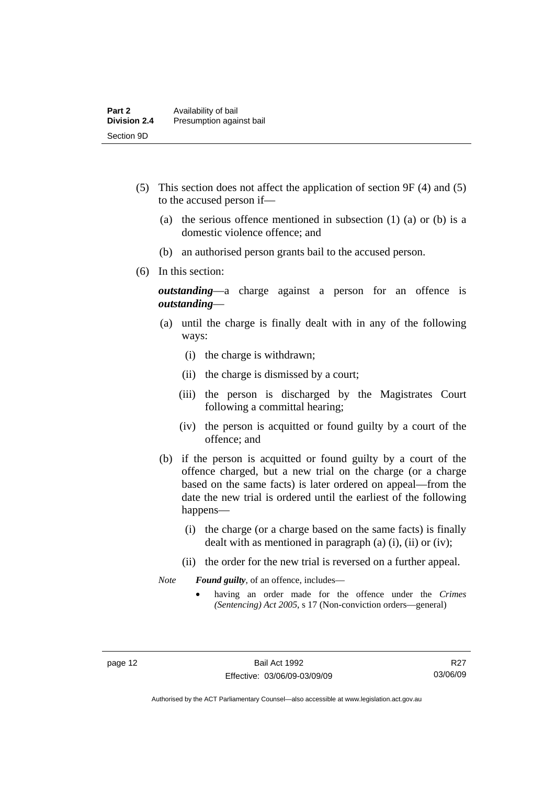- (5) This section does not affect the application of section 9F (4) and (5) to the accused person if—
	- (a) the serious offence mentioned in subsection (1) (a) or (b) is a domestic violence offence; and
	- (b) an authorised person grants bail to the accused person.
- (6) In this section:

*outstanding*—a charge against a person for an offence is *outstanding*—

- (a) until the charge is finally dealt with in any of the following ways:
	- (i) the charge is withdrawn;
	- (ii) the charge is dismissed by a court;
	- (iii) the person is discharged by the Magistrates Court following a committal hearing;
	- (iv) the person is acquitted or found guilty by a court of the offence; and
- (b) if the person is acquitted or found guilty by a court of the offence charged, but a new trial on the charge (or a charge based on the same facts) is later ordered on appeal—from the date the new trial is ordered until the earliest of the following happens—
	- (i) the charge (or a charge based on the same facts) is finally dealt with as mentioned in paragraph (a)  $(i)$ ,  $(ii)$  or  $(iv)$ ;
	- (ii) the order for the new trial is reversed on a further appeal.

*Note Found guilty*, of an offence, includes—

• having an order made for the offence under the *Crimes (Sentencing) Act 2005*, s 17 (Non-conviction orders—general)

R<sub>27</sub> 03/06/09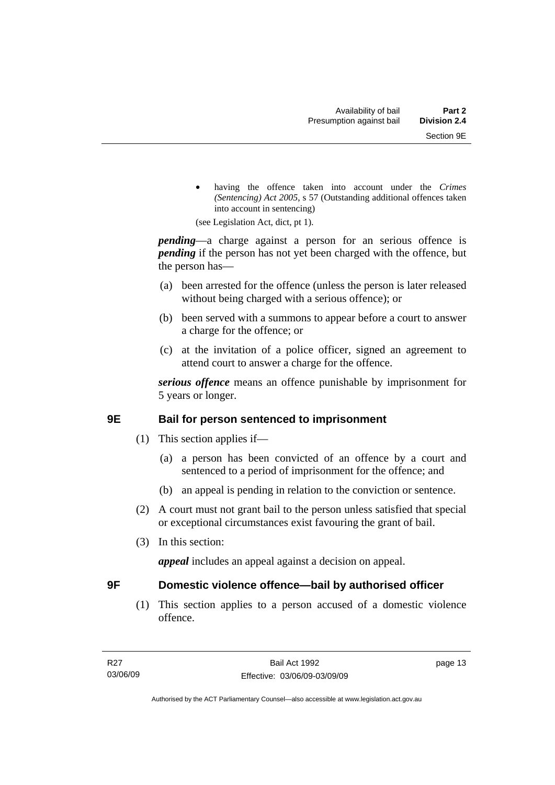<span id="page-18-0"></span>having the offence taken into account under the *Crimes (Sentencing) Act 2005*, s 57 (Outstanding additional offences taken into account in sentencing)

(see Legislation Act, dict, pt 1).

*pending*—a charge against a person for an serious offence is *pending* if the person has not yet been charged with the offence, but the person has—

- (a) been arrested for the offence (unless the person is later released without being charged with a serious offence); or
- (b) been served with a summons to appear before a court to answer a charge for the offence; or
- (c) at the invitation of a police officer, signed an agreement to attend court to answer a charge for the offence.

*serious offence* means an offence punishable by imprisonment for 5 years or longer.

## **9E Bail for person sentenced to imprisonment**

- (1) This section applies if—
	- (a) a person has been convicted of an offence by a court and sentenced to a period of imprisonment for the offence; and
	- (b) an appeal is pending in relation to the conviction or sentence.
- (2) A court must not grant bail to the person unless satisfied that special or exceptional circumstances exist favouring the grant of bail.
- (3) In this section:

*appeal* includes an appeal against a decision on appeal.

## **9F Domestic violence offence—bail by authorised officer**

 (1) This section applies to a person accused of a domestic violence offence.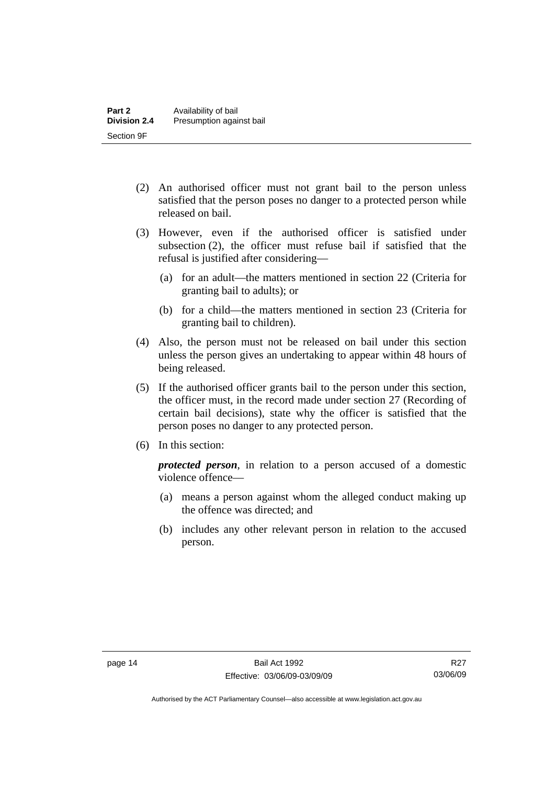- (2) An authorised officer must not grant bail to the person unless satisfied that the person poses no danger to a protected person while released on bail.
- (3) However, even if the authorised officer is satisfied under subsection (2), the officer must refuse bail if satisfied that the refusal is justified after considering—
	- (a) for an adult—the matters mentioned in section 22 (Criteria for granting bail to adults); or
	- (b) for a child—the matters mentioned in section 23 (Criteria for granting bail to children).
- (4) Also, the person must not be released on bail under this section unless the person gives an undertaking to appear within 48 hours of being released.
- (5) If the authorised officer grants bail to the person under this section, the officer must, in the record made under section 27 (Recording of certain bail decisions), state why the officer is satisfied that the person poses no danger to any protected person.
- (6) In this section:

*protected person*, in relation to a person accused of a domestic violence offence—

- (a) means a person against whom the alleged conduct making up the offence was directed; and
- (b) includes any other relevant person in relation to the accused person.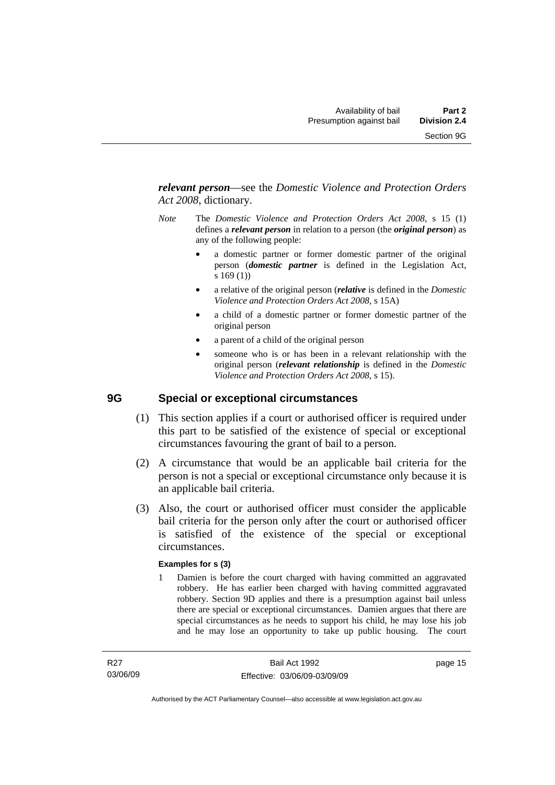<span id="page-20-0"></span>*relevant person*—see the *Domestic Violence and Protection Orders Act 2008*, dictionary.

- *Note* The *Domestic Violence and Protection Orders Act 2008*, s 15 (1) defines a *relevant person* in relation to a person (the *original person*) as any of the following people:
	- a domestic partner or former domestic partner of the original person (*domestic partner* is defined in the Legislation Act, s 169 (1))
	- a relative of the original person (*relative* is defined in the *Domestic Violence and Protection Orders Act 2008*, s 15A)
	- a child of a domestic partner or former domestic partner of the original person
	- a parent of a child of the original person
	- someone who is or has been in a relevant relationship with the original person (*relevant relationship* is defined in the *Domestic Violence and Protection Orders Act 2008*, s 15).

## **9G Special or exceptional circumstances**

- (1) This section applies if a court or authorised officer is required under this part to be satisfied of the existence of special or exceptional circumstances favouring the grant of bail to a person.
- (2) A circumstance that would be an applicable bail criteria for the person is not a special or exceptional circumstance only because it is an applicable bail criteria.
- (3) Also, the court or authorised officer must consider the applicable bail criteria for the person only after the court or authorised officer is satisfied of the existence of the special or exceptional circumstances.

#### **Examples for s (3)**

1 Damien is before the court charged with having committed an aggravated robbery. He has earlier been charged with having committed aggravated robbery. Section 9D applies and there is a presumption against bail unless there are special or exceptional circumstances. Damien argues that there are special circumstances as he needs to support his child, he may lose his job and he may lose an opportunity to take up public housing. The court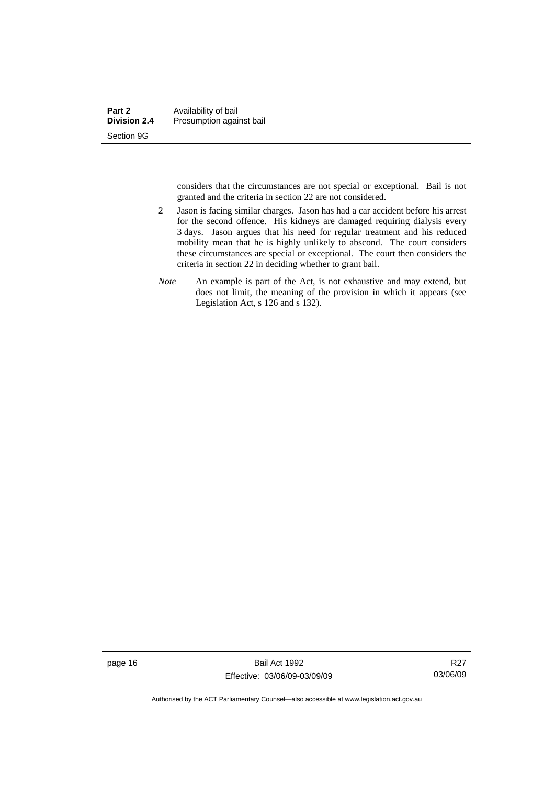considers that the circumstances are not special or exceptional. Bail is not granted and the criteria in section 22 are not considered.

- 2 Jason is facing similar charges. Jason has had a car accident before his arrest for the second offence. His kidneys are damaged requiring dialysis every 3 days. Jason argues that his need for regular treatment and his reduced mobility mean that he is highly unlikely to abscond. The court considers these circumstances are special or exceptional. The court then considers the criteria in section 22 in deciding whether to grant bail.
- *Note* An example is part of the Act, is not exhaustive and may extend, but does not limit, the meaning of the provision in which it appears (see Legislation Act, s 126 and s 132).

page 16 Bail Act 1992 Effective: 03/06/09-03/09/09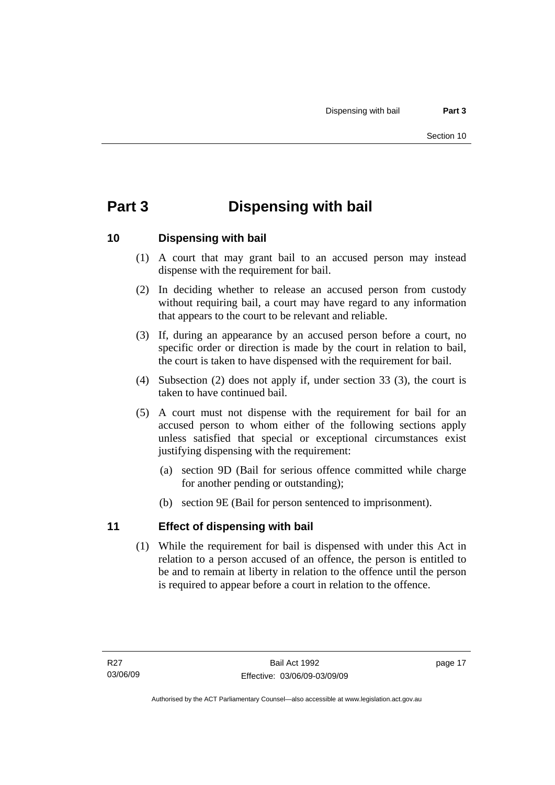## <span id="page-22-0"></span>**Part 3 Dispensing with bail**

## **10 Dispensing with bail**

- (1) A court that may grant bail to an accused person may instead dispense with the requirement for bail.
- (2) In deciding whether to release an accused person from custody without requiring bail, a court may have regard to any information that appears to the court to be relevant and reliable.
- (3) If, during an appearance by an accused person before a court, no specific order or direction is made by the court in relation to bail, the court is taken to have dispensed with the requirement for bail.
- (4) Subsection (2) does not apply if, under section 33 (3), the court is taken to have continued bail.
- (5) A court must not dispense with the requirement for bail for an accused person to whom either of the following sections apply unless satisfied that special or exceptional circumstances exist justifying dispensing with the requirement:
	- (a) section 9D (Bail for serious offence committed while charge for another pending or outstanding);
	- (b) section 9E (Bail for person sentenced to imprisonment).

## **11 Effect of dispensing with bail**

 (1) While the requirement for bail is dispensed with under this Act in relation to a person accused of an offence, the person is entitled to be and to remain at liberty in relation to the offence until the person is required to appear before a court in relation to the offence.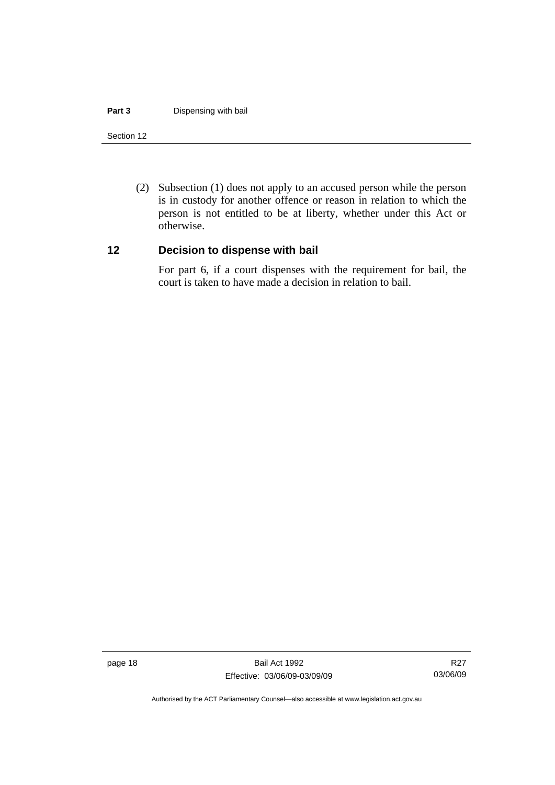#### <span id="page-23-0"></span>**Part 3 Dispensing with bail**

#### Section 12

 (2) Subsection (1) does not apply to an accused person while the person is in custody for another offence or reason in relation to which the person is not entitled to be at liberty, whether under this Act or otherwise.

#### **12 Decision to dispense with bail**

For part 6, if a court dispenses with the requirement for bail, the court is taken to have made a decision in relation to bail.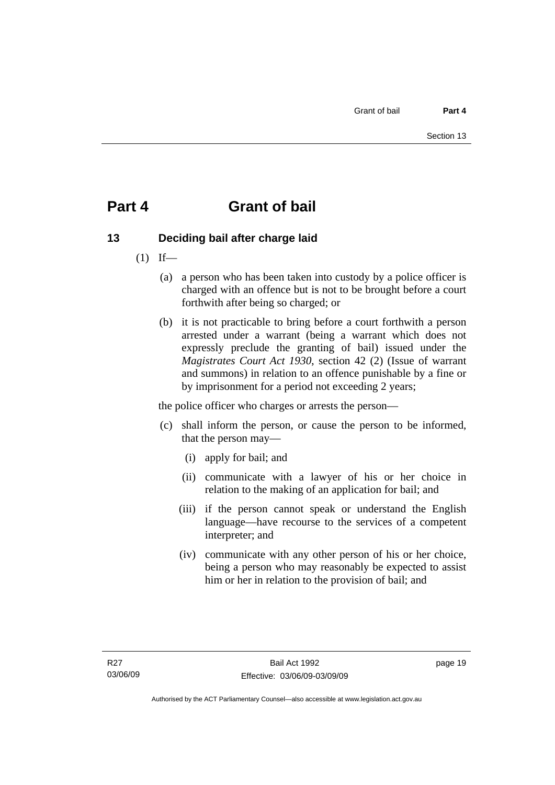## <span id="page-24-0"></span>**Part 4 Grant of bail**

## **13 Deciding bail after charge laid**

- $(1)$  If—
	- (a) a person who has been taken into custody by a police officer is charged with an offence but is not to be brought before a court forthwith after being so charged; or
	- (b) it is not practicable to bring before a court forthwith a person arrested under a warrant (being a warrant which does not expressly preclude the granting of bail) issued under the *Magistrates Court Act 1930*, section 42 (2) (Issue of warrant and summons) in relation to an offence punishable by a fine or by imprisonment for a period not exceeding 2 years;

the police officer who charges or arrests the person—

- (c) shall inform the person, or cause the person to be informed, that the person may—
	- (i) apply for bail; and
	- (ii) communicate with a lawyer of his or her choice in relation to the making of an application for bail; and
	- (iii) if the person cannot speak or understand the English language—have recourse to the services of a competent interpreter; and
	- (iv) communicate with any other person of his or her choice, being a person who may reasonably be expected to assist him or her in relation to the provision of bail; and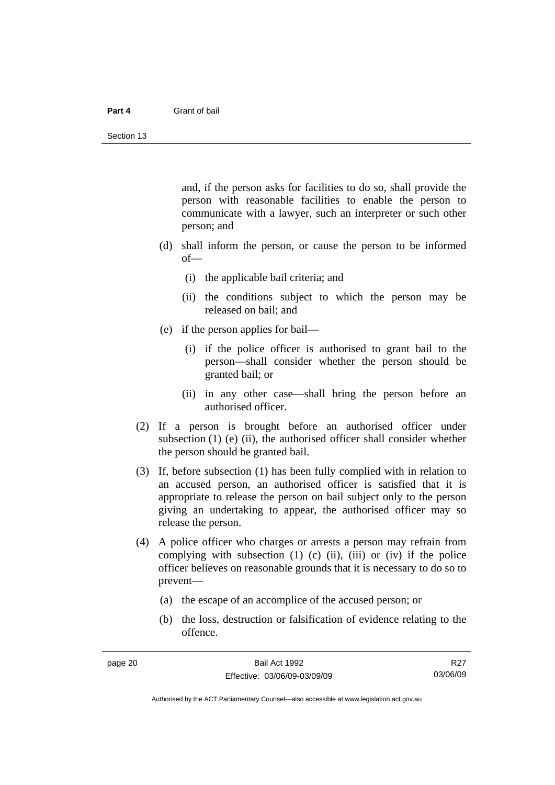#### **Part 4** Grant of bail

and, if the person asks for facilities to do so, shall provide the person with reasonable facilities to enable the person to communicate with a lawyer, such an interpreter or such other person; and

- (d) shall inform the person, or cause the person to be informed of—
	- (i) the applicable bail criteria; and
	- (ii) the conditions subject to which the person may be released on bail; and
- (e) if the person applies for bail—
	- (i) if the police officer is authorised to grant bail to the person—shall consider whether the person should be granted bail; or
	- (ii) in any other case—shall bring the person before an authorised officer.
- (2) If a person is brought before an authorised officer under subsection  $(1)$  (e)  $(ii)$ , the authorised officer shall consider whether the person should be granted bail.
- (3) If, before subsection (1) has been fully complied with in relation to an accused person, an authorised officer is satisfied that it is appropriate to release the person on bail subject only to the person giving an undertaking to appear, the authorised officer may so release the person.
- (4) A police officer who charges or arrests a person may refrain from complying with subsection  $(1)$   $(c)$   $(ii)$ ,  $(iii)$  or  $(iv)$  if the police officer believes on reasonable grounds that it is necessary to do so to prevent—
	- (a) the escape of an accomplice of the accused person; or
	- (b) the loss, destruction or falsification of evidence relating to the offence.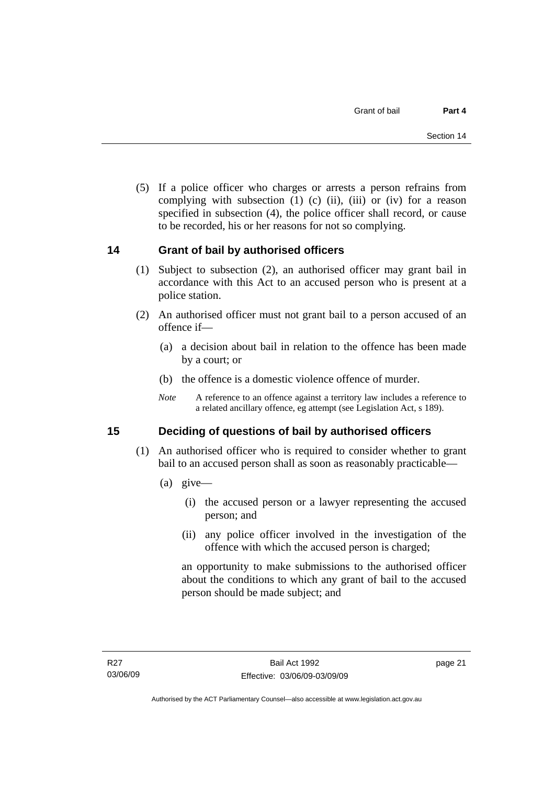<span id="page-26-0"></span> (5) If a police officer who charges or arrests a person refrains from complying with subsection  $(1)$   $(c)$   $(ii)$ ,  $(iii)$  or  $(iv)$  for a reason specified in subsection (4), the police officer shall record, or cause to be recorded, his or her reasons for not so complying.

## **14 Grant of bail by authorised officers**

- (1) Subject to subsection (2), an authorised officer may grant bail in accordance with this Act to an accused person who is present at a police station.
- (2) An authorised officer must not grant bail to a person accused of an offence if—
	- (a) a decision about bail in relation to the offence has been made by a court; or
	- (b) the offence is a domestic violence offence of murder.
	- *Note* A reference to an offence against a territory law includes a reference to a related ancillary offence, eg attempt (see Legislation Act, s 189).

## **15 Deciding of questions of bail by authorised officers**

- (1) An authorised officer who is required to consider whether to grant bail to an accused person shall as soon as reasonably practicable—
	- (a) give—
		- (i) the accused person or a lawyer representing the accused person; and
		- (ii) any police officer involved in the investigation of the offence with which the accused person is charged;

an opportunity to make submissions to the authorised officer about the conditions to which any grant of bail to the accused person should be made subject; and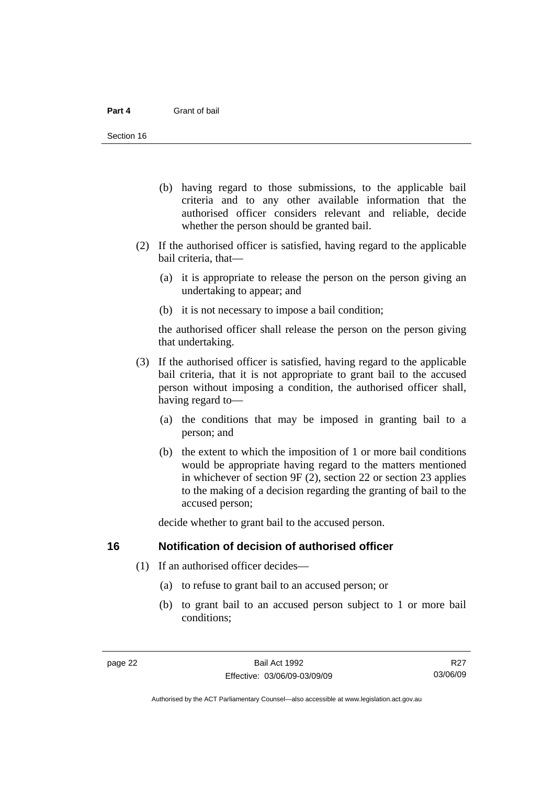- <span id="page-27-0"></span> (b) having regard to those submissions, to the applicable bail criteria and to any other available information that the authorised officer considers relevant and reliable, decide whether the person should be granted bail.
- (2) If the authorised officer is satisfied, having regard to the applicable bail criteria, that—
	- (a) it is appropriate to release the person on the person giving an undertaking to appear; and
	- (b) it is not necessary to impose a bail condition;

the authorised officer shall release the person on the person giving that undertaking.

- (3) If the authorised officer is satisfied, having regard to the applicable bail criteria, that it is not appropriate to grant bail to the accused person without imposing a condition, the authorised officer shall, having regard to—
	- (a) the conditions that may be imposed in granting bail to a person; and
	- (b) the extent to which the imposition of 1 or more bail conditions would be appropriate having regard to the matters mentioned in whichever of section 9F (2), section 22 or section 23 applies to the making of a decision regarding the granting of bail to the accused person;

decide whether to grant bail to the accused person.

## **16 Notification of decision of authorised officer**

- (1) If an authorised officer decides—
	- (a) to refuse to grant bail to an accused person; or
	- (b) to grant bail to an accused person subject to 1 or more bail conditions;

R<sub>27</sub> 03/06/09

Authorised by the ACT Parliamentary Counsel—also accessible at www.legislation.act.gov.au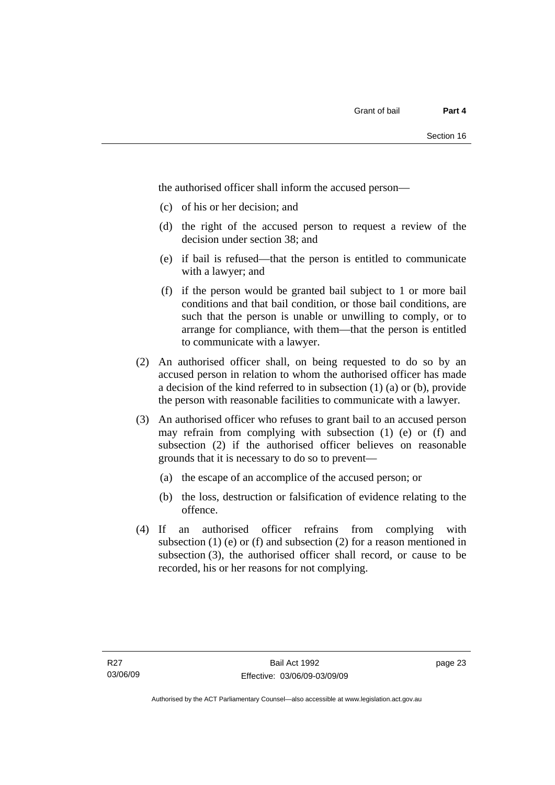the authorised officer shall inform the accused person—

- (c) of his or her decision; and
- (d) the right of the accused person to request a review of the decision under section 38; and
- (e) if bail is refused—that the person is entitled to communicate with a lawyer; and
- (f) if the person would be granted bail subject to 1 or more bail conditions and that bail condition, or those bail conditions, are such that the person is unable or unwilling to comply, or to arrange for compliance, with them—that the person is entitled to communicate with a lawyer.
- (2) An authorised officer shall, on being requested to do so by an accused person in relation to whom the authorised officer has made a decision of the kind referred to in subsection (1) (a) or (b), provide the person with reasonable facilities to communicate with a lawyer.
- (3) An authorised officer who refuses to grant bail to an accused person may refrain from complying with subsection (1) (e) or (f) and subsection (2) if the authorised officer believes on reasonable grounds that it is necessary to do so to prevent—
	- (a) the escape of an accomplice of the accused person; or
	- (b) the loss, destruction or falsification of evidence relating to the offence.
- (4) If an authorised officer refrains from complying with subsection  $(1)$  (e) or  $(f)$  and subsection  $(2)$  for a reason mentioned in subsection (3), the authorised officer shall record, or cause to be recorded, his or her reasons for not complying.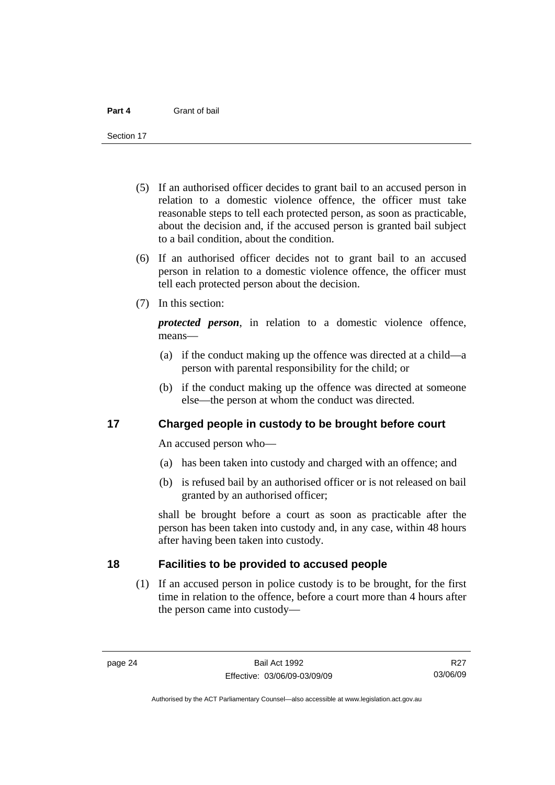<span id="page-29-0"></span>Section 17

- (5) If an authorised officer decides to grant bail to an accused person in relation to a domestic violence offence, the officer must take reasonable steps to tell each protected person, as soon as practicable, about the decision and, if the accused person is granted bail subject to a bail condition, about the condition.
- (6) If an authorised officer decides not to grant bail to an accused person in relation to a domestic violence offence, the officer must tell each protected person about the decision.
- (7) In this section:

*protected person*, in relation to a domestic violence offence, means—

- (a) if the conduct making up the offence was directed at a child—a person with parental responsibility for the child; or
- (b) if the conduct making up the offence was directed at someone else—the person at whom the conduct was directed.

## **17 Charged people in custody to be brought before court**

An accused person who—

- (a) has been taken into custody and charged with an offence; and
- (b) is refused bail by an authorised officer or is not released on bail granted by an authorised officer;

shall be brought before a court as soon as practicable after the person has been taken into custody and, in any case, within 48 hours after having been taken into custody.

## **18 Facilities to be provided to accused people**

 (1) If an accused person in police custody is to be brought, for the first time in relation to the offence, before a court more than 4 hours after the person came into custody—

Authorised by the ACT Parliamentary Counsel—also accessible at www.legislation.act.gov.au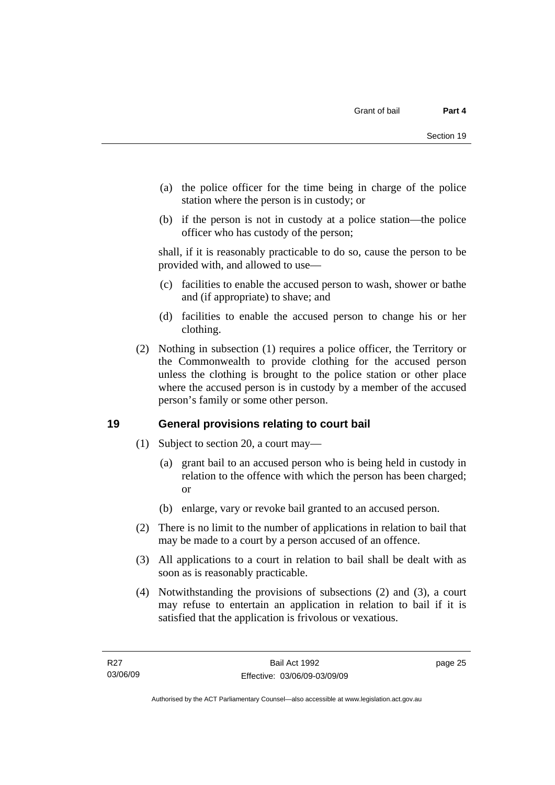- <span id="page-30-0"></span> (a) the police officer for the time being in charge of the police station where the person is in custody; or
- (b) if the person is not in custody at a police station—the police officer who has custody of the person;

shall, if it is reasonably practicable to do so, cause the person to be provided with, and allowed to use—

- (c) facilities to enable the accused person to wash, shower or bathe and (if appropriate) to shave; and
- (d) facilities to enable the accused person to change his or her clothing.
- (2) Nothing in subsection (1) requires a police officer, the Territory or the Commonwealth to provide clothing for the accused person unless the clothing is brought to the police station or other place where the accused person is in custody by a member of the accused person's family or some other person.

## **19 General provisions relating to court bail**

- (1) Subject to section 20, a court may—
	- (a) grant bail to an accused person who is being held in custody in relation to the offence with which the person has been charged; or
	- (b) enlarge, vary or revoke bail granted to an accused person.
- (2) There is no limit to the number of applications in relation to bail that may be made to a court by a person accused of an offence.
- (3) All applications to a court in relation to bail shall be dealt with as soon as is reasonably practicable.
- (4) Notwithstanding the provisions of subsections (2) and (3), a court may refuse to entertain an application in relation to bail if it is satisfied that the application is frivolous or vexatious.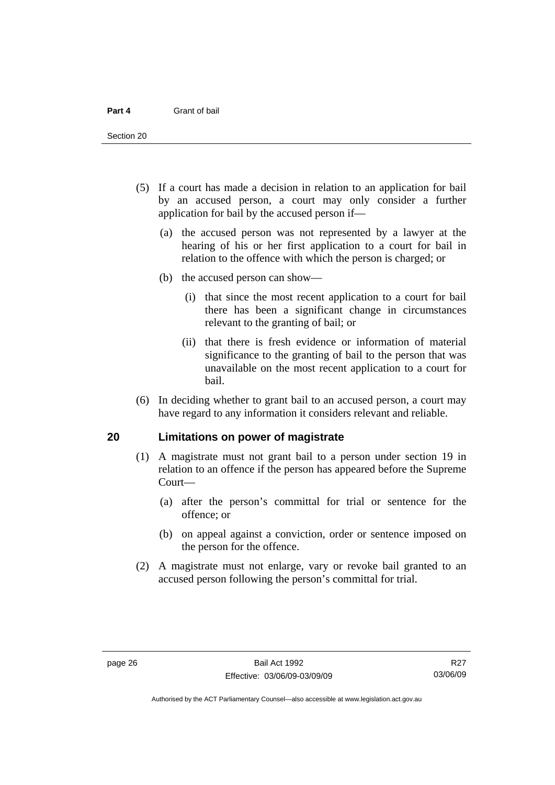<span id="page-31-0"></span>Section 20

- (5) If a court has made a decision in relation to an application for bail by an accused person, a court may only consider a further application for bail by the accused person if—
	- (a) the accused person was not represented by a lawyer at the hearing of his or her first application to a court for bail in relation to the offence with which the person is charged; or
	- (b) the accused person can show—
		- (i) that since the most recent application to a court for bail there has been a significant change in circumstances relevant to the granting of bail; or
		- (ii) that there is fresh evidence or information of material significance to the granting of bail to the person that was unavailable on the most recent application to a court for bail.
- (6) In deciding whether to grant bail to an accused person, a court may have regard to any information it considers relevant and reliable.

## **20 Limitations on power of magistrate**

- (1) A magistrate must not grant bail to a person under section 19 in relation to an offence if the person has appeared before the Supreme Court—
	- (a) after the person's committal for trial or sentence for the offence; or
	- (b) on appeal against a conviction, order or sentence imposed on the person for the offence.
- (2) A magistrate must not enlarge, vary or revoke bail granted to an accused person following the person's committal for trial.

R27 03/06/09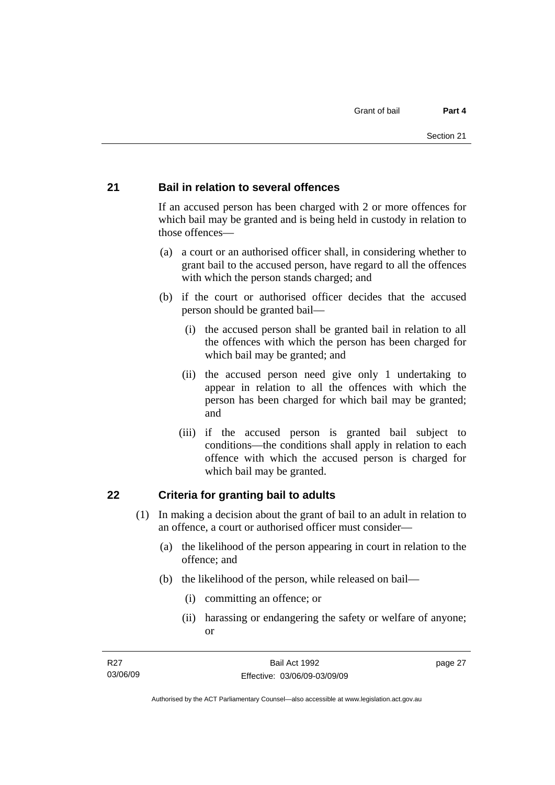## <span id="page-32-0"></span>**21 Bail in relation to several offences**

If an accused person has been charged with 2 or more offences for which bail may be granted and is being held in custody in relation to those offences—

- (a) a court or an authorised officer shall, in considering whether to grant bail to the accused person, have regard to all the offences with which the person stands charged; and
- (b) if the court or authorised officer decides that the accused person should be granted bail—
	- (i) the accused person shall be granted bail in relation to all the offences with which the person has been charged for which bail may be granted; and
	- (ii) the accused person need give only 1 undertaking to appear in relation to all the offences with which the person has been charged for which bail may be granted; and
	- (iii) if the accused person is granted bail subject to conditions—the conditions shall apply in relation to each offence with which the accused person is charged for which bail may be granted.

## **22 Criteria for granting bail to adults**

- (1) In making a decision about the grant of bail to an adult in relation to an offence, a court or authorised officer must consider—
	- (a) the likelihood of the person appearing in court in relation to the offence; and
	- (b) the likelihood of the person, while released on bail—
		- (i) committing an offence; or
		- (ii) harassing or endangering the safety or welfare of anyone; or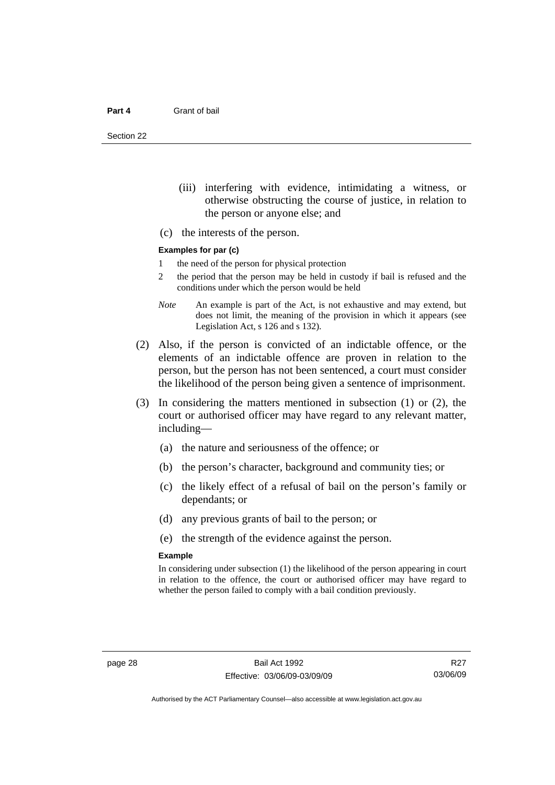Section 22

- (iii) interfering with evidence, intimidating a witness, or otherwise obstructing the course of justice, in relation to the person or anyone else; and
- (c) the interests of the person.

#### **Examples for par (c)**

- 1 the need of the person for physical protection
- 2 the period that the person may be held in custody if bail is refused and the conditions under which the person would be held
- *Note* An example is part of the Act, is not exhaustive and may extend, but does not limit, the meaning of the provision in which it appears (see Legislation Act, s 126 and s 132).
- (2) Also, if the person is convicted of an indictable offence, or the elements of an indictable offence are proven in relation to the person, but the person has not been sentenced, a court must consider the likelihood of the person being given a sentence of imprisonment.
- (3) In considering the matters mentioned in subsection (1) or (2), the court or authorised officer may have regard to any relevant matter, including—
	- (a) the nature and seriousness of the offence; or
	- (b) the person's character, background and community ties; or
	- (c) the likely effect of a refusal of bail on the person's family or dependants; or
	- (d) any previous grants of bail to the person; or
	- (e) the strength of the evidence against the person.

#### **Example**

In considering under subsection (1) the likelihood of the person appearing in court in relation to the offence, the court or authorised officer may have regard to whether the person failed to comply with a bail condition previously.

R<sub>27</sub> 03/06/09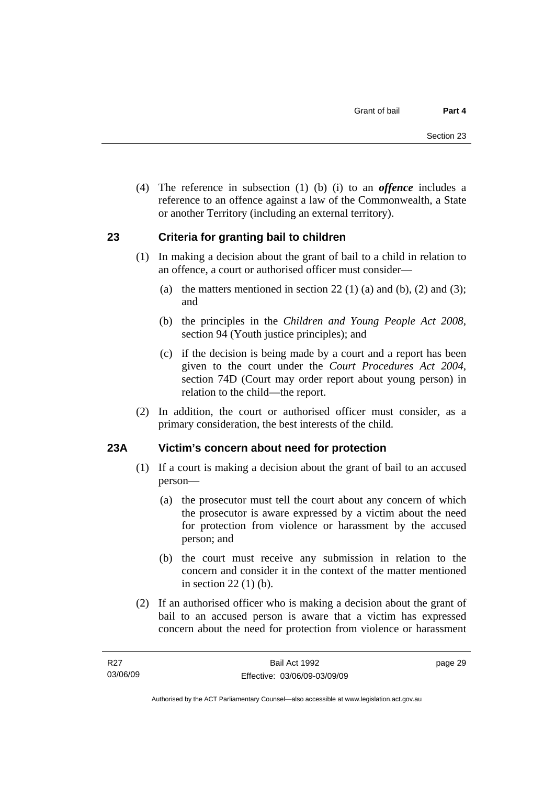<span id="page-34-0"></span> (4) The reference in subsection (1) (b) (i) to an *offence* includes a reference to an offence against a law of the Commonwealth, a State or another Territory (including an external territory).

## **23 Criteria for granting bail to children**

- (1) In making a decision about the grant of bail to a child in relation to an offence, a court or authorised officer must consider—
	- (a) the matters mentioned in section 22 (1) (a) and (b), (2) and (3); and
	- (b) the principles in the *Children and Young People Act 2008*, section 94 (Youth justice principles); and
	- (c) if the decision is being made by a court and a report has been given to the court under the *Court Procedures Act 2004*, section 74D (Court may order report about young person) in relation to the child—the report.
- (2) In addition, the court or authorised officer must consider, as a primary consideration, the best interests of the child.

## **23A Victim's concern about need for protection**

- (1) If a court is making a decision about the grant of bail to an accused person—
	- (a) the prosecutor must tell the court about any concern of which the prosecutor is aware expressed by a victim about the need for protection from violence or harassment by the accused person; and
	- (b) the court must receive any submission in relation to the concern and consider it in the context of the matter mentioned in section 22 (1) (b).
- (2) If an authorised officer who is making a decision about the grant of bail to an accused person is aware that a victim has expressed concern about the need for protection from violence or harassment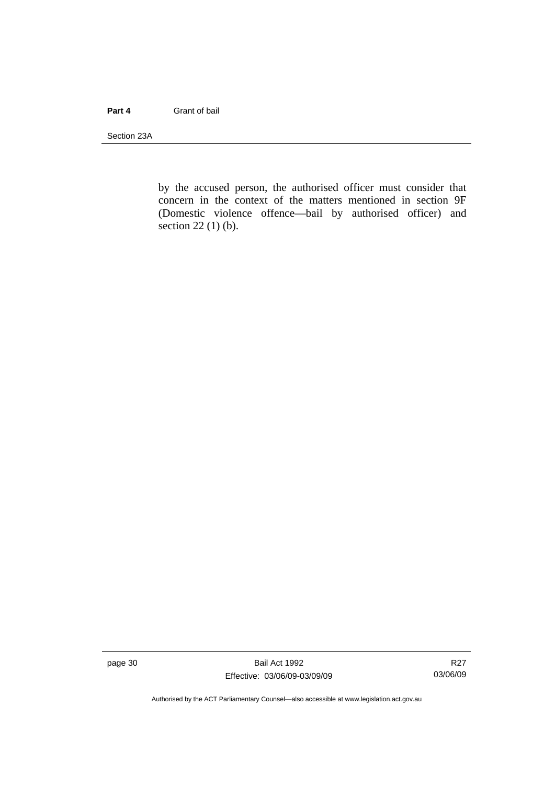#### **Part 4** Grant of bail

Section 23A

by the accused person, the authorised officer must consider that concern in the context of the matters mentioned in section 9F (Domestic violence offence—bail by authorised officer) and section 22 (1) (b).

page 30 Bail Act 1992 Effective: 03/06/09-03/09/09

R27 03/06/09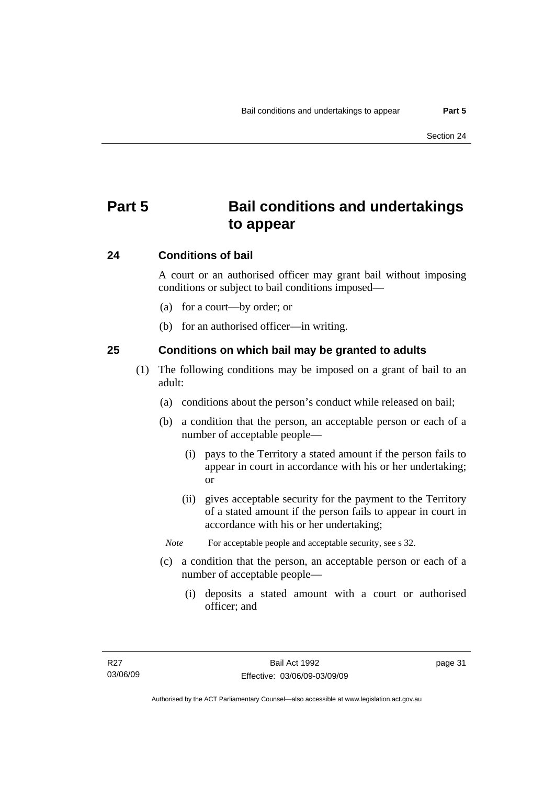# **Part 5 Bail conditions and undertakings to appear**

#### **24 Conditions of bail**

A court or an authorised officer may grant bail without imposing conditions or subject to bail conditions imposed—

- (a) for a court—by order; or
- (b) for an authorised officer—in writing.

#### **25 Conditions on which bail may be granted to adults**

- (1) The following conditions may be imposed on a grant of bail to an adult:
	- (a) conditions about the person's conduct while released on bail;
	- (b) a condition that the person, an acceptable person or each of a number of acceptable people—
		- (i) pays to the Territory a stated amount if the person fails to appear in court in accordance with his or her undertaking; or
		- (ii) gives acceptable security for the payment to the Territory of a stated amount if the person fails to appear in court in accordance with his or her undertaking;
		- *Note* For acceptable people and acceptable security, see s 32.
	- (c) a condition that the person, an acceptable person or each of a number of acceptable people—
		- (i) deposits a stated amount with a court or authorised officer; and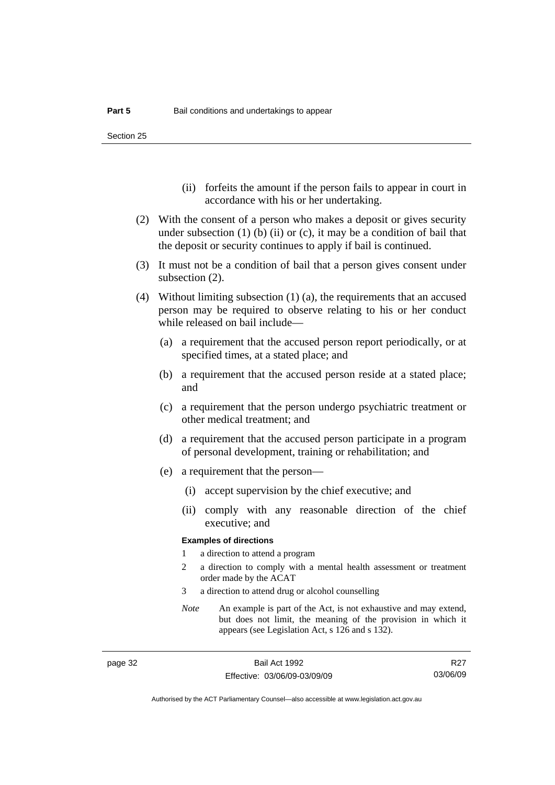Section 25

- (ii) forfeits the amount if the person fails to appear in court in accordance with his or her undertaking.
- (2) With the consent of a person who makes a deposit or gives security under subsection  $(1)$  (b)  $(ii)$  or  $(c)$ , it may be a condition of bail that the deposit or security continues to apply if bail is continued.
- (3) It must not be a condition of bail that a person gives consent under subsection (2).
- (4) Without limiting subsection (1) (a), the requirements that an accused person may be required to observe relating to his or her conduct while released on bail include—
	- (a) a requirement that the accused person report periodically, or at specified times, at a stated place; and
	- (b) a requirement that the accused person reside at a stated place; and
	- (c) a requirement that the person undergo psychiatric treatment or other medical treatment; and
	- (d) a requirement that the accused person participate in a program of personal development, training or rehabilitation; and
	- (e) a requirement that the person—
		- (i) accept supervision by the chief executive; and
		- (ii) comply with any reasonable direction of the chief executive; and

#### **Examples of directions**

- 1 a direction to attend a program
- 2 a direction to comply with a mental health assessment or treatment order made by the ACAT
- 3 a direction to attend drug or alcohol counselling
- *Note* An example is part of the Act, is not exhaustive and may extend, but does not limit, the meaning of the provision in which it appears (see Legislation Act, s 126 and s 132).

R<sub>27</sub> 03/06/09

Authorised by the ACT Parliamentary Counsel—also accessible at www.legislation.act.gov.au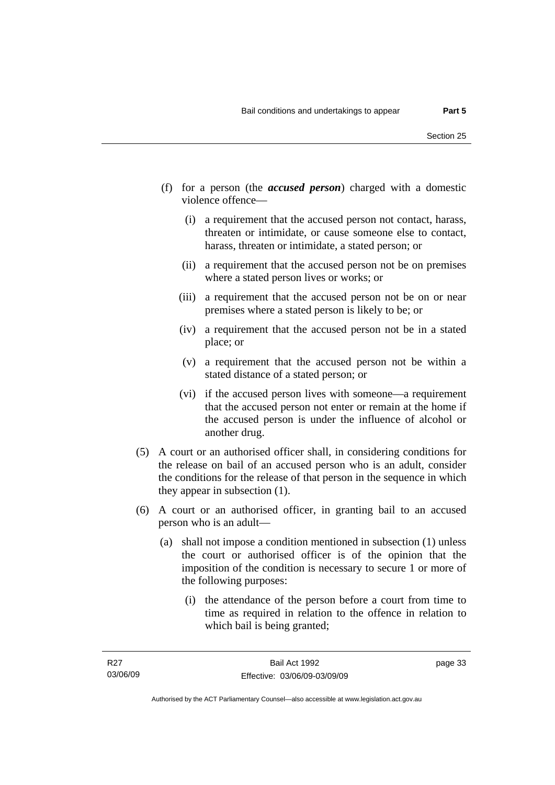- (f) for a person (the *accused person*) charged with a domestic violence offence—
	- (i) a requirement that the accused person not contact, harass, threaten or intimidate, or cause someone else to contact, harass, threaten or intimidate, a stated person; or
	- (ii) a requirement that the accused person not be on premises where a stated person lives or works; or
	- (iii) a requirement that the accused person not be on or near premises where a stated person is likely to be; or
	- (iv) a requirement that the accused person not be in a stated place; or
	- (v) a requirement that the accused person not be within a stated distance of a stated person; or
	- (vi) if the accused person lives with someone—a requirement that the accused person not enter or remain at the home if the accused person is under the influence of alcohol or another drug.
- (5) A court or an authorised officer shall, in considering conditions for the release on bail of an accused person who is an adult, consider the conditions for the release of that person in the sequence in which they appear in subsection (1).
- (6) A court or an authorised officer, in granting bail to an accused person who is an adult—
	- (a) shall not impose a condition mentioned in subsection (1) unless the court or authorised officer is of the opinion that the imposition of the condition is necessary to secure 1 or more of the following purposes:
		- (i) the attendance of the person before a court from time to time as required in relation to the offence in relation to which bail is being granted;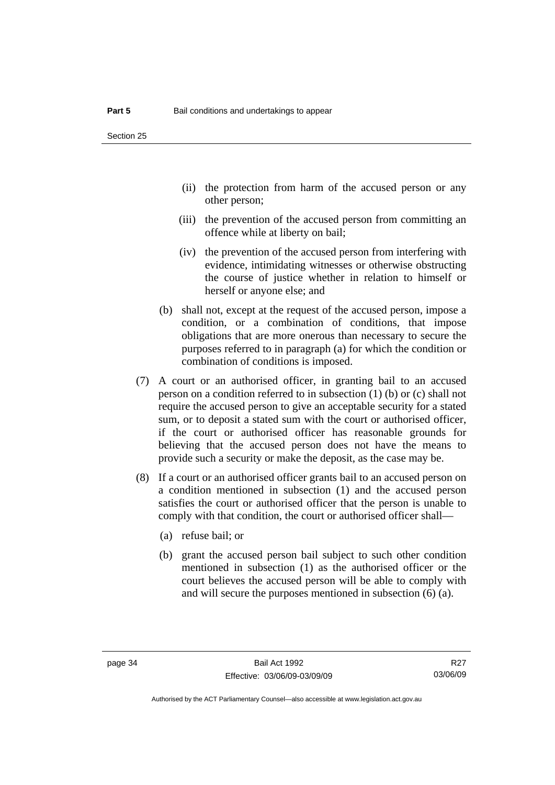- (ii) the protection from harm of the accused person or any other person;
- (iii) the prevention of the accused person from committing an offence while at liberty on bail;
- (iv) the prevention of the accused person from interfering with evidence, intimidating witnesses or otherwise obstructing the course of justice whether in relation to himself or herself or anyone else; and
- (b) shall not, except at the request of the accused person, impose a condition, or a combination of conditions, that impose obligations that are more onerous than necessary to secure the purposes referred to in paragraph (a) for which the condition or combination of conditions is imposed.
- (7) A court or an authorised officer, in granting bail to an accused person on a condition referred to in subsection (1) (b) or (c) shall not require the accused person to give an acceptable security for a stated sum, or to deposit a stated sum with the court or authorised officer, if the court or authorised officer has reasonable grounds for believing that the accused person does not have the means to provide such a security or make the deposit, as the case may be.
- (8) If a court or an authorised officer grants bail to an accused person on a condition mentioned in subsection (1) and the accused person satisfies the court or authorised officer that the person is unable to comply with that condition, the court or authorised officer shall—
	- (a) refuse bail; or
	- (b) grant the accused person bail subject to such other condition mentioned in subsection (1) as the authorised officer or the court believes the accused person will be able to comply with and will secure the purposes mentioned in subsection (6) (a).

R<sub>27</sub> 03/06/09

Authorised by the ACT Parliamentary Counsel—also accessible at www.legislation.act.gov.au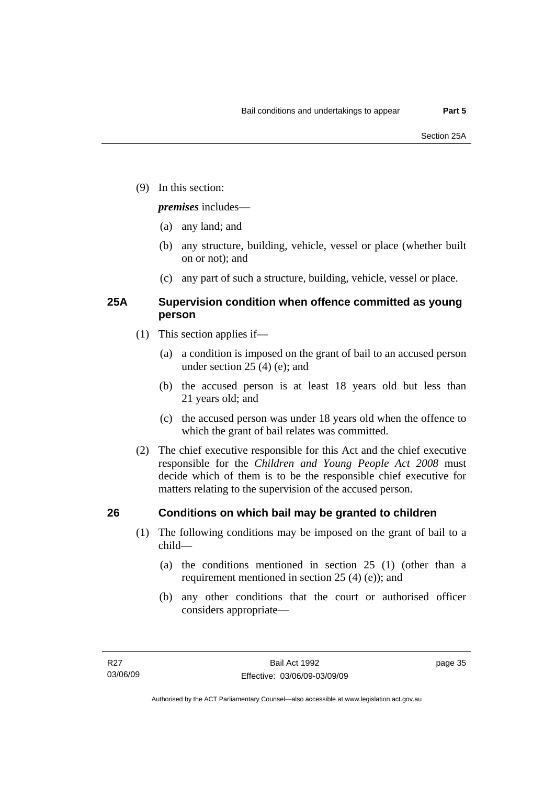(9) In this section:

#### *premises* includes—

- (a) any land; and
- (b) any structure, building, vehicle, vessel or place (whether built on or not); and
- (c) any part of such a structure, building, vehicle, vessel or place.

### **25A Supervision condition when offence committed as young person**

- (1) This section applies if—
	- (a) a condition is imposed on the grant of bail to an accused person under section 25 (4) (e); and
	- (b) the accused person is at least 18 years old but less than 21 years old; and
	- (c) the accused person was under 18 years old when the offence to which the grant of bail relates was committed.
- (2) The chief executive responsible for this Act and the chief executive responsible for the *Children and Young People Act 2008* must decide which of them is to be the responsible chief executive for matters relating to the supervision of the accused person.

## **26 Conditions on which bail may be granted to children**

- (1) The following conditions may be imposed on the grant of bail to a child—
	- (a) the conditions mentioned in section 25 (1) (other than a requirement mentioned in section 25 (4) (e)); and
	- (b) any other conditions that the court or authorised officer considers appropriate—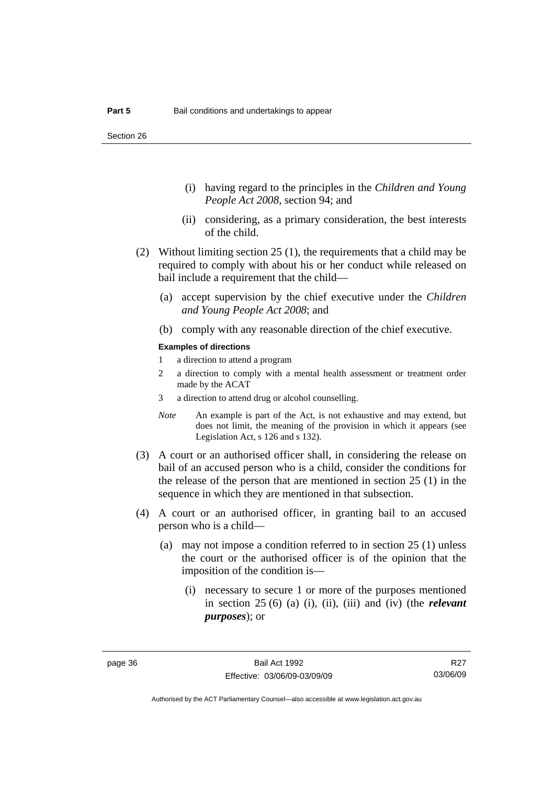- (i) having regard to the principles in the *Children and Young People Act 2008*, section 94; and
- (ii) considering, as a primary consideration, the best interests of the child.
- (2) Without limiting section 25 (1), the requirements that a child may be required to comply with about his or her conduct while released on bail include a requirement that the child—
	- (a) accept supervision by the chief executive under the *Children and Young People Act 2008*; and
	- (b) comply with any reasonable direction of the chief executive.

#### **Examples of directions**

- 1 a direction to attend a program
- 2 a direction to comply with a mental health assessment or treatment order made by the ACAT
- 3 a direction to attend drug or alcohol counselling.
- *Note* An example is part of the Act, is not exhaustive and may extend, but does not limit, the meaning of the provision in which it appears (see Legislation Act, s 126 and s 132).
- (3) A court or an authorised officer shall, in considering the release on bail of an accused person who is a child, consider the conditions for the release of the person that are mentioned in section 25 (1) in the sequence in which they are mentioned in that subsection.
- (4) A court or an authorised officer, in granting bail to an accused person who is a child—
	- (a) may not impose a condition referred to in section 25 (1) unless the court or the authorised officer is of the opinion that the imposition of the condition is—
		- (i) necessary to secure 1 or more of the purposes mentioned in section 25 (6) (a) (i), (ii), (iii) and (iv) (the *relevant purposes*); or

R<sub>27</sub> 03/06/09

Authorised by the ACT Parliamentary Counsel—also accessible at www.legislation.act.gov.au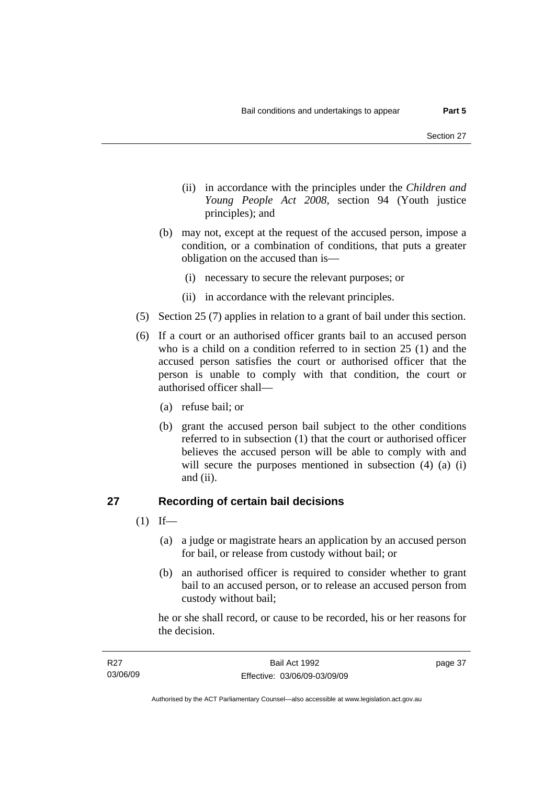- (ii) in accordance with the principles under the *Children and Young People Act 2008*, section 94 (Youth justice principles); and
- (b) may not, except at the request of the accused person, impose a condition, or a combination of conditions, that puts a greater obligation on the accused than is—
	- (i) necessary to secure the relevant purposes; or
	- (ii) in accordance with the relevant principles.
- (5) Section 25 (7) applies in relation to a grant of bail under this section.
- (6) If a court or an authorised officer grants bail to an accused person who is a child on a condition referred to in section 25 (1) and the accused person satisfies the court or authorised officer that the person is unable to comply with that condition, the court or authorised officer shall—
	- (a) refuse bail; or
	- (b) grant the accused person bail subject to the other conditions referred to in subsection (1) that the court or authorised officer believes the accused person will be able to comply with and will secure the purposes mentioned in subsection (4) (a) (i) and (ii).

### **27 Recording of certain bail decisions**

- $(1)$  If—
	- (a) a judge or magistrate hears an application by an accused person for bail, or release from custody without bail; or
	- (b) an authorised officer is required to consider whether to grant bail to an accused person, or to release an accused person from custody without bail;

he or she shall record, or cause to be recorded, his or her reasons for the decision.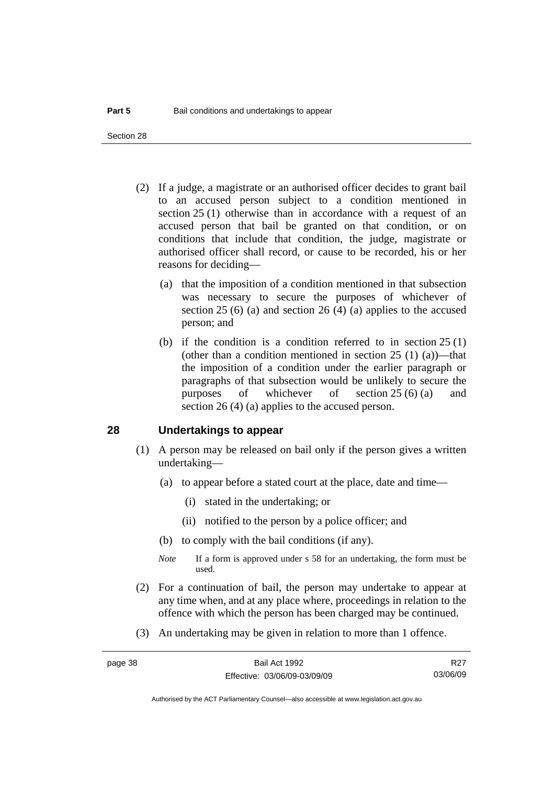Section 28

- (2) If a judge, a magistrate or an authorised officer decides to grant bail to an accused person subject to a condition mentioned in section 25 (1) otherwise than in accordance with a request of an accused person that bail be granted on that condition, or on conditions that include that condition, the judge, magistrate or authorised officer shall record, or cause to be recorded, his or her reasons for deciding—
	- (a) that the imposition of a condition mentioned in that subsection was necessary to secure the purposes of whichever of section 25 (6) (a) and section 26 (4) (a) applies to the accused person; and
	- (b) if the condition is a condition referred to in section 25 (1) (other than a condition mentioned in section  $25(1)(a)$ )—that the imposition of a condition under the earlier paragraph or paragraphs of that subsection would be unlikely to secure the purposes of whichever of section 25 (6) (a) and section 26 (4) (a) applies to the accused person.

#### **28 Undertakings to appear**

- (1) A person may be released on bail only if the person gives a written undertaking—
	- (a) to appear before a stated court at the place, date and time—
		- (i) stated in the undertaking; or
		- (ii) notified to the person by a police officer; and
	- (b) to comply with the bail conditions (if any).
	- *Note* If a form is approved under s 58 for an undertaking, the form must be used.
- (2) For a continuation of bail, the person may undertake to appear at any time when, and at any place where, proceedings in relation to the offence with which the person has been charged may be continued.
- (3) An undertaking may be given in relation to more than 1 offence.

Authorised by the ACT Parliamentary Counsel—also accessible at www.legislation.act.gov.au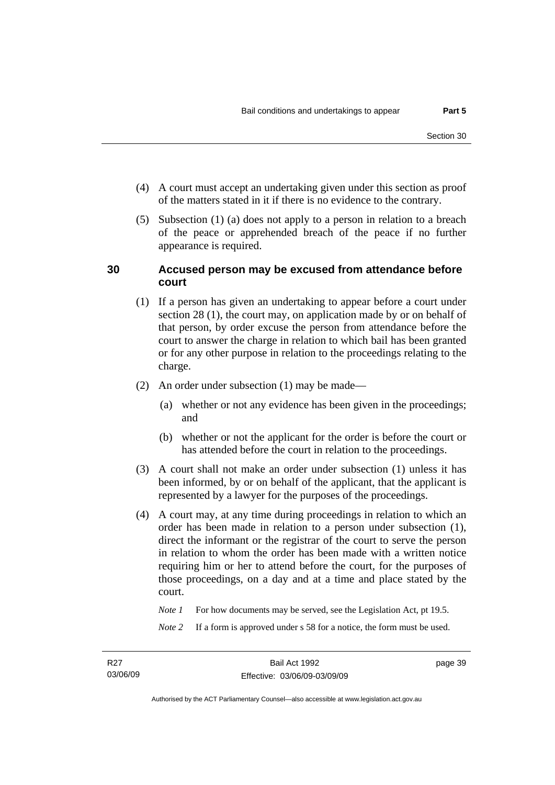- (4) A court must accept an undertaking given under this section as proof of the matters stated in it if there is no evidence to the contrary.
- (5) Subsection (1) (a) does not apply to a person in relation to a breach of the peace or apprehended breach of the peace if no further appearance is required.

#### **30 Accused person may be excused from attendance before court**

- (1) If a person has given an undertaking to appear before a court under section 28 (1), the court may, on application made by or on behalf of that person, by order excuse the person from attendance before the court to answer the charge in relation to which bail has been granted or for any other purpose in relation to the proceedings relating to the charge.
- (2) An order under subsection (1) may be made—
	- (a) whether or not any evidence has been given in the proceedings; and
	- (b) whether or not the applicant for the order is before the court or has attended before the court in relation to the proceedings.
- (3) A court shall not make an order under subsection (1) unless it has been informed, by or on behalf of the applicant, that the applicant is represented by a lawyer for the purposes of the proceedings.
- (4) A court may, at any time during proceedings in relation to which an order has been made in relation to a person under subsection (1), direct the informant or the registrar of the court to serve the person in relation to whom the order has been made with a written notice requiring him or her to attend before the court, for the purposes of those proceedings, on a day and at a time and place stated by the court.

*Note 1* For how documents may be served, see the Legislation Act, pt 19.5.

*Note* 2 If a form is approved under s 58 for a notice, the form must be used.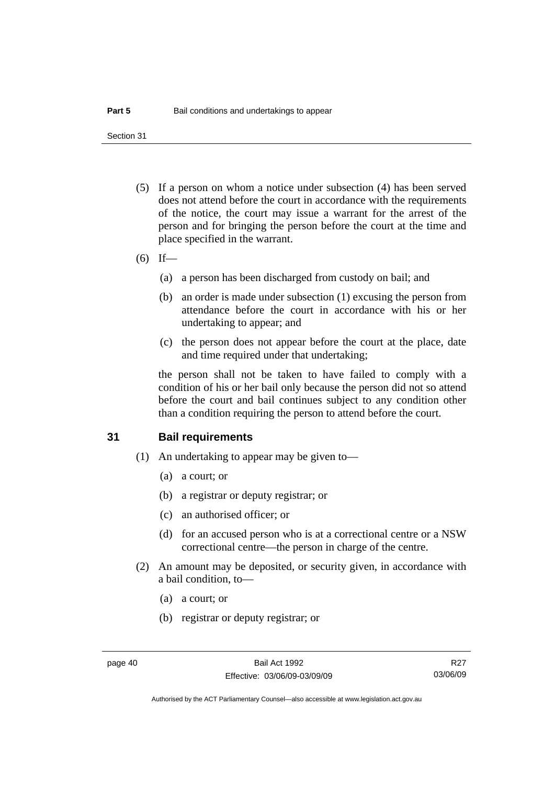Section 31

- (5) If a person on whom a notice under subsection (4) has been served does not attend before the court in accordance with the requirements of the notice, the court may issue a warrant for the arrest of the person and for bringing the person before the court at the time and place specified in the warrant.
- $(6)$  If—
	- (a) a person has been discharged from custody on bail; and
	- (b) an order is made under subsection (1) excusing the person from attendance before the court in accordance with his or her undertaking to appear; and
	- (c) the person does not appear before the court at the place, date and time required under that undertaking;

the person shall not be taken to have failed to comply with a condition of his or her bail only because the person did not so attend before the court and bail continues subject to any condition other than a condition requiring the person to attend before the court.

#### **31 Bail requirements**

- (1) An undertaking to appear may be given to—
	- (a) a court; or
	- (b) a registrar or deputy registrar; or
	- (c) an authorised officer; or
	- (d) for an accused person who is at a correctional centre or a NSW correctional centre—the person in charge of the centre.
- (2) An amount may be deposited, or security given, in accordance with a bail condition, to—
	- (a) a court; or
	- (b) registrar or deputy registrar; or

R<sub>27</sub> 03/06/09

Authorised by the ACT Parliamentary Counsel—also accessible at www.legislation.act.gov.au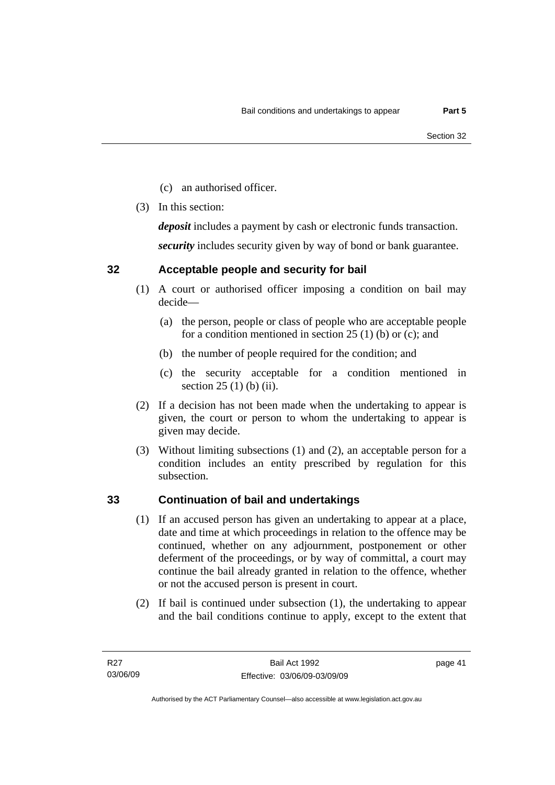- (c) an authorised officer.
- (3) In this section:

*deposit* includes a payment by cash or electronic funds transaction.

*security* includes security given by way of bond or bank guarantee.

### **32 Acceptable people and security for bail**

- (1) A court or authorised officer imposing a condition on bail may decide—
	- (a) the person, people or class of people who are acceptable people for a condition mentioned in section 25 (1) (b) or (c); and
	- (b) the number of people required for the condition; and
	- (c) the security acceptable for a condition mentioned in section 25 (1) (b) (ii).
- (2) If a decision has not been made when the undertaking to appear is given, the court or person to whom the undertaking to appear is given may decide.
- (3) Without limiting subsections (1) and (2), an acceptable person for a condition includes an entity prescribed by regulation for this subsection.

### **33 Continuation of bail and undertakings**

- (1) If an accused person has given an undertaking to appear at a place, date and time at which proceedings in relation to the offence may be continued, whether on any adjournment, postponement or other deferment of the proceedings, or by way of committal, a court may continue the bail already granted in relation to the offence, whether or not the accused person is present in court.
- (2) If bail is continued under subsection (1), the undertaking to appear and the bail conditions continue to apply, except to the extent that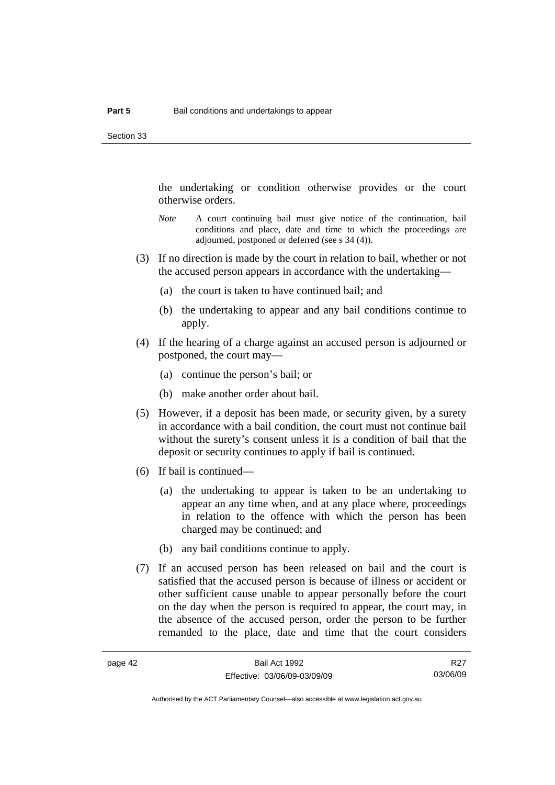the undertaking or condition otherwise provides or the court otherwise orders.

- *Note* A court continuing bail must give notice of the continuation, bail conditions and place, date and time to which the proceedings are adjourned, postponed or deferred (see s 34 (4)).
- (3) If no direction is made by the court in relation to bail, whether or not the accused person appears in accordance with the undertaking—
	- (a) the court is taken to have continued bail; and
	- (b) the undertaking to appear and any bail conditions continue to apply.
- (4) If the hearing of a charge against an accused person is adjourned or postponed, the court may—
	- (a) continue the person's bail; or
	- (b) make another order about bail.
- (5) However, if a deposit has been made, or security given, by a surety in accordance with a bail condition, the court must not continue bail without the surety's consent unless it is a condition of bail that the deposit or security continues to apply if bail is continued.
- (6) If bail is continued—
	- (a) the undertaking to appear is taken to be an undertaking to appear an any time when, and at any place where, proceedings in relation to the offence with which the person has been charged may be continued; and
	- (b) any bail conditions continue to apply.
- (7) If an accused person has been released on bail and the court is satisfied that the accused person is because of illness or accident or other sufficient cause unable to appear personally before the court on the day when the person is required to appear, the court may, in the absence of the accused person, order the person to be further remanded to the place, date and time that the court considers

R<sub>27</sub> 03/06/09

Authorised by the ACT Parliamentary Counsel—also accessible at www.legislation.act.gov.au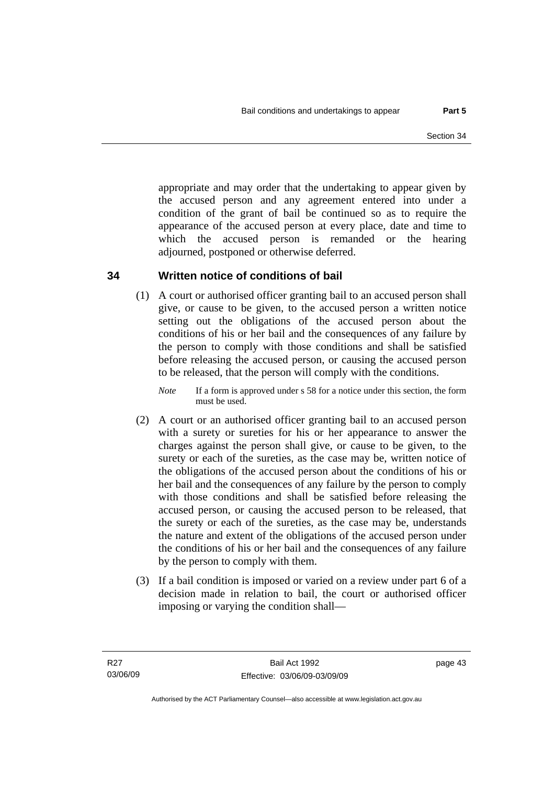appropriate and may order that the undertaking to appear given by the accused person and any agreement entered into under a condition of the grant of bail be continued so as to require the appearance of the accused person at every place, date and time to which the accused person is remanded or the hearing adjourned, postponed or otherwise deferred.

### **34 Written notice of conditions of bail**

 (1) A court or authorised officer granting bail to an accused person shall give, or cause to be given, to the accused person a written notice setting out the obligations of the accused person about the conditions of his or her bail and the consequences of any failure by the person to comply with those conditions and shall be satisfied before releasing the accused person, or causing the accused person to be released, that the person will comply with the conditions.

*Note* If a form is approved under s 58 for a notice under this section, the form must be used.

- (2) A court or an authorised officer granting bail to an accused person with a surety or sureties for his or her appearance to answer the charges against the person shall give, or cause to be given, to the surety or each of the sureties, as the case may be, written notice of the obligations of the accused person about the conditions of his or her bail and the consequences of any failure by the person to comply with those conditions and shall be satisfied before releasing the accused person, or causing the accused person to be released, that the surety or each of the sureties, as the case may be, understands the nature and extent of the obligations of the accused person under the conditions of his or her bail and the consequences of any failure by the person to comply with them.
- (3) If a bail condition is imposed or varied on a review under part 6 of a decision made in relation to bail, the court or authorised officer imposing or varying the condition shall—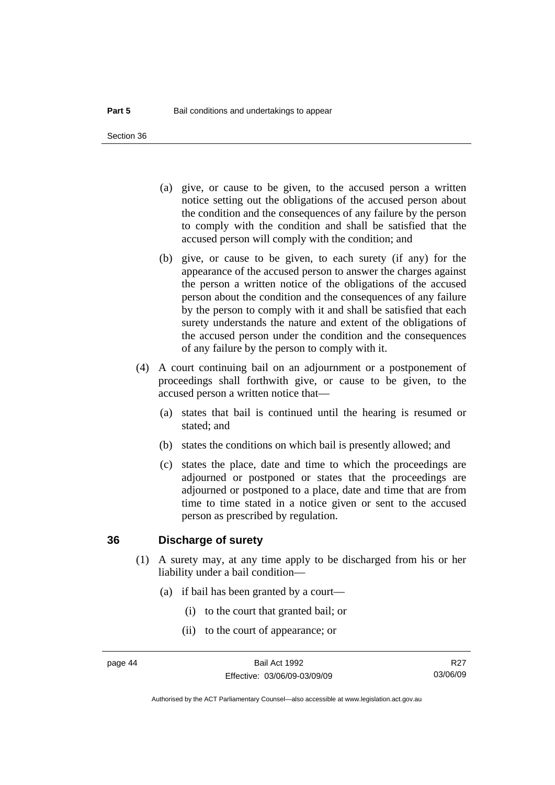Section 36

- (a) give, or cause to be given, to the accused person a written notice setting out the obligations of the accused person about the condition and the consequences of any failure by the person to comply with the condition and shall be satisfied that the accused person will comply with the condition; and
- (b) give, or cause to be given, to each surety (if any) for the appearance of the accused person to answer the charges against the person a written notice of the obligations of the accused person about the condition and the consequences of any failure by the person to comply with it and shall be satisfied that each surety understands the nature and extent of the obligations of the accused person under the condition and the consequences of any failure by the person to comply with it.
- (4) A court continuing bail on an adjournment or a postponement of proceedings shall forthwith give, or cause to be given, to the accused person a written notice that—
	- (a) states that bail is continued until the hearing is resumed or stated; and
	- (b) states the conditions on which bail is presently allowed; and
	- (c) states the place, date and time to which the proceedings are adjourned or postponed or states that the proceedings are adjourned or postponed to a place, date and time that are from time to time stated in a notice given or sent to the accused person as prescribed by regulation.

#### **36 Discharge of surety**

- (1) A surety may, at any time apply to be discharged from his or her liability under a bail condition—
	- (a) if bail has been granted by a court—
		- (i) to the court that granted bail; or
		- (ii) to the court of appearance; or

R<sub>27</sub> 03/06/09

Authorised by the ACT Parliamentary Counsel—also accessible at www.legislation.act.gov.au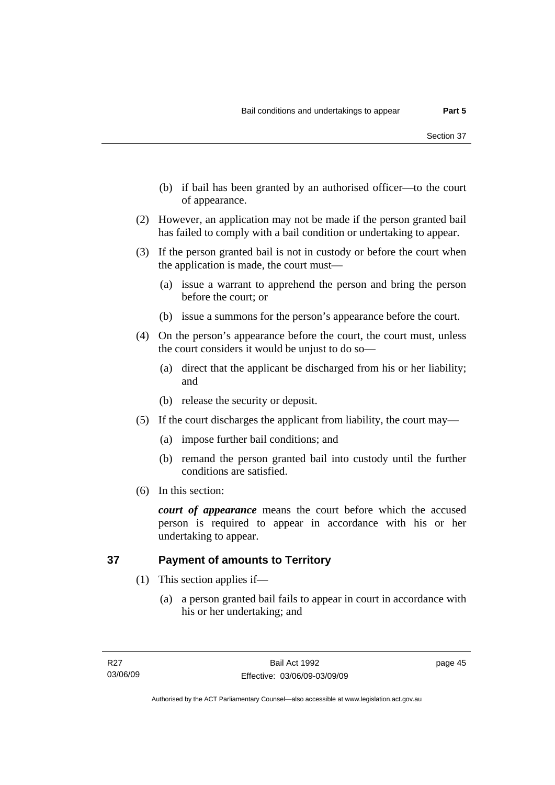- (b) if bail has been granted by an authorised officer—to the court of appearance.
- (2) However, an application may not be made if the person granted bail has failed to comply with a bail condition or undertaking to appear.
- (3) If the person granted bail is not in custody or before the court when the application is made, the court must—
	- (a) issue a warrant to apprehend the person and bring the person before the court; or
	- (b) issue a summons for the person's appearance before the court.
- (4) On the person's appearance before the court, the court must, unless the court considers it would be unjust to do so—
	- (a) direct that the applicant be discharged from his or her liability; and
	- (b) release the security or deposit.
- (5) If the court discharges the applicant from liability, the court may—
	- (a) impose further bail conditions; and
	- (b) remand the person granted bail into custody until the further conditions are satisfied.
- (6) In this section:

*court of appearance* means the court before which the accused person is required to appear in accordance with his or her undertaking to appear.

### **37 Payment of amounts to Territory**

- (1) This section applies if—
	- (a) a person granted bail fails to appear in court in accordance with his or her undertaking; and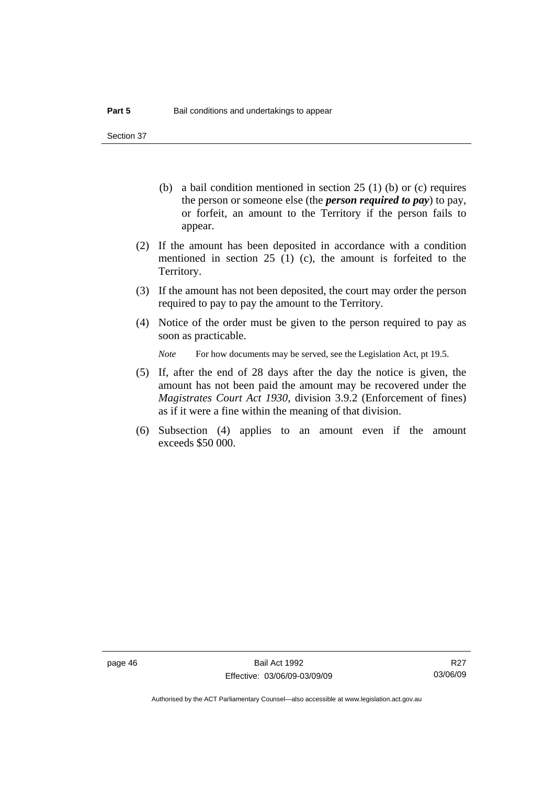Section 37

- (b) a bail condition mentioned in section 25 (1) (b) or (c) requires the person or someone else (the *person required to pay*) to pay, or forfeit, an amount to the Territory if the person fails to appear.
- (2) If the amount has been deposited in accordance with a condition mentioned in section 25 (1) (c), the amount is forfeited to the Territory.
- (3) If the amount has not been deposited, the court may order the person required to pay to pay the amount to the Territory.
- (4) Notice of the order must be given to the person required to pay as soon as practicable.

*Note* For how documents may be served, see the Legislation Act, pt 19.5.

- (5) If, after the end of 28 days after the day the notice is given, the amount has not been paid the amount may be recovered under the *Magistrates Court Act 1930*, division 3.9.2 (Enforcement of fines) as if it were a fine within the meaning of that division.
- (6) Subsection (4) applies to an amount even if the amount exceeds \$50 000.

R<sub>27</sub> 03/06/09

Authorised by the ACT Parliamentary Counsel—also accessible at www.legislation.act.gov.au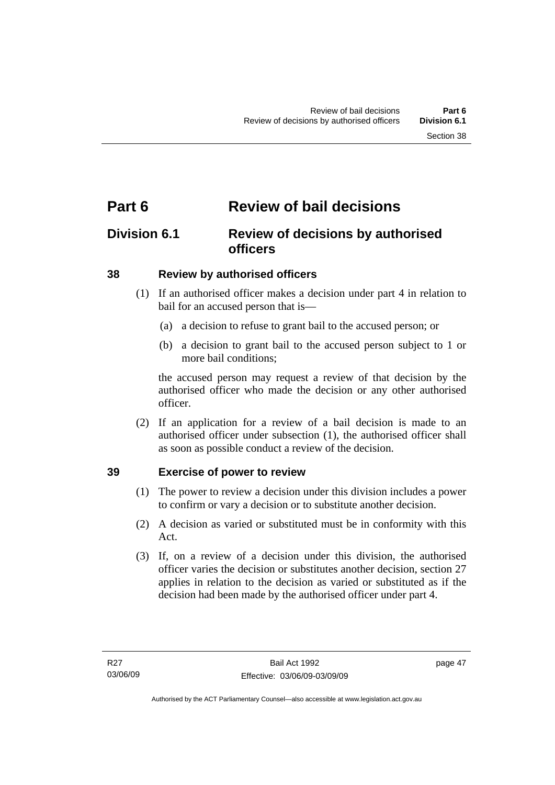# **Part 6 Review of bail decisions**

# **Division 6.1 Review of decisions by authorised officers**

### **38 Review by authorised officers**

- (1) If an authorised officer makes a decision under part 4 in relation to bail for an accused person that is—
	- (a) a decision to refuse to grant bail to the accused person; or
	- (b) a decision to grant bail to the accused person subject to 1 or more bail conditions;

the accused person may request a review of that decision by the authorised officer who made the decision or any other authorised officer.

 (2) If an application for a review of a bail decision is made to an authorised officer under subsection (1), the authorised officer shall as soon as possible conduct a review of the decision.

### **39 Exercise of power to review**

- (1) The power to review a decision under this division includes a power to confirm or vary a decision or to substitute another decision.
- (2) A decision as varied or substituted must be in conformity with this Act.
- (3) If, on a review of a decision under this division, the authorised officer varies the decision or substitutes another decision, section 27 applies in relation to the decision as varied or substituted as if the decision had been made by the authorised officer under part 4.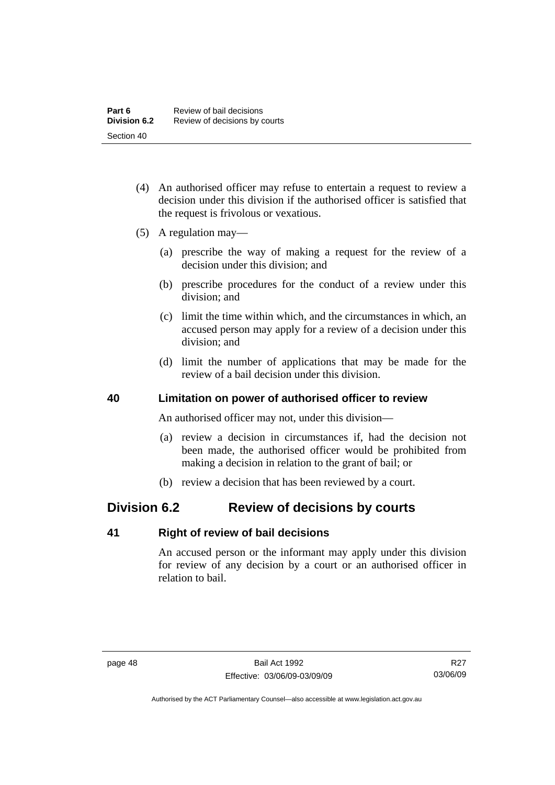- (4) An authorised officer may refuse to entertain a request to review a decision under this division if the authorised officer is satisfied that the request is frivolous or vexatious.
- (5) A regulation may—
	- (a) prescribe the way of making a request for the review of a decision under this division; and
	- (b) prescribe procedures for the conduct of a review under this division; and
	- (c) limit the time within which, and the circumstances in which, an accused person may apply for a review of a decision under this division; and
	- (d) limit the number of applications that may be made for the review of a bail decision under this division.

#### **40 Limitation on power of authorised officer to review**

An authorised officer may not, under this division—

- (a) review a decision in circumstances if, had the decision not been made, the authorised officer would be prohibited from making a decision in relation to the grant of bail; or
- (b) review a decision that has been reviewed by a court.

# **Division 6.2 Review of decisions by courts**

#### **41 Right of review of bail decisions**

An accused person or the informant may apply under this division for review of any decision by a court or an authorised officer in relation to bail.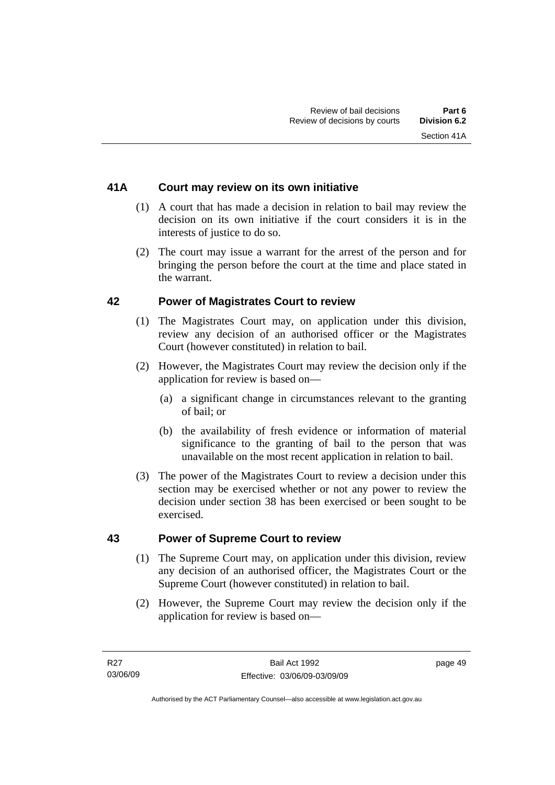### **41A Court may review on its own initiative**

- (1) A court that has made a decision in relation to bail may review the decision on its own initiative if the court considers it is in the interests of justice to do so.
- (2) The court may issue a warrant for the arrest of the person and for bringing the person before the court at the time and place stated in the warrant.

#### **42 Power of Magistrates Court to review**

- (1) The Magistrates Court may, on application under this division, review any decision of an authorised officer or the Magistrates Court (however constituted) in relation to bail.
- (2) However, the Magistrates Court may review the decision only if the application for review is based on—
	- (a) a significant change in circumstances relevant to the granting of bail; or
	- (b) the availability of fresh evidence or information of material significance to the granting of bail to the person that was unavailable on the most recent application in relation to bail.
- (3) The power of the Magistrates Court to review a decision under this section may be exercised whether or not any power to review the decision under section 38 has been exercised or been sought to be exercised.

#### **43 Power of Supreme Court to review**

- (1) The Supreme Court may, on application under this division, review any decision of an authorised officer, the Magistrates Court or the Supreme Court (however constituted) in relation to bail.
- (2) However, the Supreme Court may review the decision only if the application for review is based on—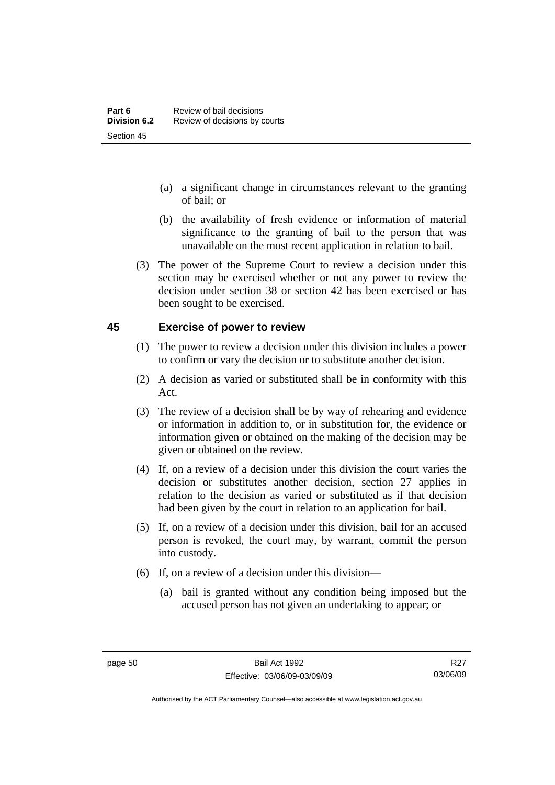- (a) a significant change in circumstances relevant to the granting of bail; or
- (b) the availability of fresh evidence or information of material significance to the granting of bail to the person that was unavailable on the most recent application in relation to bail.
- (3) The power of the Supreme Court to review a decision under this section may be exercised whether or not any power to review the decision under section 38 or section 42 has been exercised or has been sought to be exercised.

#### **45 Exercise of power to review**

- (1) The power to review a decision under this division includes a power to confirm or vary the decision or to substitute another decision.
- (2) A decision as varied or substituted shall be in conformity with this Act.
- (3) The review of a decision shall be by way of rehearing and evidence or information in addition to, or in substitution for, the evidence or information given or obtained on the making of the decision may be given or obtained on the review.
- (4) If, on a review of a decision under this division the court varies the decision or substitutes another decision, section 27 applies in relation to the decision as varied or substituted as if that decision had been given by the court in relation to an application for bail.
- (5) If, on a review of a decision under this division, bail for an accused person is revoked, the court may, by warrant, commit the person into custody.
- (6) If, on a review of a decision under this division—
	- (a) bail is granted without any condition being imposed but the accused person has not given an undertaking to appear; or

R<sub>27</sub> 03/06/09

Authorised by the ACT Parliamentary Counsel—also accessible at www.legislation.act.gov.au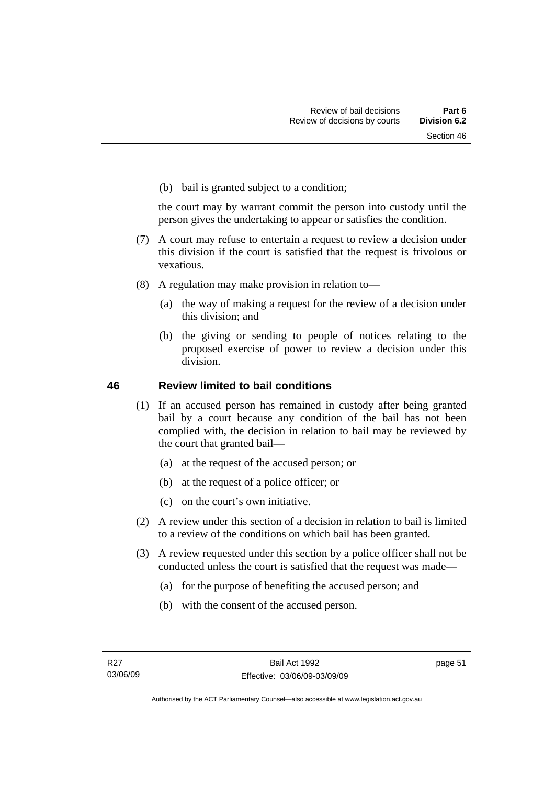(b) bail is granted subject to a condition;

the court may by warrant commit the person into custody until the person gives the undertaking to appear or satisfies the condition.

- (7) A court may refuse to entertain a request to review a decision under this division if the court is satisfied that the request is frivolous or vexatious.
- (8) A regulation may make provision in relation to—
	- (a) the way of making a request for the review of a decision under this division; and
	- (b) the giving or sending to people of notices relating to the proposed exercise of power to review a decision under this division.

#### **46 Review limited to bail conditions**

- (1) If an accused person has remained in custody after being granted bail by a court because any condition of the bail has not been complied with, the decision in relation to bail may be reviewed by the court that granted bail—
	- (a) at the request of the accused person; or
	- (b) at the request of a police officer; or
	- (c) on the court's own initiative.
- (2) A review under this section of a decision in relation to bail is limited to a review of the conditions on which bail has been granted.
- (3) A review requested under this section by a police officer shall not be conducted unless the court is satisfied that the request was made—
	- (a) for the purpose of benefiting the accused person; and
	- (b) with the consent of the accused person.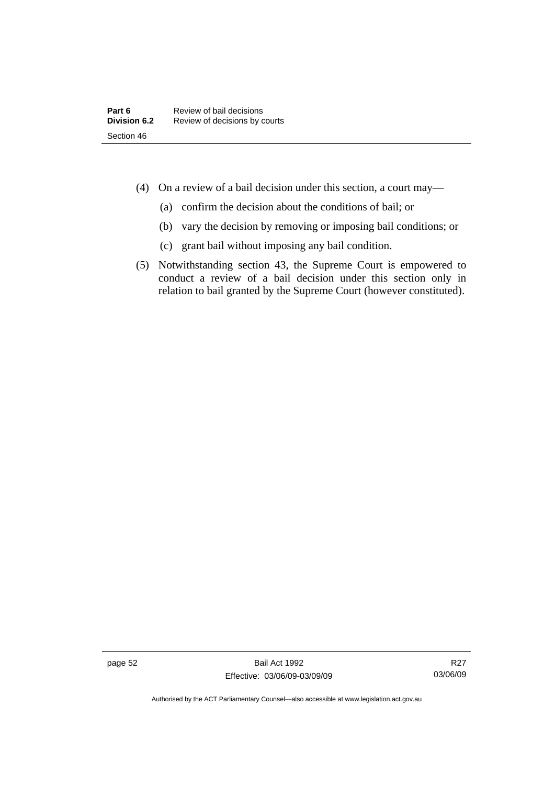- (4) On a review of a bail decision under this section, a court may—
	- (a) confirm the decision about the conditions of bail; or
	- (b) vary the decision by removing or imposing bail conditions; or
	- (c) grant bail without imposing any bail condition.
- (5) Notwithstanding section 43, the Supreme Court is empowered to conduct a review of a bail decision under this section only in relation to bail granted by the Supreme Court (however constituted).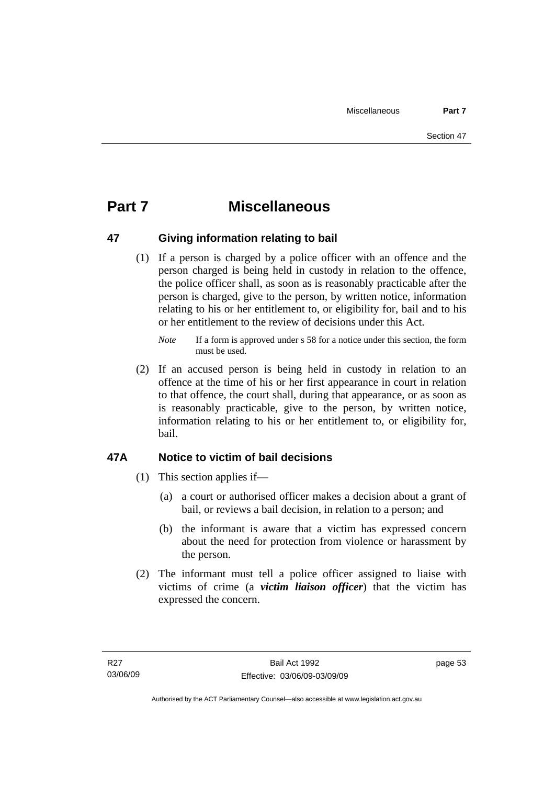# **Part 7 Miscellaneous**

### **47 Giving information relating to bail**

 (1) If a person is charged by a police officer with an offence and the person charged is being held in custody in relation to the offence, the police officer shall, as soon as is reasonably practicable after the person is charged, give to the person, by written notice, information relating to his or her entitlement to, or eligibility for, bail and to his or her entitlement to the review of decisions under this Act.

 (2) If an accused person is being held in custody in relation to an offence at the time of his or her first appearance in court in relation to that offence, the court shall, during that appearance, or as soon as is reasonably practicable, give to the person, by written notice, information relating to his or her entitlement to, or eligibility for, bail.

## **47A Notice to victim of bail decisions**

- (1) This section applies if—
	- (a) a court or authorised officer makes a decision about a grant of bail, or reviews a bail decision, in relation to a person; and
	- (b) the informant is aware that a victim has expressed concern about the need for protection from violence or harassment by the person.
- (2) The informant must tell a police officer assigned to liaise with victims of crime (a *victim liaison officer*) that the victim has expressed the concern.

*Note* If a form is approved under s 58 for a notice under this section, the form must be used.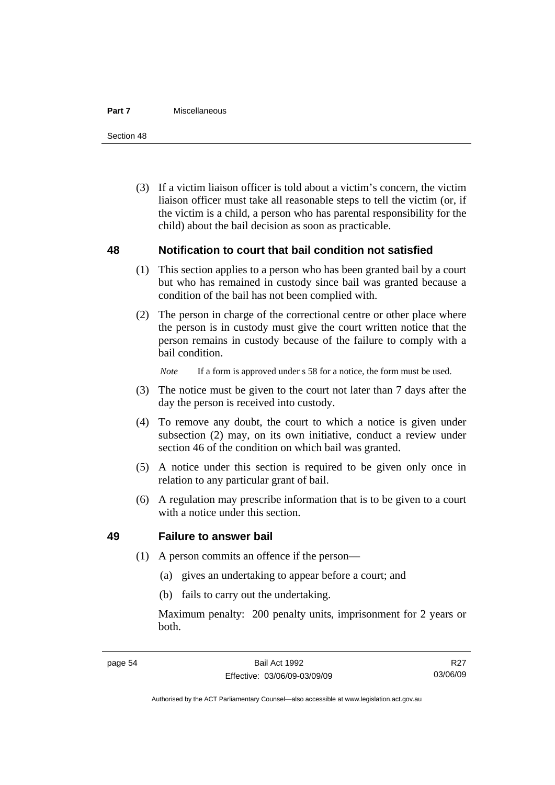#### **Part 7** Miscellaneous

Section 48

 (3) If a victim liaison officer is told about a victim's concern, the victim liaison officer must take all reasonable steps to tell the victim (or, if the victim is a child, a person who has parental responsibility for the child) about the bail decision as soon as practicable.

#### **48 Notification to court that bail condition not satisfied**

- (1) This section applies to a person who has been granted bail by a court but who has remained in custody since bail was granted because a condition of the bail has not been complied with.
- (2) The person in charge of the correctional centre or other place where the person is in custody must give the court written notice that the person remains in custody because of the failure to comply with a bail condition.

*Note* If a form is approved under s 58 for a notice, the form must be used.

- (3) The notice must be given to the court not later than 7 days after the day the person is received into custody.
- (4) To remove any doubt, the court to which a notice is given under subsection (2) may, on its own initiative, conduct a review under section 46 of the condition on which bail was granted.
- (5) A notice under this section is required to be given only once in relation to any particular grant of bail.
- (6) A regulation may prescribe information that is to be given to a court with a notice under this section.

#### **49 Failure to answer bail**

- (1) A person commits an offence if the person—
	- (a) gives an undertaking to appear before a court; and
	- (b) fails to carry out the undertaking.

Maximum penalty: 200 penalty units, imprisonment for 2 years or both.

R<sub>27</sub> 03/06/09

Authorised by the ACT Parliamentary Counsel—also accessible at www.legislation.act.gov.au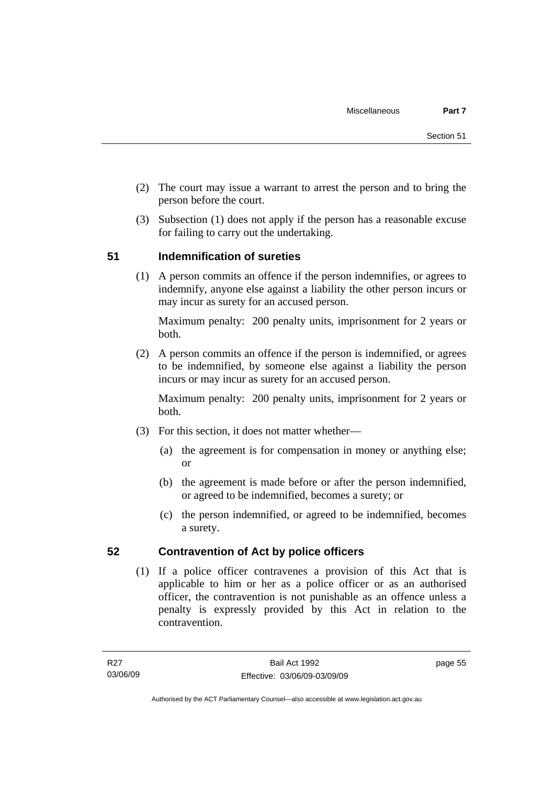- (2) The court may issue a warrant to arrest the person and to bring the person before the court.
- (3) Subsection (1) does not apply if the person has a reasonable excuse for failing to carry out the undertaking.

### **51 Indemnification of sureties**

 (1) A person commits an offence if the person indemnifies, or agrees to indemnify, anyone else against a liability the other person incurs or may incur as surety for an accused person.

Maximum penalty: 200 penalty units, imprisonment for 2 years or both.

 (2) A person commits an offence if the person is indemnified, or agrees to be indemnified, by someone else against a liability the person incurs or may incur as surety for an accused person.

Maximum penalty: 200 penalty units, imprisonment for 2 years or both.

- (3) For this section, it does not matter whether—
	- (a) the agreement is for compensation in money or anything else; or
	- (b) the agreement is made before or after the person indemnified, or agreed to be indemnified, becomes a surety; or
	- (c) the person indemnified, or agreed to be indemnified, becomes a surety.

### **52 Contravention of Act by police officers**

 (1) If a police officer contravenes a provision of this Act that is applicable to him or her as a police officer or as an authorised officer, the contravention is not punishable as an offence unless a penalty is expressly provided by this Act in relation to the contravention.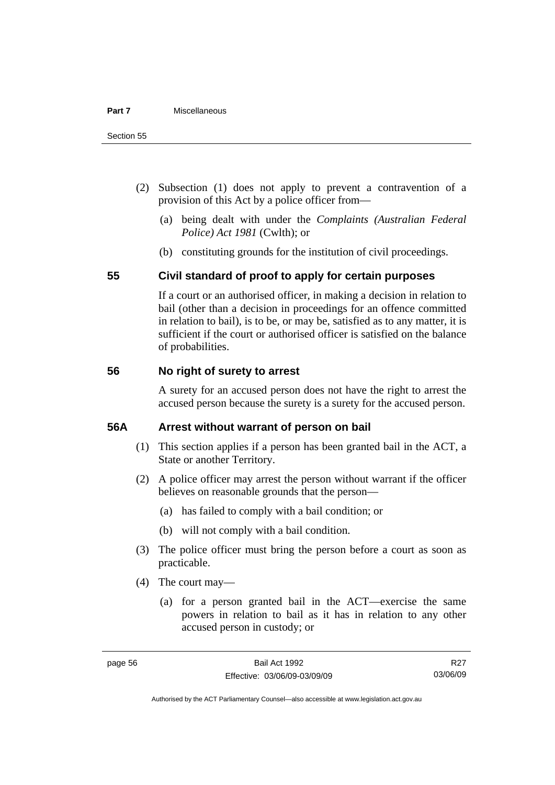- (2) Subsection (1) does not apply to prevent a contravention of a provision of this Act by a police officer from—
	- (a) being dealt with under the *Complaints (Australian Federal Police) Act 1981* (Cwlth); or
	- (b) constituting grounds for the institution of civil proceedings.

#### **55 Civil standard of proof to apply for certain purposes**

If a court or an authorised officer, in making a decision in relation to bail (other than a decision in proceedings for an offence committed in relation to bail), is to be, or may be, satisfied as to any matter, it is sufficient if the court or authorised officer is satisfied on the balance of probabilities.

#### **56 No right of surety to arrest**

A surety for an accused person does not have the right to arrest the accused person because the surety is a surety for the accused person.

#### **56A Arrest without warrant of person on bail**

- (1) This section applies if a person has been granted bail in the ACT, a State or another Territory.
- (2) A police officer may arrest the person without warrant if the officer believes on reasonable grounds that the person—
	- (a) has failed to comply with a bail condition; or
	- (b) will not comply with a bail condition.
- (3) The police officer must bring the person before a court as soon as practicable.
- (4) The court may—
	- (a) for a person granted bail in the ACT—exercise the same powers in relation to bail as it has in relation to any other accused person in custody; or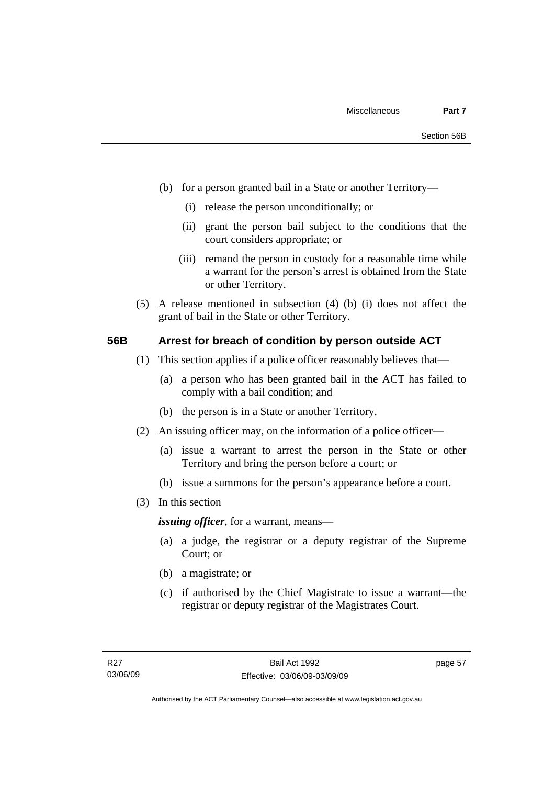- (b) for a person granted bail in a State or another Territory—
	- (i) release the person unconditionally; or
	- (ii) grant the person bail subject to the conditions that the court considers appropriate; or
	- (iii) remand the person in custody for a reasonable time while a warrant for the person's arrest is obtained from the State or other Territory.
- (5) A release mentioned in subsection (4) (b) (i) does not affect the grant of bail in the State or other Territory.

#### **56B Arrest for breach of condition by person outside ACT**

- (1) This section applies if a police officer reasonably believes that—
	- (a) a person who has been granted bail in the ACT has failed to comply with a bail condition; and
	- (b) the person is in a State or another Territory.
- (2) An issuing officer may, on the information of a police officer—
	- (a) issue a warrant to arrest the person in the State or other Territory and bring the person before a court; or
	- (b) issue a summons for the person's appearance before a court.
- (3) In this section

*issuing officer*, for a warrant, means—

- (a) a judge, the registrar or a deputy registrar of the Supreme Court; or
- (b) a magistrate; or
- (c) if authorised by the Chief Magistrate to issue a warrant—the registrar or deputy registrar of the Magistrates Court.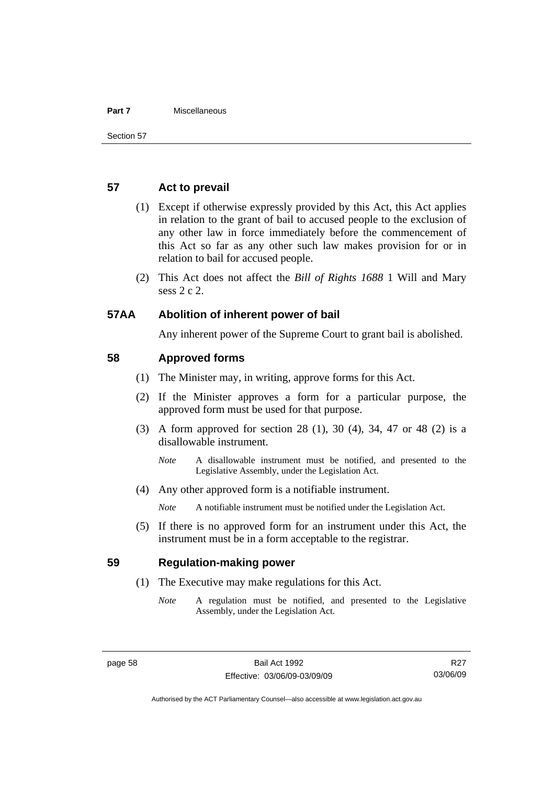#### **Part 7** Miscellaneous

#### **57 Act to prevail**

- (1) Except if otherwise expressly provided by this Act, this Act applies in relation to the grant of bail to accused people to the exclusion of any other law in force immediately before the commencement of this Act so far as any other such law makes provision for or in relation to bail for accused people.
- (2) This Act does not affect the *Bill of Rights 1688* 1 Will and Mary sess 2 c 2.

#### **57AA Abolition of inherent power of bail**

Any inherent power of the Supreme Court to grant bail is abolished.

#### **58 Approved forms**

- (1) The Minister may, in writing, approve forms for this Act.
- (2) If the Minister approves a form for a particular purpose, the approved form must be used for that purpose.
- (3) A form approved for section 28 (1), 30 (4), 34, 47 or 48 (2) is a disallowable instrument.
	- *Note* A disallowable instrument must be notified, and presented to the Legislative Assembly, under the Legislation Act.
- (4) Any other approved form is a notifiable instrument.

*Note* A notifiable instrument must be notified under the Legislation Act.

 (5) If there is no approved form for an instrument under this Act, the instrument must be in a form acceptable to the registrar.

#### **59 Regulation-making power**

- (1) The Executive may make regulations for this Act.
	- *Note* A regulation must be notified, and presented to the Legislative Assembly, under the Legislation Act.

Authorised by the ACT Parliamentary Counsel—also accessible at www.legislation.act.gov.au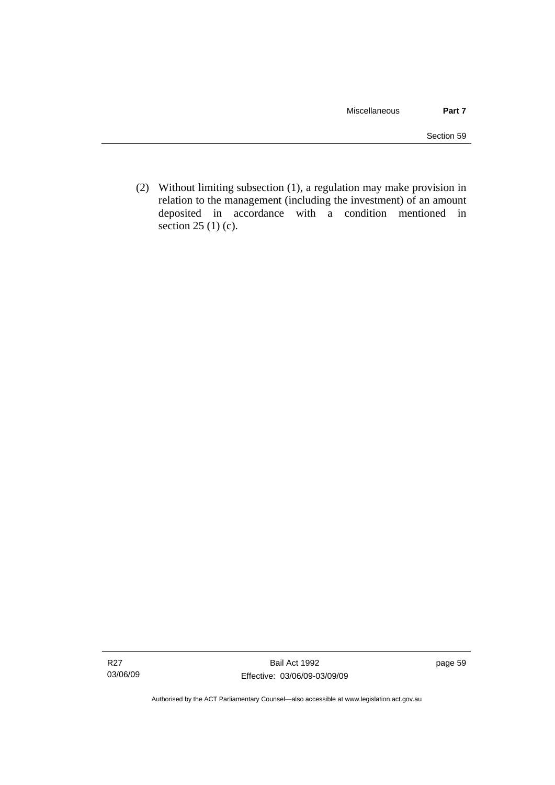(2) Without limiting subsection (1), a regulation may make provision in relation to the management (including the investment) of an amount deposited in accordance with a condition mentioned in section 25 (1) (c).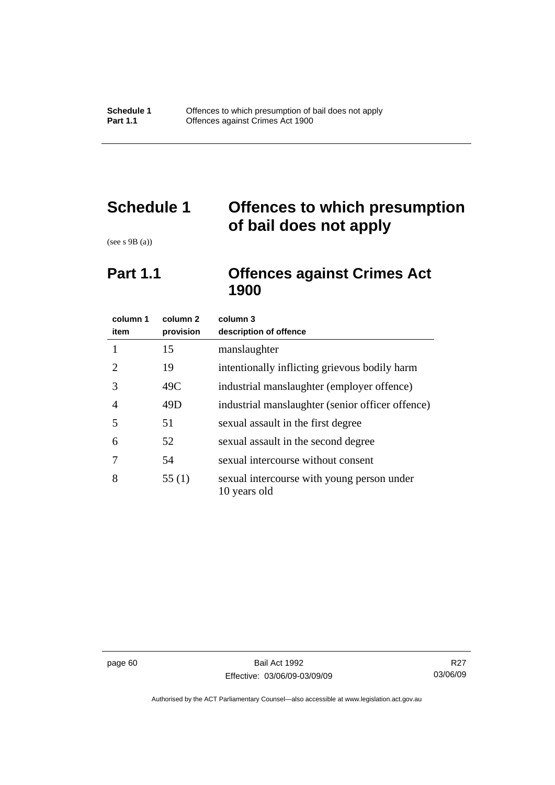# **Schedule 1 Offences to which presumption of bail does not apply**

(see s 9B (a))

# **Part 1.1 Offences against Crimes Act 1900**

| column 1<br>item            | column 2<br>provision | column 3<br>description of offence                         |
|-----------------------------|-----------------------|------------------------------------------------------------|
| 1                           | 15                    | manslaughter                                               |
| $\mathcal{D}_{\mathcal{L}}$ | 19                    | intentionally inflicting grievous bodily harm              |
| 3                           | 49C                   | industrial manslaughter (employer offence)                 |
| 4                           | 49D                   | industrial manslaughter (senior officer offence)           |
| 5                           | 51                    | sexual assault in the first degree                         |
| 6                           | 52                    | sexual assault in the second degree                        |
|                             | 54                    | sexual intercourse without consent                         |
| 8                           | 55(1)                 | sexual intercourse with young person under<br>10 years old |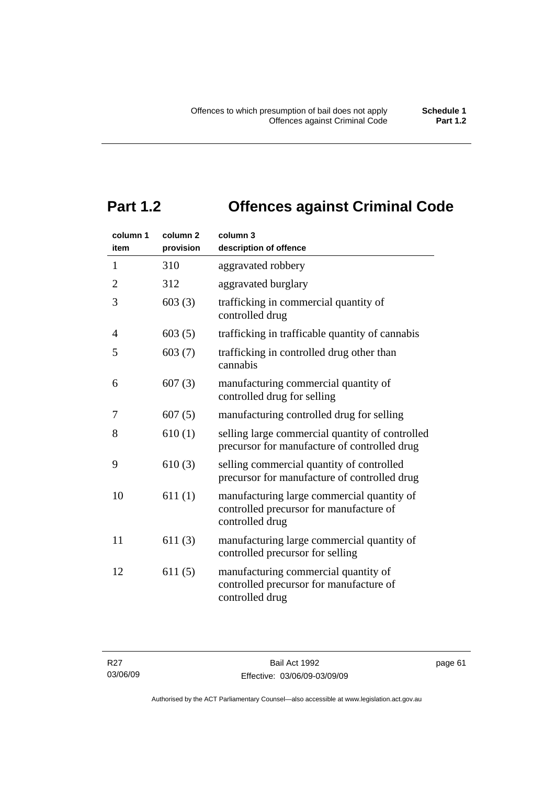# **Part 1.2 Offences against Criminal Code**

| column 1<br>item | column <sub>2</sub><br>provision | column 3<br>description of offence                                                                       |
|------------------|----------------------------------|----------------------------------------------------------------------------------------------------------|
| $\mathbf{1}$     | 310                              | aggravated robbery                                                                                       |
| $\overline{2}$   | 312                              | aggravated burglary                                                                                      |
| 3                | 603(3)                           | trafficking in commercial quantity of<br>controlled drug                                                 |
| $\overline{4}$   | 603(5)                           | trafficking in trafficable quantity of cannabis                                                          |
| 5                | 603(7)                           | trafficking in controlled drug other than<br>cannabis                                                    |
| 6                | 607(3)                           | manufacturing commercial quantity of<br>controlled drug for selling                                      |
| 7                | 607(5)                           | manufacturing controlled drug for selling                                                                |
| 8                | 610(1)                           | selling large commercial quantity of controlled<br>precursor for manufacture of controlled drug          |
| 9                | 610(3)                           | selling commercial quantity of controlled<br>precursor for manufacture of controlled drug                |
| 10               | 611(1)                           | manufacturing large commercial quantity of<br>controlled precursor for manufacture of<br>controlled drug |
| 11               | 611(3)                           | manufacturing large commercial quantity of<br>controlled precursor for selling                           |
| 12               | 611(5)                           | manufacturing commercial quantity of<br>controlled precursor for manufacture of<br>controlled drug       |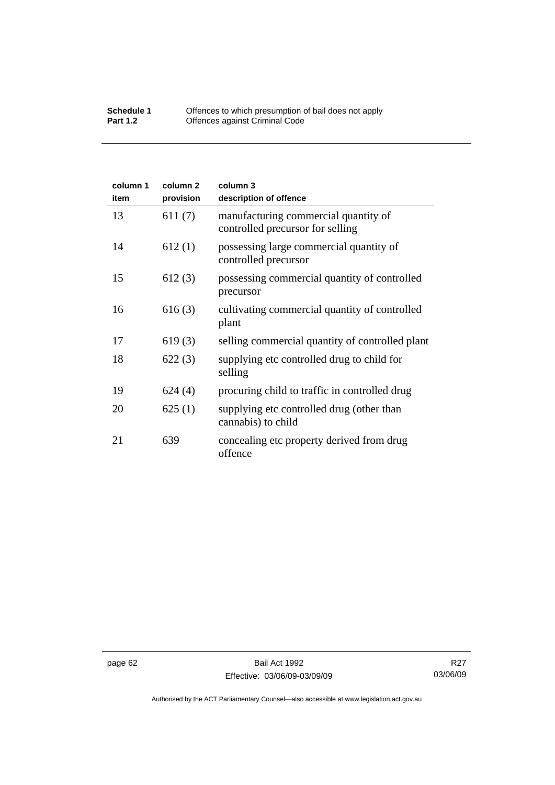#### **Schedule 1** Offences to which presumption of bail does not apply **Part 1.2 C** Offences against Criminal Code

| column 1<br>item | column <sub>2</sub><br>provision | column 3<br>description of offence                                       |
|------------------|----------------------------------|--------------------------------------------------------------------------|
| 13               | 611(7)                           | manufacturing commercial quantity of<br>controlled precursor for selling |
| 14               | 612(1)                           | possessing large commercial quantity of<br>controlled precursor          |
| 15               | 612(3)                           | possessing commercial quantity of controlled<br>precursor                |
| 16               | 616(3)                           | cultivating commercial quantity of controlled<br>plant                   |
| 17               | 619(3)                           | selling commercial quantity of controlled plant                          |
| 18               | 622(3)                           | supplying etc controlled drug to child for<br>selling                    |
| 19               | 624(4)                           | procuring child to traffic in controlled drug                            |
| 20               | 625(1)                           | supplying etc controlled drug (other than<br>cannabis) to child          |
| 21               | 639                              | concealing etc property derived from drug<br>offence                     |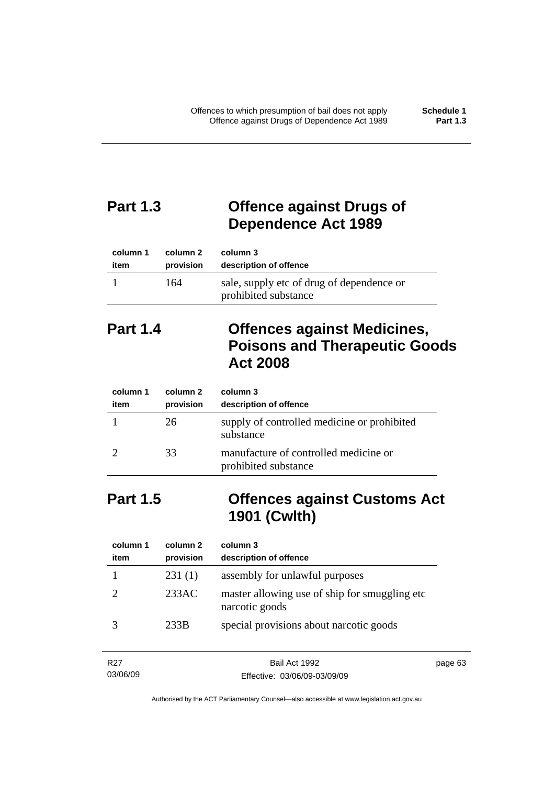# **Part 1.3 Offence against Drugs of Dependence Act 1989**

| column 1 | column 2  | column 3                                                          |
|----------|-----------|-------------------------------------------------------------------|
| item     | provision | description of offence                                            |
|          | 164       | sale, supply etc of drug of dependence or<br>prohibited substance |

# **Part 1.4 Offences against Medicines, Poisons and Therapeutic Goods Act 2008**

| column 1<br>item | column 2<br>provision | column 3<br>description of offence                            |
|------------------|-----------------------|---------------------------------------------------------------|
|                  | 26                    | supply of controlled medicine or prohibited<br>substance      |
|                  | 33                    | manufacture of controlled medicine or<br>prohibited substance |

# **Part 1.5 Offences against Customs Act 1901 (Cwlth)**

| column 1<br>item | column 2<br>provision | column 3<br>description of offence                               |
|------------------|-----------------------|------------------------------------------------------------------|
|                  | 231(1)                | assembly for unlawful purposes                                   |
|                  | 233AC                 | master allowing use of ship for smuggling etc.<br>narcotic goods |
|                  | 233B                  | special provisions about narcotic goods                          |

| R27      | Bail Act 1992                | page 63 |
|----------|------------------------------|---------|
| 03/06/09 | Effective: 03/06/09-03/09/09 |         |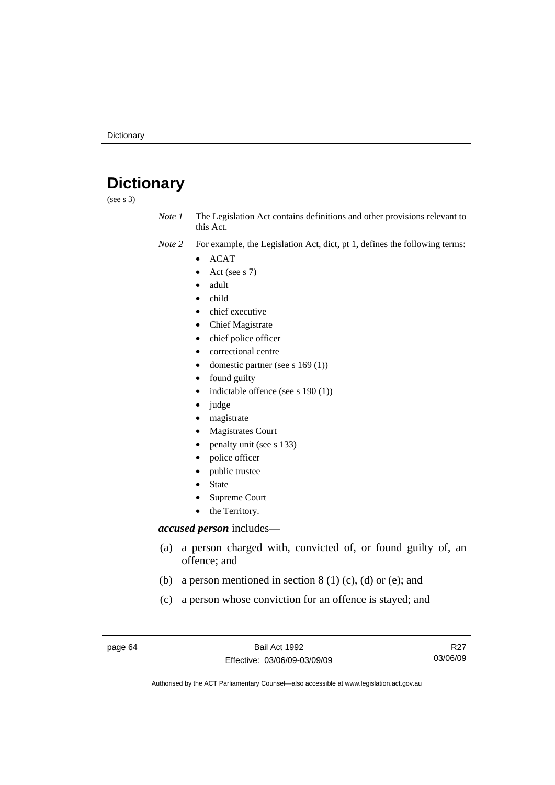# **Dictionary**

(see s 3)

*Note 1* The Legislation Act contains definitions and other provisions relevant to this Act.

*Note 2* For example, the Legislation Act, dict, pt 1, defines the following terms:

- ACAT
	- Act (see s 7)
	- adult
- child
- chief executive
- Chief Magistrate
- chief police officer
- correctional centre
- domestic partner (see s 169 (1))
- found guilty
- indictable offence (see s 190 (1))
- judge
- magistrate
- Magistrates Court
- penalty unit (see s 133)
- police officer
- public trustee
- **State**
- Supreme Court
- the Territory.

#### *accused person* includes—

- (a) a person charged with, convicted of, or found guilty of, an offence; and
- (b) a person mentioned in section  $8(1)(c)$ , (d) or (e); and
- (c) a person whose conviction for an offence is stayed; and

page 64 Bail Act 1992 Effective: 03/06/09-03/09/09

R27 03/06/09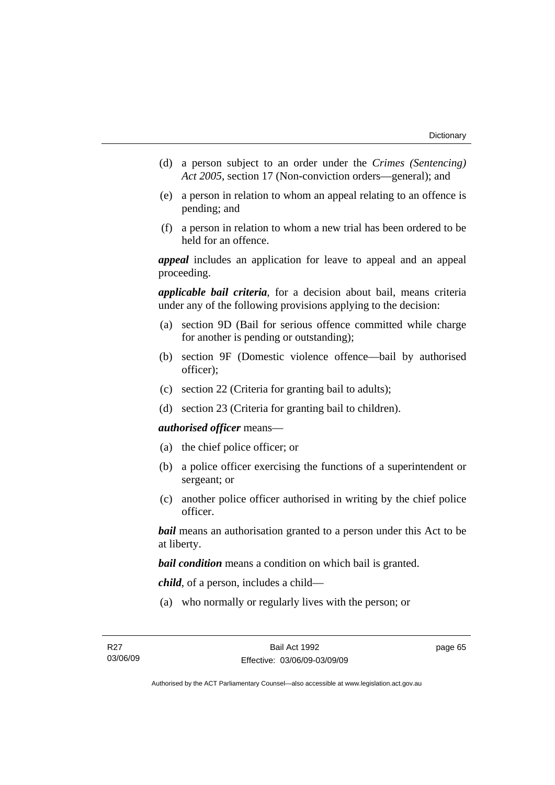- (d) a person subject to an order under the *Crimes (Sentencing) Act 2005*, section 17 (Non-conviction orders—general); and
- (e) a person in relation to whom an appeal relating to an offence is pending; and
- (f) a person in relation to whom a new trial has been ordered to be held for an offence.

*appeal* includes an application for leave to appeal and an appeal proceeding.

*applicable bail criteria*, for a decision about bail, means criteria under any of the following provisions applying to the decision:

- (a) section 9D (Bail for serious offence committed while charge for another is pending or outstanding);
- (b) section 9F (Domestic violence offence—bail by authorised officer);
- (c) section 22 (Criteria for granting bail to adults);
- (d) section 23 (Criteria for granting bail to children).

#### *authorised officer* means—

- (a) the chief police officer; or
- (b) a police officer exercising the functions of a superintendent or sergeant; or
- (c) another police officer authorised in writing by the chief police officer.

*bail* means an authorisation granted to a person under this Act to be at liberty.

*bail condition* means a condition on which bail is granted.

*child*, of a person, includes a child—

(a) who normally or regularly lives with the person; or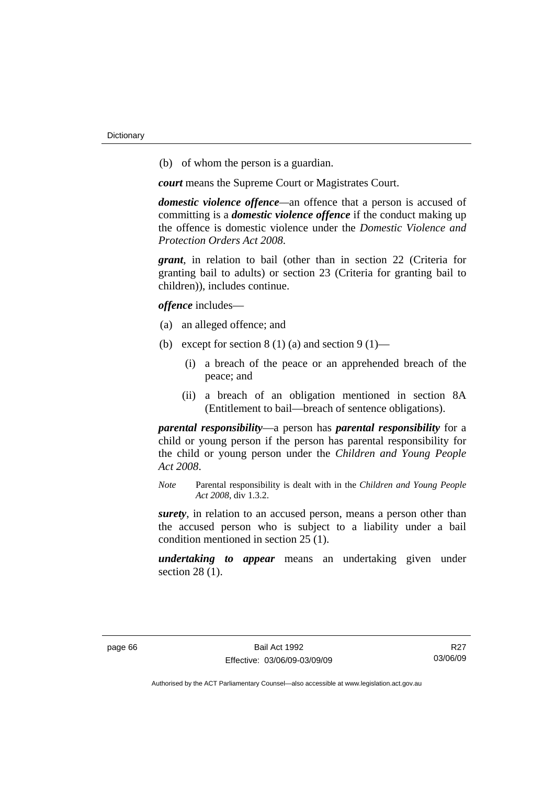(b) of whom the person is a guardian.

*court* means the Supreme Court or Magistrates Court.

*domestic violence offence—*an offence that a person is accused of committing is a *domestic violence offence* if the conduct making up the offence is domestic violence under the *Domestic Violence and Protection Orders Act 2008*.

*grant*, in relation to bail (other than in section 22 (Criteria for granting bail to adults) or section 23 (Criteria for granting bail to children)), includes continue.

*offence* includes—

- (a) an alleged offence; and
- (b) except for section  $8(1)(a)$  and section  $9(1)$ 
	- (i) a breach of the peace or an apprehended breach of the peace; and
	- (ii) a breach of an obligation mentioned in section 8A (Entitlement to bail—breach of sentence obligations).

*parental responsibility*—a person has *parental responsibility* for a child or young person if the person has parental responsibility for the child or young person under the *Children and Young People Act 2008*.

*Note* Parental responsibility is dealt with in the *Children and Young People Act 2008*, div 1.3.2.

*surety*, in relation to an accused person, means a person other than the accused person who is subject to a liability under a bail condition mentioned in section 25 (1).

*undertaking to appear* means an undertaking given under section 28 (1).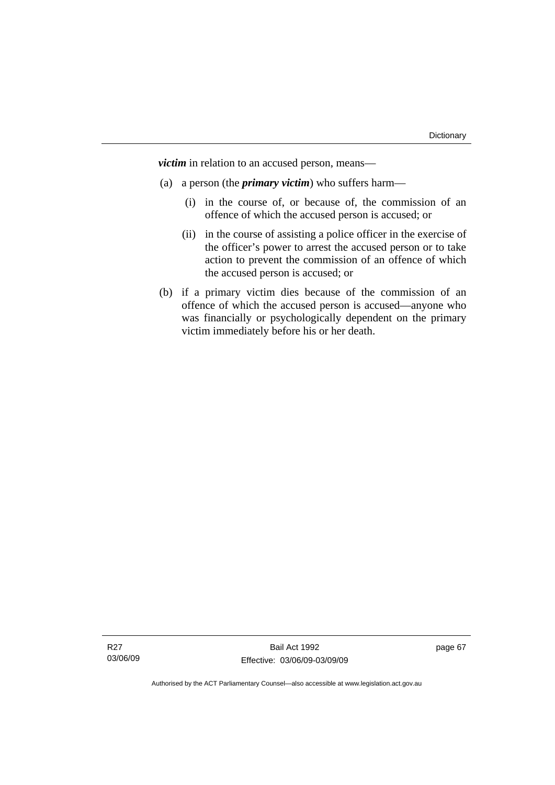*victim* in relation to an accused person, means—

- (a) a person (the *primary victim*) who suffers harm—
	- (i) in the course of, or because of, the commission of an offence of which the accused person is accused; or
	- (ii) in the course of assisting a police officer in the exercise of the officer's power to arrest the accused person or to take action to prevent the commission of an offence of which the accused person is accused; or
- (b) if a primary victim dies because of the commission of an offence of which the accused person is accused—anyone who was financially or psychologically dependent on the primary victim immediately before his or her death.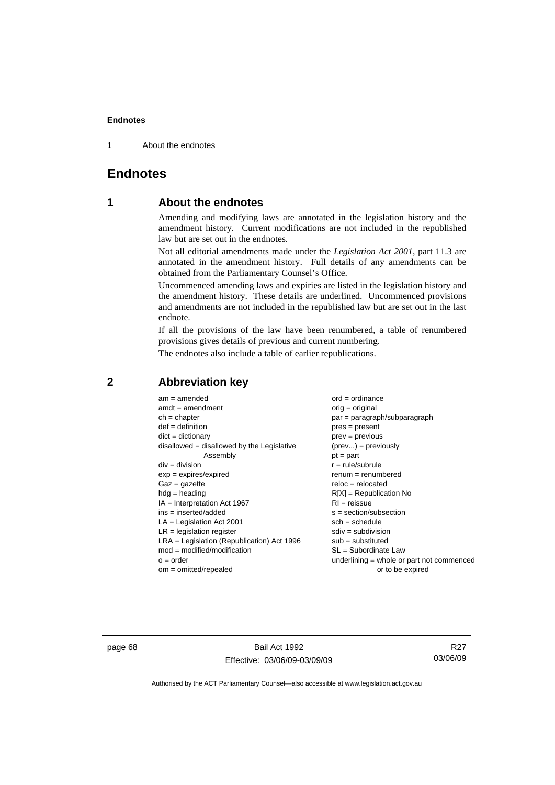1 About the endnotes

# **Endnotes**

# **1 About the endnotes**

Amending and modifying laws are annotated in the legislation history and the amendment history. Current modifications are not included in the republished law but are set out in the endnotes.

Not all editorial amendments made under the *Legislation Act 2001*, part 11.3 are annotated in the amendment history. Full details of any amendments can be obtained from the Parliamentary Counsel's Office.

Uncommenced amending laws and expiries are listed in the legislation history and the amendment history. These details are underlined. Uncommenced provisions and amendments are not included in the republished law but are set out in the last endnote.

If all the provisions of the law have been renumbered, a table of renumbered provisions gives details of previous and current numbering.

The endnotes also include a table of earlier republications.

| $am = amended$                               | $ord = ordinance$                         |
|----------------------------------------------|-------------------------------------------|
| $amdt = amendment$                           | $orig = original$                         |
| $ch = chapter$                               | $par = paragraph/subparagraph$            |
| $def = definition$                           | $pres = present$                          |
| $dict = dictionary$                          | $prev = previous$                         |
| disallowed = disallowed by the Legislative   | $(\text{prev}) = \text{previously}$       |
| Assembly                                     | $pt = part$                               |
| $div = division$                             | $r = rule/subrule$                        |
| $exp = expires/expired$                      | $renum = renumbered$                      |
| $Gaz = gazette$                              | $reloc = relocated$                       |
| $hdg =$ heading                              | $R[X]$ = Republication No                 |
| $IA = Interpretation Act 1967$               | $RI = reissue$                            |
| $ins = inserted/added$                       | $s = section/subsection$                  |
| $LA =$ Legislation Act 2001                  | $sch = schedule$                          |
| $LR =$ legislation register                  | $sdiv = subdivision$                      |
| $LRA =$ Legislation (Republication) Act 1996 | $sub = substituted$                       |
| $mod = modified/modification$                | SL = Subordinate Law                      |
| $o = order$                                  | underlining = whole or part not commenced |
| $om = omitted/repealed$                      | or to be expired                          |
|                                              |                                           |

# **2 Abbreviation key**

page 68 Bail Act 1992 Effective: 03/06/09-03/09/09

R27 03/06/09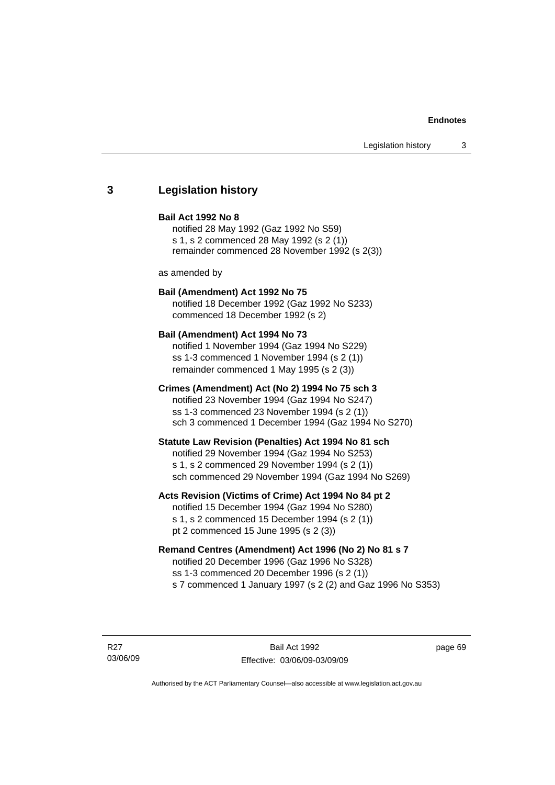# **3 Legislation history**

#### **Bail Act 1992 No 8**

notified 28 May 1992 (Gaz 1992 No S59) s 1, s 2 commenced 28 May 1992 (s 2 (1)) remainder commenced 28 November 1992 (s 2(3))

as amended by

## **Bail (Amendment) Act 1992 No 75**

notified 18 December 1992 (Gaz 1992 No S233) commenced 18 December 1992 (s 2)

#### **Bail (Amendment) Act 1994 No 73**

notified 1 November 1994 (Gaz 1994 No S229) ss 1-3 commenced 1 November 1994 (s 2 (1)) remainder commenced 1 May 1995 (s 2 (3))

## **Crimes (Amendment) Act (No 2) 1994 No 75 sch 3**

notified 23 November 1994 (Gaz 1994 No S247) ss 1-3 commenced 23 November 1994 (s 2 (1)) sch 3 commenced 1 December 1994 (Gaz 1994 No S270)

#### **Statute Law Revision (Penalties) Act 1994 No 81 sch**

notified 29 November 1994 (Gaz 1994 No S253) s 1, s 2 commenced 29 November 1994 (s 2 (1)) sch commenced 29 November 1994 (Gaz 1994 No S269)

## **Acts Revision (Victims of Crime) Act 1994 No 84 pt 2**

notified 15 December 1994 (Gaz 1994 No S280) s 1, s 2 commenced 15 December 1994 (s 2 (1)) pt 2 commenced 15 June 1995 (s 2 (3))

## **Remand Centres (Amendment) Act 1996 (No 2) No 81 s 7**

notified 20 December 1996 (Gaz 1996 No S328) ss 1-3 commenced 20 December 1996 (s 2 (1)) s 7 commenced 1 January 1997 (s 2 (2) and Gaz 1996 No S353)

R27 03/06/09

Bail Act 1992 Effective: 03/06/09-03/09/09 page 69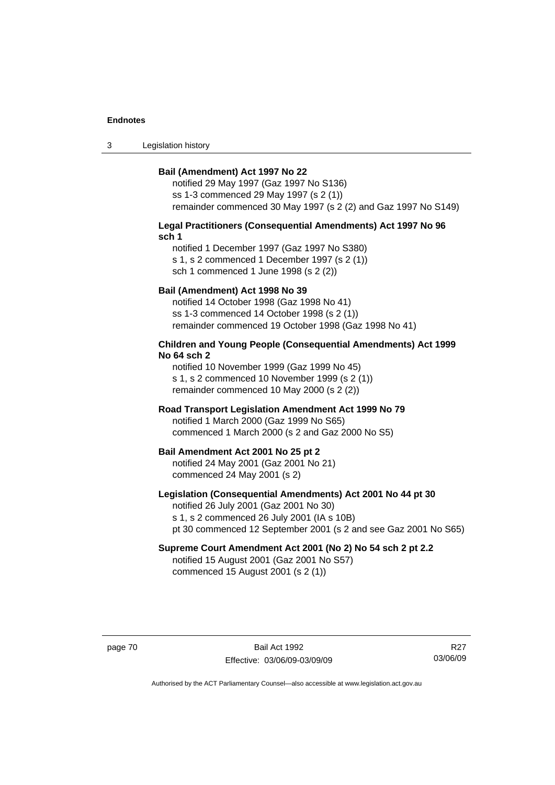3 Legislation history

#### **Bail (Amendment) Act 1997 No 22**

notified 29 May 1997 (Gaz 1997 No S136) ss 1-3 commenced 29 May 1997 (s 2 (1)) remainder commenced 30 May 1997 (s 2 (2) and Gaz 1997 No S149)

#### **Legal Practitioners (Consequential Amendments) Act 1997 No 96 sch 1**

notified 1 December 1997 (Gaz 1997 No S380) s 1, s 2 commenced 1 December 1997 (s 2 (1)) sch 1 commenced 1 June 1998 (s 2 (2))

## **Bail (Amendment) Act 1998 No 39**

notified 14 October 1998 (Gaz 1998 No 41) ss 1-3 commenced 14 October 1998 (s 2 (1)) remainder commenced 19 October 1998 (Gaz 1998 No 41)

## **Children and Young People (Consequential Amendments) Act 1999 No 64 sch 2**

notified 10 November 1999 (Gaz 1999 No 45) s 1, s 2 commenced 10 November 1999 (s 2 (1)) remainder commenced 10 May 2000 (s 2 (2))

## **Road Transport Legislation Amendment Act 1999 No 79**

notified 1 March 2000 (Gaz 1999 No S65) commenced 1 March 2000 (s 2 and Gaz 2000 No S5)

#### **Bail Amendment Act 2001 No 25 pt 2**

notified 24 May 2001 (Gaz 2001 No 21) commenced 24 May 2001 (s 2)

## **Legislation (Consequential Amendments) Act 2001 No 44 pt 30**

notified 26 July 2001 (Gaz 2001 No 30) s 1, s 2 commenced 26 July 2001 (IA s 10B) pt 30 commenced 12 September 2001 (s 2 and see Gaz 2001 No S65)

# **Supreme Court Amendment Act 2001 (No 2) No 54 sch 2 pt 2.2**

notified 15 August 2001 (Gaz 2001 No S57) commenced 15 August 2001 (s 2 (1))

page 70 Bail Act 1992 Effective: 03/06/09-03/09/09

R27 03/06/09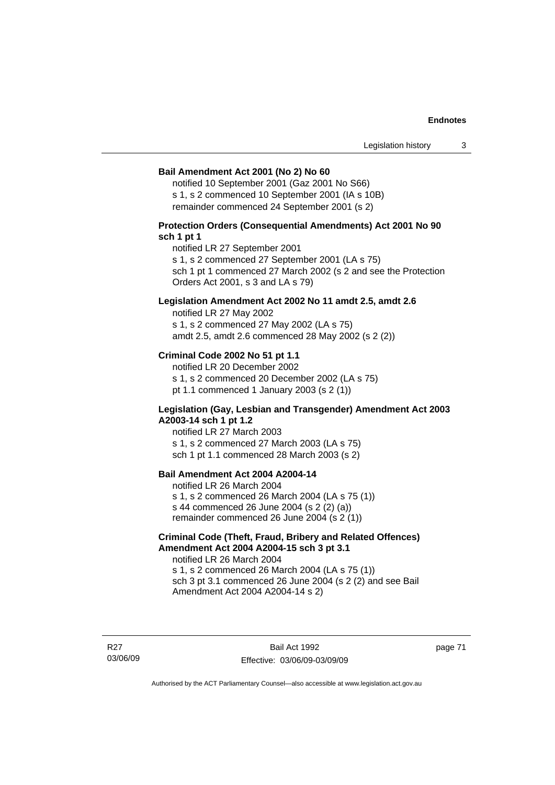#### **Bail Amendment Act 2001 (No 2) No 60**

notified 10 September 2001 (Gaz 2001 No S66) s 1, s 2 commenced 10 September 2001 (IA s 10B) remainder commenced 24 September 2001 (s 2)

## **Protection Orders (Consequential Amendments) Act 2001 No 90 sch 1 pt 1**

notified LR 27 September 2001

s 1, s 2 commenced 27 September 2001 (LA s 75)

sch 1 pt 1 commenced 27 March 2002 (s 2 and see the Protection Orders Act 2001, s 3 and LA s 79)

## **Legislation Amendment Act 2002 No 11 amdt 2.5, amdt 2.6**

notified LR 27 May 2002 s 1, s 2 commenced 27 May 2002 (LA s 75) amdt 2.5, amdt 2.6 commenced 28 May 2002 (s 2 (2))

## **Criminal Code 2002 No 51 pt 1.1**

notified LR 20 December 2002 s 1, s 2 commenced 20 December 2002 (LA s 75) pt 1.1 commenced 1 January 2003 (s 2 (1))

#### **Legislation (Gay, Lesbian and Transgender) Amendment Act 2003 A2003-14 sch 1 pt 1.2**

notified LR 27 March 2003 s 1, s 2 commenced 27 March 2003 (LA s 75) sch 1 pt 1.1 commenced 28 March 2003 (s 2)

# **Bail Amendment Act 2004 A2004-14**

notified LR 26 March 2004 s 1, s 2 commenced 26 March 2004 (LA s 75 (1)) s 44 commenced 26 June 2004 (s 2 (2) (a)) remainder commenced 26 June 2004 (s 2 (1))

## **Criminal Code (Theft, Fraud, Bribery and Related Offences) Amendment Act 2004 A2004-15 sch 3 pt 3.1**

notified LR 26 March 2004 s 1, s 2 commenced 26 March 2004 (LA s 75 (1)) sch 3 pt 3.1 commenced 26 June 2004 (s 2 (2) and see Bail Amendment Act 2004 A2004-14 s 2)

R27 03/06/09

Bail Act 1992 Effective: 03/06/09-03/09/09 page 71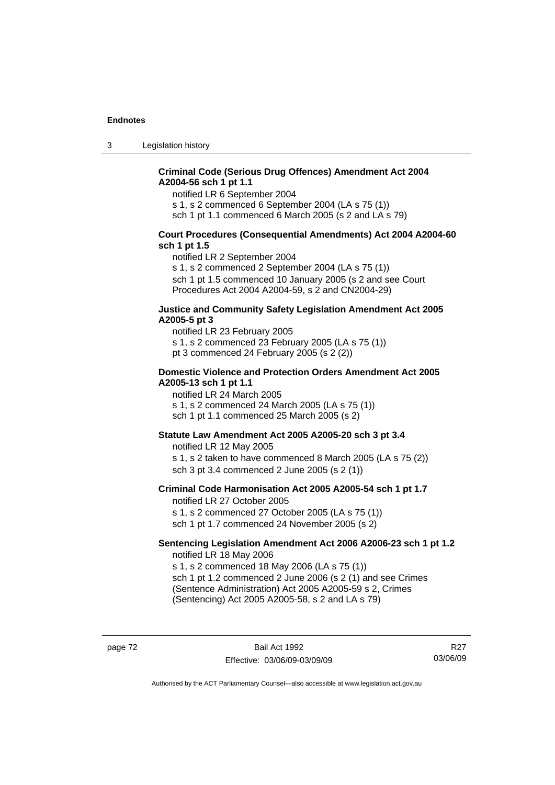3 Legislation history

## **Criminal Code (Serious Drug Offences) Amendment Act 2004 A2004-56 sch 1 pt 1.1**

notified LR 6 September 2004

s 1, s 2 commenced 6 September 2004 (LA s 75 (1))

sch 1 pt 1.1 commenced 6 March 2005 (s 2 and LA s 79)

## **Court Procedures (Consequential Amendments) Act 2004 A2004-60 sch 1 pt 1.5**

notified LR 2 September 2004

s 1, s 2 commenced 2 September 2004 (LA s 75 (1)) sch 1 pt 1.5 commenced 10 January 2005 (s 2 and see Court Procedures Act 2004 A2004-59, s 2 and CN2004-29)

#### **Justice and Community Safety Legislation Amendment Act 2005 A2005-5 pt 3**

notified LR 23 February 2005 s 1, s 2 commenced 23 February 2005 (LA s 75 (1)) pt 3 commenced 24 February 2005 (s 2 (2))

### **Domestic Violence and Protection Orders Amendment Act 2005 A2005-13 sch 1 pt 1.1**

notified LR 24 March 2005 s 1, s 2 commenced 24 March 2005 (LA s 75 (1)) sch 1 pt 1.1 commenced 25 March 2005 (s 2)

## **Statute Law Amendment Act 2005 A2005-20 sch 3 pt 3.4**

notified LR 12 May 2005 s 1, s 2 taken to have commenced 8 March 2005 (LA s 75 (2)) sch 3 pt 3.4 commenced 2 June 2005 (s 2 (1))

#### **Criminal Code Harmonisation Act 2005 A2005-54 sch 1 pt 1.7**  notified LR 27 October 2005

s 1, s 2 commenced 27 October 2005 (LA s 75 (1)) sch 1 pt 1.7 commenced 24 November 2005 (s 2)

#### **Sentencing Legislation Amendment Act 2006 A2006-23 sch 1 pt 1.2**  notified LR 18 May 2006

s 1, s 2 commenced 18 May 2006 (LA s 75 (1)) sch 1 pt 1.2 commenced 2 June 2006 (s 2 (1) and see Crimes (Sentence Administration) Act 2005 A2005-59 s 2, Crimes

(Sentencing) Act 2005 A2005-58, s 2 and LA s 79)

page 72 Bail Act 1992 Effective: 03/06/09-03/09/09

R27 03/06/09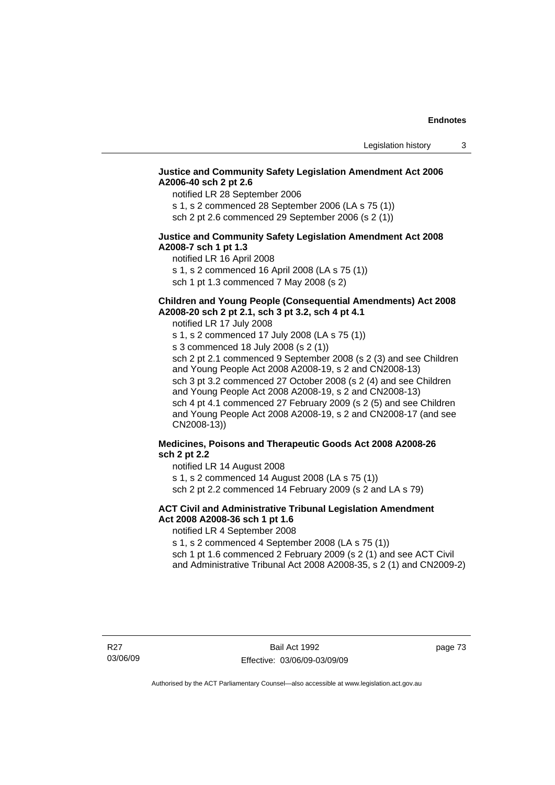## **Justice and Community Safety Legislation Amendment Act 2006 A2006-40 sch 2 pt 2.6**

notified LR 28 September 2006

s 1, s 2 commenced 28 September 2006 (LA s 75 (1)) sch 2 pt 2.6 commenced 29 September 2006 (s 2 (1))

## **Justice and Community Safety Legislation Amendment Act 2008 A2008-7 sch 1 pt 1.3**

notified LR 16 April 2008 s 1, s 2 commenced 16 April 2008 (LA s 75 (1)) sch 1 pt 1.3 commenced 7 May 2008 (s 2)

# **Children and Young People (Consequential Amendments) Act 2008**

**A2008-20 sch 2 pt 2.1, sch 3 pt 3.2, sch 4 pt 4.1** 

notified LR 17 July 2008

s 1, s 2 commenced 17 July 2008 (LA s 75 (1)) s 3 commenced 18 July 2008 (s 2 (1)) sch 2 pt 2.1 commenced 9 September 2008 (s 2 (3) and see Children and Young People Act 2008 A2008-19, s 2 and CN2008-13) sch 3 pt 3.2 commenced 27 October 2008 (s 2 (4) and see Children and Young People Act 2008 A2008-19, s 2 and CN2008-13) sch 4 pt 4.1 commenced 27 February 2009 (s 2 (5) and see Children and Young People Act 2008 A2008-19, s 2 and CN2008-17 (and see CN2008-13))

# **Medicines, Poisons and Therapeutic Goods Act 2008 A2008-26 sch 2 pt 2.2**

notified LR 14 August 2008 s 1, s 2 commenced 14 August 2008 (LA s 75 (1))

sch 2 pt 2.2 commenced 14 February 2009 (s 2 and LA s 79)

# **ACT Civil and Administrative Tribunal Legislation Amendment Act 2008 A2008-36 sch 1 pt 1.6**

notified LR 4 September 2008

s 1, s 2 commenced 4 September 2008 (LA s 75 (1))

sch 1 pt 1.6 commenced 2 February 2009 (s 2 (1) and see ACT Civil and Administrative Tribunal Act 2008 A2008-35, s 2 (1) and CN2009-2)

page 73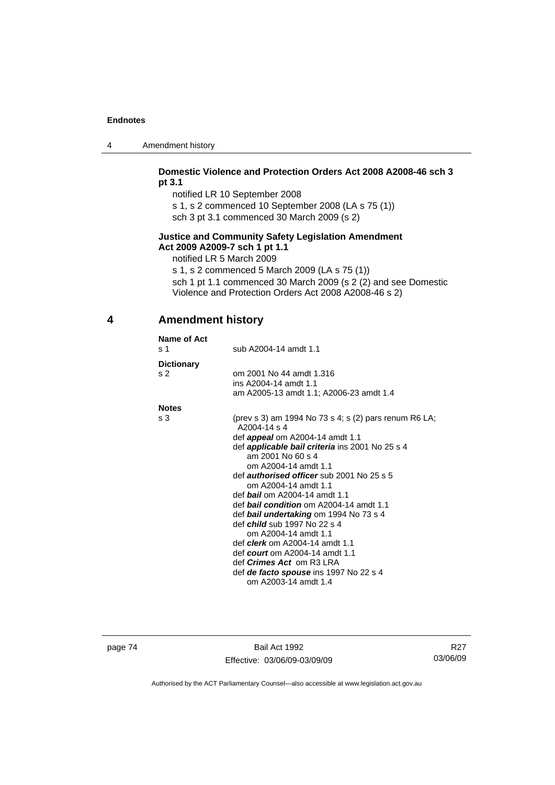| 4 | Amendment history |
|---|-------------------|
|---|-------------------|

## **Domestic Violence and Protection Orders Act 2008 A2008-46 sch 3 pt 3.1**

notified LR 10 September 2008

s 1, s 2 commenced 10 September 2008 (LA s 75 (1))

sch 3 pt 3.1 commenced 30 March 2009 (s 2)

# **Justice and Community Safety Legislation Amendment Act 2009 A2009-7 sch 1 pt 1.1**

notified LR 5 March 2009

s 1, s 2 commenced 5 March 2009 (LA s 75 (1)) sch 1 pt 1.1 commenced 30 March 2009 (s 2 (2) and see Domestic Violence and Protection Orders Act 2008 A2008-46 s 2)

# **4 Amendment history**

| Name of Act<br>s <sub>1</sub>       | sub A2004-14 amdt 1.1                                                                                                                                                                                                                                                                                                                                                                                                                                                                                                                                                                                                                                                                               |
|-------------------------------------|-----------------------------------------------------------------------------------------------------------------------------------------------------------------------------------------------------------------------------------------------------------------------------------------------------------------------------------------------------------------------------------------------------------------------------------------------------------------------------------------------------------------------------------------------------------------------------------------------------------------------------------------------------------------------------------------------------|
| <b>Dictionary</b><br>s <sub>2</sub> | om 2001 No 44 amdt 1.316<br>ins A2004-14 amdt 1.1<br>am A2005-13 amdt 1.1; A2006-23 amdt 1.4                                                                                                                                                                                                                                                                                                                                                                                                                                                                                                                                                                                                        |
| <b>Notes</b>                        |                                                                                                                                                                                                                                                                                                                                                                                                                                                                                                                                                                                                                                                                                                     |
| s <sub>3</sub>                      | (prev s 3) am 1994 No 73 s 4; s (2) pars renum R6 LA;<br>A2004-14 s 4<br>def <b>appeal</b> om A2004-14 amdt 1.1<br>def <b>applicable bail criteria</b> ins 2001 No 25 s 4<br>am 2001 No 60 s 4<br>om A2004-14 amdt 1.1<br>def <i>authorised officer</i> sub 2001 No 25 s 5<br>om A2004-14 amdt 1.1<br>def <b>bail</b> om A2004-14 amdt 1.1<br>def <b>bail condition</b> om A2004-14 amdt 1.1<br>def bail undertaking om 1994 No 73 s 4<br>def <i>child</i> sub 1997 No 22 s 4<br>om A2004-14 amdt 1.1<br>def <b>clerk</b> om A2004-14 amdt 1.1<br>def <i>court</i> om A2004-14 amdt 1.1<br>def <i>Crimes Act</i> om R3 LRA<br>def <i>de facto spouse</i> ins 1997 No 22 s 4<br>om A2003-14 amdt 1.4 |

page 74 Bail Act 1992 Effective: 03/06/09-03/09/09

R27 03/06/09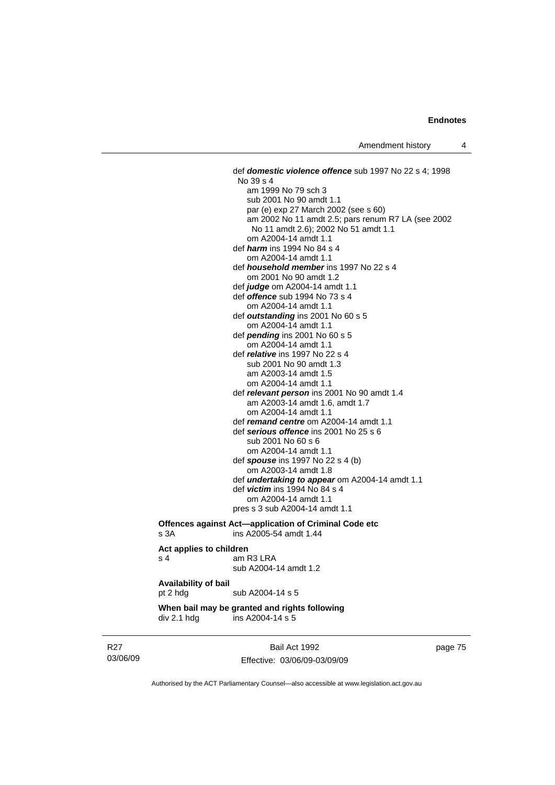def *domestic violence offence* sub 1997 No 22 s 4; 1998 No 39 s 4 am 1999 No 79 sch 3 sub 2001 No 90 amdt 1.1 par (e) exp 27 March 2002 (see s 60) am 2002 No 11 amdt 2.5; pars renum R7 LA (see 2002 No 11 amdt 2.6); 2002 No 51 amdt 1.1 om A2004-14 amdt 1.1 def *harm* ins 1994 No 84 s 4 om A2004-14 amdt 1.1 def *household member* ins 1997 No 22 s 4 om 2001 No 90 amdt 1.2 def *judge* om A2004-14 amdt 1.1 def *offence* sub 1994 No 73 s 4 om A2004-14 amdt 1.1 def *outstanding* ins 2001 No 60 s 5 om A2004-14 amdt 1.1 def *pending* ins 2001 No 60 s 5 om A2004-14 amdt 1.1 def *relative* ins 1997 No 22 s 4 sub 2001 No 90 amdt 1.3 am A2003-14 amdt 1.5 om A2004-14 amdt 1.1 def *relevant person* ins 2001 No 90 amdt 1.4 am A2003-14 amdt 1.6, amdt 1.7 om A2004-14 amdt 1.1 def *remand centre* om A2004-14 amdt 1.1 def *serious offence* ins 2001 No 25 s 6 sub 2001 No 60 s 6 om A2004-14 amdt 1.1 def *spouse* ins 1997 No 22 s 4 (b) om A2003-14 amdt 1.8 def *undertaking to appear* om A2004-14 amdt 1.1 def *victim* ins 1994 No 84 s 4 om A2004-14 amdt 1.1 pres s 3 sub A2004-14 amdt 1.1

#### **Offences against Act—application of Criminal Code etc**  s 3A ins A2005-54 amdt 1.44

## **Act applies to children**   $s$  4  $s$  4 am R3 I RA sub A2004-14 amdt 1.2 **Availability of bail**

pt 2 hdg sub A2004-14 s 5

#### **When bail may be granted and rights following div 2.1 hdg ins A2004-14 s 5**  $\overline{a}$  ins A2004-14 s 5

R27 03/06/09

Bail Act 1992 Effective: 03/06/09-03/09/09 page 75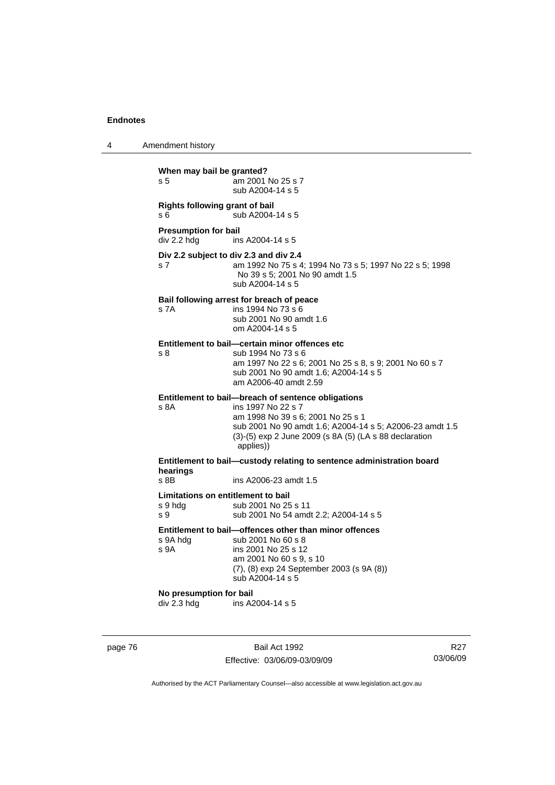| Amendment history<br>4 |  |
|------------------------|--|
|------------------------|--|

| When may bail be granted?<br>am 2001 No 25 s 7<br>s 5<br>sub A2004-14 s 5         |                                                                                                                                                                                                                                                  |  |  |
|-----------------------------------------------------------------------------------|--------------------------------------------------------------------------------------------------------------------------------------------------------------------------------------------------------------------------------------------------|--|--|
| s 6                                                                               | Rights following grant of bail<br>sub A2004-14 s 5                                                                                                                                                                                               |  |  |
| <b>Presumption for bail</b><br>div 2.2 hdg                                        | ins A2004-14 s 5                                                                                                                                                                                                                                 |  |  |
| s 7                                                                               | Div 2.2 subject to div 2.3 and div 2.4<br>am 1992 No 75 s 4; 1994 No 73 s 5; 1997 No 22 s 5; 1998<br>No 39 s 5; 2001 No 90 amdt 1.5<br>sub A2004-14 s 5                                                                                          |  |  |
| s 7A                                                                              | Bail following arrest for breach of peace<br>ins 1994 No 73 s 6<br>sub 2001 No 90 amdt 1.6<br>om A2004-14 s 5                                                                                                                                    |  |  |
| s 8                                                                               | Entitlement to bail—certain minor offences etc<br>sub 1994 No 73 s 6<br>am 1997 No 22 s 6; 2001 No 25 s 8, s 9; 2001 No 60 s 7<br>sub 2001 No 90 amdt 1.6; A2004-14 s 5<br>am A2006-40 amdt 2.59                                                 |  |  |
| s 8A                                                                              | Entitlement to bail—breach of sentence obligations<br>ins 1997 No 22 s 7<br>am 1998 No 39 s 6; 2001 No 25 s 1<br>sub 2001 No 90 amdt 1.6; A2004-14 s 5; A2006-23 amdt 1.5<br>(3)-(5) exp 2 June 2009 (s 8A (5) (LA s 88 declaration<br>applies)) |  |  |
| Entitlement to bail—custody relating to sentence administration board<br>hearings |                                                                                                                                                                                                                                                  |  |  |
| $s$ $8B$                                                                          | ins A2006-23 amdt 1.5                                                                                                                                                                                                                            |  |  |
| Limitations on entitlement to bail<br>s 9 hdg<br>s 9                              | sub 2001 No 25 s 11<br>sub 2001 No 54 amdt 2.2; A2004-14 s 5                                                                                                                                                                                     |  |  |
| s 9A hda<br>s 9A                                                                  | Entitlement to bail-offences other than minor offences<br>sub 2001 No 60 s 8<br>ins 2001 No 25 s 12<br>am 2001 No 60 s 9, s 10<br>(7), (8) exp 24 September 2003 (s 9A (8))<br>sub A2004-14 s 5                                                  |  |  |
| No presumption for bail<br>div 2.3 hdg                                            | ins A2004-14 s 5                                                                                                                                                                                                                                 |  |  |

page 76 Bail Act 1992 Effective: 03/06/09-03/09/09

R27 03/06/09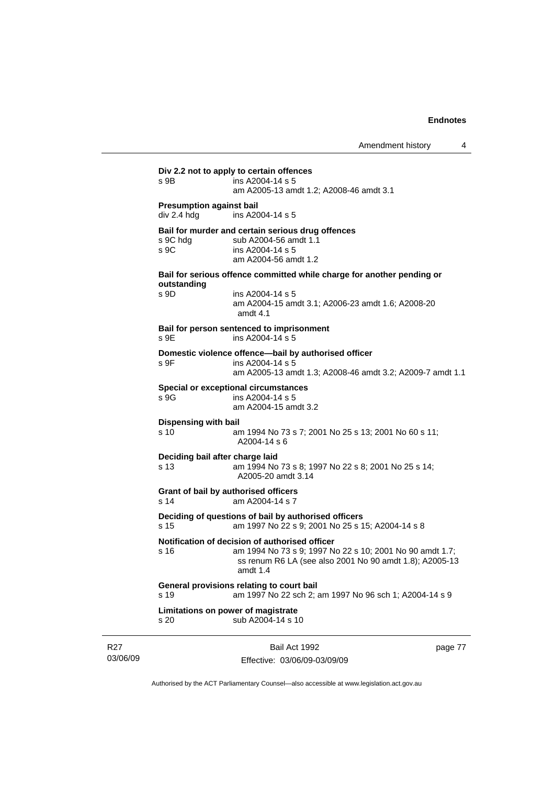|                                                | Bail Act 1992                                                                                                                                                                     | page 77 |
|------------------------------------------------|-----------------------------------------------------------------------------------------------------------------------------------------------------------------------------------|---------|
| s 20                                           | Limitations on power of magistrate<br>sub A2004-14 s 10                                                                                                                           |         |
| s 19                                           | General provisions relating to court bail<br>am 1997 No 22 sch 2; am 1997 No 96 sch 1; A2004-14 s 9                                                                               |         |
| s 16                                           | Notification of decision of authorised officer<br>am 1994 No 73 s 9; 1997 No 22 s 10; 2001 No 90 amdt 1.7;<br>ss renum R6 LA (see also 2001 No 90 amdt 1.8); A2005-13<br>amdt 1.4 |         |
| s 15                                           | Deciding of questions of bail by authorised officers<br>am 1997 No 22 s 9; 2001 No 25 s 15; A2004-14 s 8                                                                          |         |
| s 14                                           | Grant of bail by authorised officers<br>am A2004-14 s 7                                                                                                                           |         |
| Deciding bail after charge laid<br>s 13        | am 1994 No 73 s 8; 1997 No 22 s 8; 2001 No 25 s 14;<br>A2005-20 amdt 3.14                                                                                                         |         |
| <b>Dispensing with bail</b><br>s 10            | am 1994 No 73 s 7; 2001 No 25 s 13; 2001 No 60 s 11;<br>A2004-14 s 6                                                                                                              |         |
| s.9G                                           | <b>Special or exceptional circumstances</b><br>ins A2004-14 s 5<br>am A2004-15 amdt 3.2                                                                                           |         |
| s 9F                                           | Domestic violence offence-bail by authorised officer<br>ins A2004-14 s 5<br>am A2005-13 amdt 1.3; A2008-46 amdt 3.2; A2009-7 amdt 1.1                                             |         |
| s 9E                                           | Bail for person sentenced to imprisonment<br>ins A2004-14 s 5                                                                                                                     |         |
| outstanding<br>s 9D                            | ins A2004-14 s 5<br>am A2004-15 amdt 3.1; A2006-23 amdt 1.6; A2008-20<br>amdt 4.1                                                                                                 |         |
|                                                | Bail for serious offence committed while charge for another pending or                                                                                                            |         |
| s 9C hda<br>S <sub>9C</sub>                    | Bail for murder and certain serious drug offences<br>sub A2004-56 amdt 1.1<br>ins A2004-14 s 5<br>am A2004-56 amdt 1.2                                                            |         |
| <b>Presumption against bail</b><br>div 2.4 hdg | ins A2004-14 s 5                                                                                                                                                                  |         |
|                                                | am A2005-13 amdt 1.2; A2008-46 amdt 3.1                                                                                                                                           |         |

Authorised by the ACT Parliamentary Counsel—also accessible at www.legislation.act.gov.au

Effective: 03/06/09-03/09/09

R27 03/06/09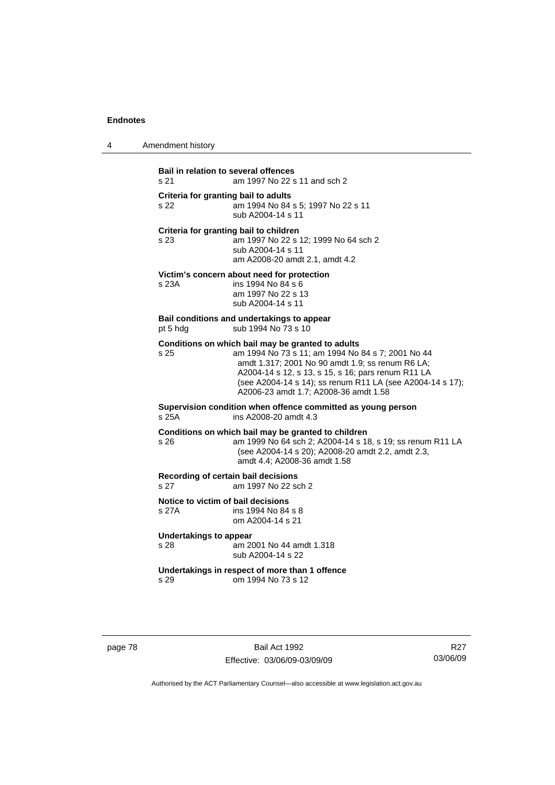4 Amendment history

**Bail in relation to several offences** s 21 am 1997 No 22 s 11 and sch 2 **Criteria for granting bail to adults** s 22 am 1994 No 84 s 5; 1997 No 22 s 11 sub A2004-14 s 11 **Criteria for granting bail to children** s 23 am 1997 No 22 s 12; 1999 No 64 sch 2 sub A2004-14 s 11 am A2008-20 amdt 2.1, amdt 4.2 **Victim's concern about need for protection** s 23A ins 1994 No 84 s 6 am 1997 No 22 s 13 sub A2004-14 s 11 **Bail conditions and undertakings to appear** pt 5 hdg sub 1994 No 73 s 10 **Conditions on which bail may be granted to adults** s 25 am 1994 No 73 s 11; am 1994 No 84 s 7; 2001 No 44 amdt 1.317; 2001 No 90 amdt 1.9; ss renum R6 LA; A2004-14 s 12, s 13, s 15, s 16; pars renum R11 LA (see A2004-14 s 14); ss renum R11 LA (see A2004-14 s 17); A2006-23 amdt 1.7; A2008-36 amdt 1.58 **Supervision condition when offence committed as young person**  s 25A ins A2008-20 amdt 4.3 **Conditions on which bail may be granted to children** s 26 am 1999 No 64 sch 2; A2004-14 s 18, s 19; ss renum R11 LA (see A2004-14 s 20); A2008-20 amdt 2.2, amdt 2.3, amdt 4.4; A2008-36 amdt 1.58 **Recording of certain bail decisions** s 27 am 1997 No 22 sch 2 **Notice to victim of bail decisions** s 27A ins 1994 No 84 s 8 om A2004-14 s 21 **Undertakings to appear**<br>s 28 am 20 am 2001 No 44 amdt 1.318 sub A2004-14 s 22 **Undertakings in respect of more than 1 offence**  s 29 om 1994 No 73 s 12

page 78 Bail Act 1992 Effective: 03/06/09-03/09/09

R27 03/06/09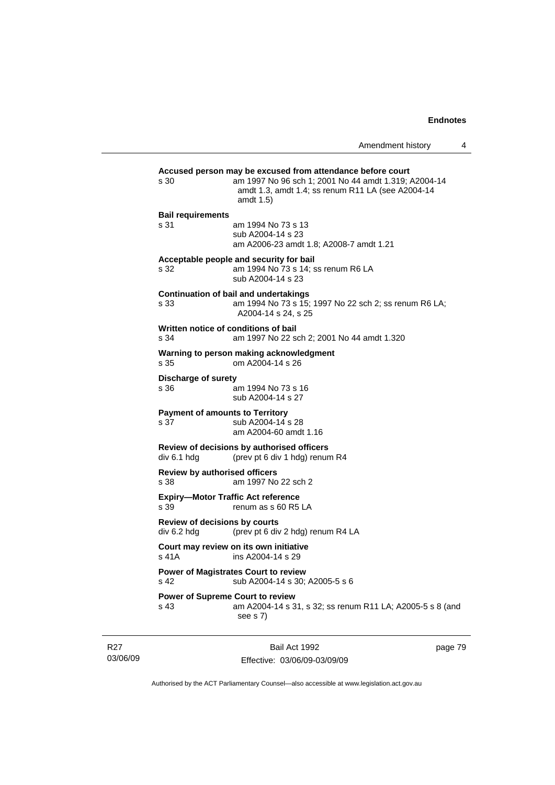|                                                                                       | Amendment history                                                                                                                                                                    | 4 |  |  |  |
|---------------------------------------------------------------------------------------|--------------------------------------------------------------------------------------------------------------------------------------------------------------------------------------|---|--|--|--|
| s 30                                                                                  | Accused person may be excused from attendance before court<br>am 1997 No 96 sch 1; 2001 No 44 amdt 1.319; A2004-14<br>amdt 1.3, amdt 1.4; ss renum R11 LA (see A2004-14<br>amdt 1.5) |   |  |  |  |
| <b>Bail requirements</b><br>s 31                                                      | am 1994 No 73 s 13<br>sub A2004-14 s 23<br>am A2006-23 amdt 1.8; A2008-7 amdt 1.21                                                                                                   |   |  |  |  |
| s 32                                                                                  | Acceptable people and security for bail<br>am 1994 No 73 s 14; ss renum R6 LA<br>sub A2004-14 s 23                                                                                   |   |  |  |  |
| s 33                                                                                  | <b>Continuation of bail and undertakings</b><br>am 1994 No 73 s 15; 1997 No 22 sch 2; ss renum R6 LA;<br>A2004-14 s 24, s 25                                                         |   |  |  |  |
| Written notice of conditions of bail<br>s 34                                          | am 1997 No 22 sch 2; 2001 No 44 amdt 1.320                                                                                                                                           |   |  |  |  |
| s 35                                                                                  | Warning to person making acknowledgment<br>om A2004-14 s 26                                                                                                                          |   |  |  |  |
| Discharge of surety<br>s 36                                                           | am 1994 No 73 s 16<br>sub A2004-14 s 27                                                                                                                                              |   |  |  |  |
| <b>Payment of amounts to Territory</b><br>s 37                                        | sub A2004-14 s 28<br>am A2004-60 amdt 1.16                                                                                                                                           |   |  |  |  |
| div 6.1 hdg                                                                           | Review of decisions by authorised officers<br>(prev pt 6 div 1 hdg) renum R4                                                                                                         |   |  |  |  |
| <b>Review by authorised officers</b><br>s 38                                          | am 1997 No 22 sch 2                                                                                                                                                                  |   |  |  |  |
| <b>Expiry-Motor Traffic Act reference</b><br>s 39                                     | renum as s 60 R5 LA                                                                                                                                                                  |   |  |  |  |
| <b>Review of decisions by courts</b><br>div 6.2 hdg                                   | (prev pt 6 div 2 hdg) renum R4 LA                                                                                                                                                    |   |  |  |  |
| s 41A ins A2004-14 s 29                                                               | Court may review on its own initiative                                                                                                                                               |   |  |  |  |
| <b>Power of Magistrates Court to review</b><br>s 42<br>sub A2004-14 s 30; A2005-5 s 6 |                                                                                                                                                                                      |   |  |  |  |
| <b>Power of Supreme Court to review</b><br>s 43                                       | am A2004-14 s 31, s 32; ss renum R11 LA; A2005-5 s 8 (and<br>see s 7)                                                                                                                |   |  |  |  |

R27 03/06/09

Bail Act 1992 Effective: 03/06/09-03/09/09 page 79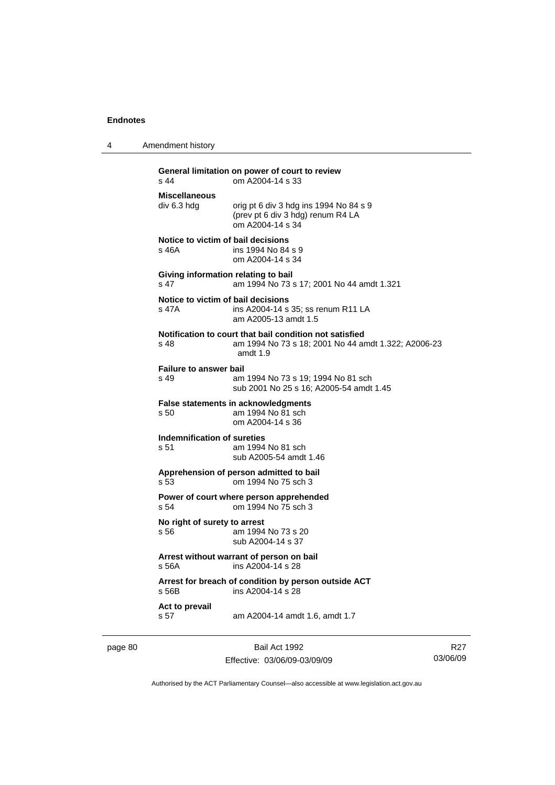4 Amendment history

| $s$ 44                                | General limitation on power of court to review<br>om A2004-14 s 33                                                         |
|---------------------------------------|----------------------------------------------------------------------------------------------------------------------------|
| <b>Miscellaneous</b><br>div 6.3 hdg   | orig pt 6 div 3 hdg ins 1994 No 84 s 9<br>(prev pt 6 div 3 hdg) renum R4 LA<br>om A2004-14 s 34                            |
| s 46A                                 | Notice to victim of bail decisions<br>ins 1994 No 84 s 9<br>om A2004-14 s 34                                               |
| s <sub>47</sub>                       | Giving information relating to bail<br>am 1994 No 73 s 17; 2001 No 44 amdt 1.321                                           |
| s 47A                                 | Notice to victim of bail decisions<br>ins A2004-14 s 35; ss renum R11 LA<br>am A2005-13 amdt 1.5                           |
| s 48                                  | Notification to court that bail condition not satisfied<br>am 1994 No 73 s 18; 2001 No 44 amdt 1.322; A2006-23<br>amdt 1.9 |
| <b>Failure to answer bail</b><br>s 49 | am 1994 No 73 s 19; 1994 No 81 sch<br>sub 2001 No 25 s 16: A2005-54 amdt 1.45                                              |
| s 50                                  | <b>False statements in acknowledgments</b><br>am 1994 No 81 sch<br>om A2004-14 s 36                                        |
| Indemnification of sureties<br>s 51   | am 1994 No 81 sch<br>sub A2005-54 amdt 1.46                                                                                |
| s 53                                  | Apprehension of person admitted to bail<br>om 1994 No 75 sch 3                                                             |
| s 54                                  | Power of court where person apprehended<br>om 1994 No 75 sch 3                                                             |
| No right of surety to arrest<br>s 56  | am 1994 No 73 s 20<br>sub A2004-14 s 37                                                                                    |
| s 56A                                 | Arrest without warrant of person on bail<br>ins A2004-14 s 28                                                              |
| $s$ 56B                               | Arrest for breach of condition by person outside ACT<br>ins A2004-14 s 28                                                  |
| Act to prevail<br>s 57                | am A2004-14 amdt 1.6, amdt 1.7                                                                                             |

page 80 Bail Act 1992

Effective: 03/06/09-03/09/09

R27 03/06/09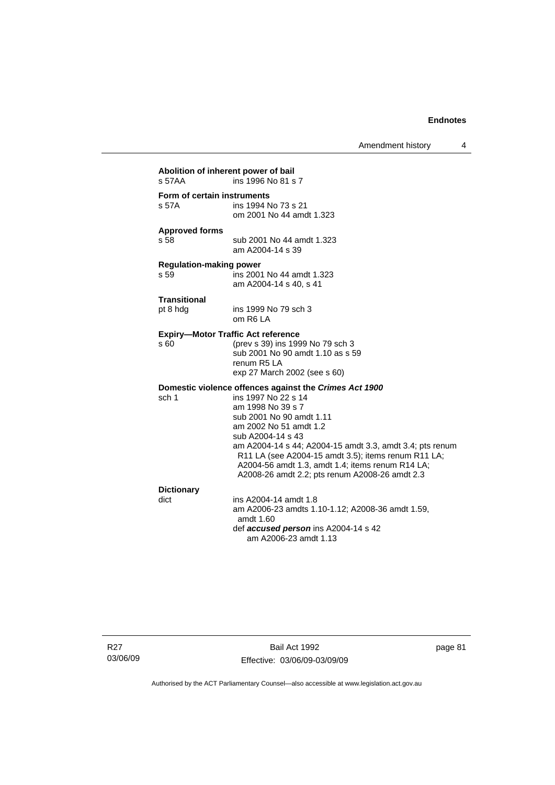Amendment history 4

| Abolition of inherent power of bail<br>s 57AA | ins 1996 No 81 s 7                                                                                                                                                                                                                                                                                                                                                                                     |
|-----------------------------------------------|--------------------------------------------------------------------------------------------------------------------------------------------------------------------------------------------------------------------------------------------------------------------------------------------------------------------------------------------------------------------------------------------------------|
| Form of certain instruments<br>s 57A          | ins 1994 No 73 s 21<br>om 2001 No 44 amdt 1.323                                                                                                                                                                                                                                                                                                                                                        |
| <b>Approved forms</b><br>s 58                 | sub 2001 No 44 amdt 1.323<br>am A2004-14 s 39                                                                                                                                                                                                                                                                                                                                                          |
| <b>Regulation-making power</b><br>s 59        | ins 2001 No 44 amdt 1.323<br>am A2004-14 s 40, s 41                                                                                                                                                                                                                                                                                                                                                    |
| <b>Transitional</b><br>pt 8 hdg               | ins 1999 No 79 sch 3<br>om R6 LA                                                                                                                                                                                                                                                                                                                                                                       |
| s 60                                          | <b>Expiry-Motor Traffic Act reference</b><br>(prev s 39) ins 1999 No 79 sch 3<br>sub 2001 No 90 amdt 1.10 as s 59<br>renum R5 LA<br>exp 27 March 2002 (see s 60)                                                                                                                                                                                                                                       |
| sch 1                                         | Domestic violence offences against the Crimes Act 1900<br>ins 1997 No 22 s 14<br>am 1998 No 39 s 7<br>sub 2001 No 90 amdt 1.11<br>am 2002 No 51 amdt 1.2<br>sub A2004-14 s 43<br>am A2004-14 s 44; A2004-15 amdt 3.3, amdt 3.4; pts renum<br>R11 LA (see A2004-15 amdt 3.5); items renum R11 LA;<br>A2004-56 amdt 1.3, amdt 1.4; items renum R14 LA;<br>A2008-26 amdt 2.2; pts renum A2008-26 amdt 2.3 |
| <b>Dictionary</b><br>dict                     | ins A2004-14 amdt 1.8<br>am A2006-23 amdts 1.10-1.12; A2008-36 amdt 1.59,<br>amdt 1.60<br>def accused person ins A2004-14 s 42<br>am A2006-23 amdt 1.13                                                                                                                                                                                                                                                |

R27 03/06/09

Bail Act 1992 Effective: 03/06/09-03/09/09 page 81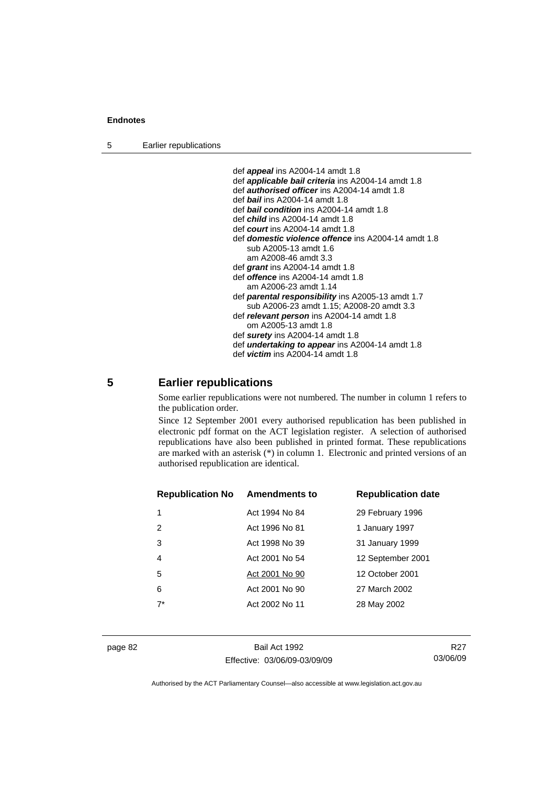5 Earlier republications

 def *appeal* ins A2004-14 amdt 1.8 def *applicable bail criteria* ins A2004-14 amdt 1.8 def *authorised officer* ins A2004-14 amdt 1.8 def *bail* ins A2004-14 amdt 1.8 def *bail condition* ins A2004-14 amdt 1.8 def *child* ins A2004-14 amdt 1.8 def *court* ins A2004-14 amdt 1.8 def *domestic violence offence* ins A2004-14 amdt 1.8 sub A2005-13 amdt 1.6 am A2008-46 amdt 3.3 def *grant* ins A2004-14 amdt 1.8 def *offence* ins A2004-14 amdt 1.8 am A2006-23 amdt 1.14 def *parental responsibility* ins A2005-13 amdt 1.7 sub A2006-23 amdt 1.15; A2008-20 amdt 3.3 def *relevant person* ins A2004-14 amdt 1.8 om A2005-13 amdt 1.8 def *surety* ins A2004-14 amdt 1.8 def *undertaking to appear* ins A2004-14 amdt 1.8 def *victim* ins A2004-14 amdt 1.8

# **5 Earlier republications**

Some earlier republications were not numbered. The number in column 1 refers to the publication order.

Since 12 September 2001 every authorised republication has been published in electronic pdf format on the ACT legislation register. A selection of authorised republications have also been published in printed format. These republications are marked with an asterisk (\*) in column 1. Electronic and printed versions of an authorised republication are identical.

| <b>Republication No</b> | <b>Amendments to</b> | <b>Republication date</b> |
|-------------------------|----------------------|---------------------------|
|                         | Act 1994 No 84       | 29 February 1996          |
| 2                       | Act 1996 No 81       | 1 January 1997            |
| 3                       | Act 1998 No 39       | 31 January 1999           |
| $\overline{4}$          | Act 2001 No 54       | 12 September 2001         |
| 5                       | Act 2001 No 90       | 12 October 2001           |
| 6                       | Act 2001 No 90       | 27 March 2002             |
| $7^*$                   | Act 2002 No 11       | 28 May 2002               |
|                         |                      |                           |

page 82 Bail Act 1992 Effective: 03/06/09-03/09/09

R27 03/06/09